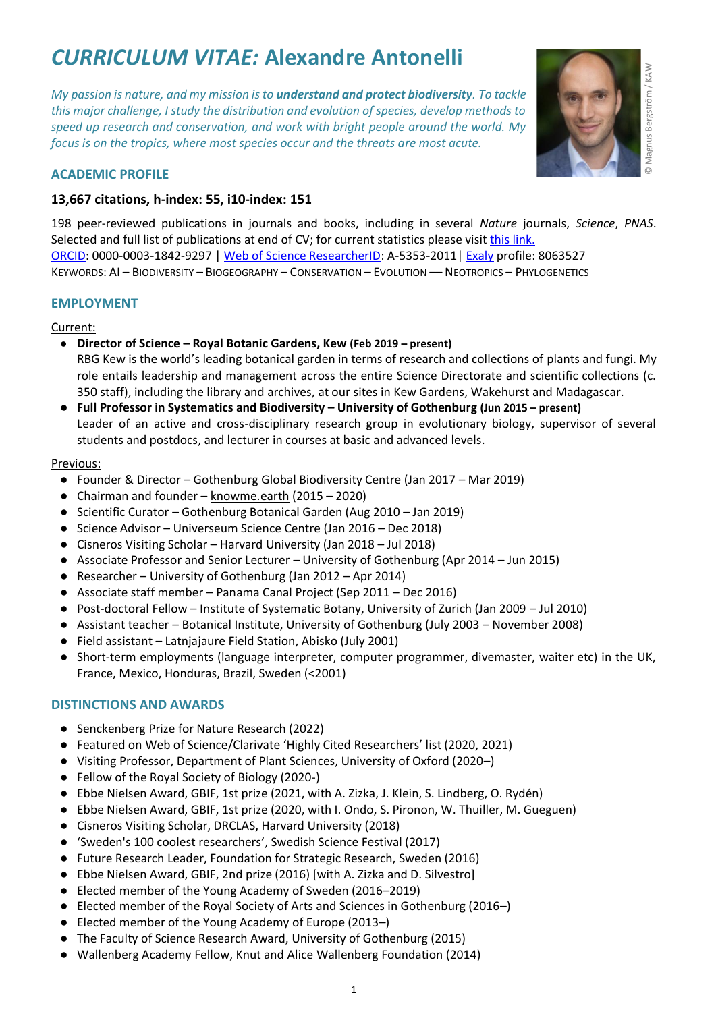# *CURRICULUM VITAE:* **Alexandre Antonelli**

*My passion is nature, and my mission is to understand and protect biodiversity. To tackle this major challenge, I study the distribution and evolution of species, develop methods to speed up research and conservation, and work with bright people around the world. My focus is on the tropics, where most species occur and the threats are most acute.* 



## **ACADEMIC PROFILE**

## **13,667 citations, h-index: 55, i10-index: 151**

198 peer-reviewed publications in journals and books, including in several *Nature* journals, *Science*, *PNAS*. Selected and full list of publications at end of CV; for current statistics please visi[t this link.](https://scholar.google.se/citations?user=KYbhJxMAAAAJ&hl=sv) [ORCID:](https://orcid.org/0000-0003-1842-9297) 0000-0003-1842-9297 | [Web of Science ResearcherID:](https://publons.com/researcher/4043050/alexandre-antonelli/) A-5353-2011[| Exaly](https://exaly.com/author/8063527/alexandre-antonelli/rankings) profile: 8063527 KEYWORDS: AI – BIODIVERSITY – BIOGEOGRAPHY – CONSERVATION – EVOLUTION –– NEOTROPICS – PHYLOGENETICS

## **EMPLOYMENT**

#### Current:

- **Director of Science – Royal Botanic Gardens, Kew (Feb 2019 – present)** RBG Kew is the world's leading botanical garden in terms of research and collections of plants and fungi. My role entails leadership and management across the entire Science Directorate and scientific collections (c. 350 staff), including the library and archives, at our sites in Kew Gardens, Wakehurst and Madagascar.
- **Full Professor in Systematics and Biodiversity – University of Gothenburg (Jun 2015 – present)** Leader of an active and cross-disciplinary research group in evolutionary biology, supervisor of several students and postdocs, and lecturer in courses at basic and advanced levels.

#### Previous:

- Founder & Director Gothenburg Global Biodiversity Centre (Jan 2017 Mar 2019)
- Chairman and founder knowme.earth (2015 2020)
- Scientific Curator Gothenburg Botanical Garden (Aug 2010 Jan 2019)
- Science Advisor Universeum Science Centre (Jan 2016 Dec 2018)
- Cisneros Visiting Scholar Harvard University (Jan 2018 Jul 2018)
- Associate Professor and Senior Lecturer University of Gothenburg (Apr 2014 Jun 2015)
- Researcher University of Gothenburg (Jan 2012 Apr 2014)
- Associate staff member Panama Canal Project (Sep 2011 Dec 2016)
- Post-doctoral Fellow Institute of Systematic Botany, University of Zurich (Jan 2009 Jul 2010)
- Assistant teacher Botanical Institute, University of Gothenburg (July 2003 November 2008)
- Field assistant Latnjajaure Field Station, Abisko (July 2001)
- Short-term employments (language interpreter, computer programmer, divemaster, waiter etc) in the UK, France, Mexico, Honduras, Brazil, Sweden (<2001)

## **DISTINCTIONS AND AWARDS**

- Senckenberg Prize for Nature Research (2022)
- Featured on Web of Science/Clarivate 'Highly Cited Researchers' list (2020, 2021)
- Visiting Professor, Department of Plant Sciences, University of Oxford (2020–)
- Fellow of the Royal Society of Biology (2020-)
- Ebbe Nielsen Award, GBIF, 1st prize (2021, with A. Zizka, J. Klein, S. Lindberg, O. Rydén)
- Ebbe Nielsen Award, GBIF, 1st prize (2020, with I. Ondo, S. Pironon, W. Thuiller, M. Gueguen)
- Cisneros Visiting Scholar, DRCLAS, Harvard University (2018)
- 'Sweden's 100 coolest researchers', Swedish Science Festival (2017)
- Future Research Leader, Foundation for Strategic Research, Sweden (2016)
- Ebbe Nielsen Award, GBIF, 2nd prize (2016) [with A. Zizka and D. Silvestro]
- Elected member of the Young Academy of Sweden (2016–2019)
- Elected member of the Royal Society of Arts and Sciences in Gothenburg (2016–)
- Elected member of the Young Academy of Europe (2013–)
- The Faculty of Science Research Award, University of Gothenburg (2015)
- Wallenberg Academy Fellow, Knut and Alice Wallenberg Foundation (2014)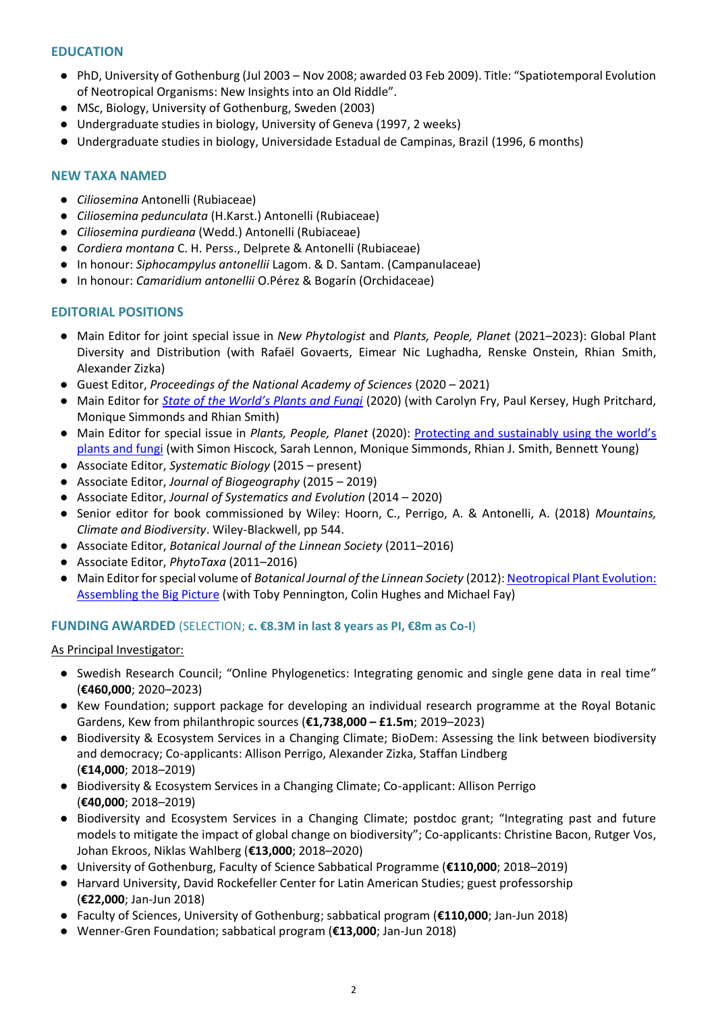## **EDUCATION**

- PhD, University of Gothenburg (Jul 2003 Nov 2008; awarded 03 Feb 2009). Title: "Spatiotemporal Evolution of Neotropical Organisms: New Insights into an Old Riddle".
- MSc, Biology, University of Gothenburg, Sweden (2003)
- Undergraduate studies in biology, University of Geneva (1997, 2 weeks)
- Undergraduate studies in biology, Universidade Estadual de Campinas, Brazil (1996, 6 months)

## **NEW TAXA NAMED**

- *Ciliosemina* Antonelli (Rubiaceae)
- *Ciliosemina pedunculata* (H.Karst.) Antonelli (Rubiaceae)
- *Ciliosemina purdieana* (Wedd.) Antonelli (Rubiaceae)
- *Cordiera montana* C. H. Perss., Delprete & Antonelli (Rubiaceae)
- In honour: *Siphocampylus antonellii* Lagom. & D. Santam. (Campanulaceae)
- In honour: *Camaridium antonellii* O.Pérez & Bogarín (Orchidaceae)

## **EDITORIAL POSITIONS**

- Main Editor for joint special issue in *New Phytologist* and *Plants, People, Planet* (2021–2023): Global Plant Diversity and Distribution (with Rafaël Govaerts, Eimear Nic Lughadha, Renske Onstein, Rhian Smith, Alexander Zizka)
- Guest Editor, *Proceedings of the National Academy of Sciences* (2020 2021)
- Main Editor for *[State of the World's Plants and Fungi](https://www.kew.org/science/state-of-the-worlds-plants-and-fungi)* (2020) (with Carolyn Fry, Paul Kersey, Hugh Pritchard, Monique Simmonds and Rhian Smith)
- Main Editor for special issue in *Plants, People, Planet* (2020): [Protecting and sustainably using the world's](https://nph.onlinelibrary.wiley.com/toc/25722611/2020/2/5) [plants and fungi](https://nph.onlinelibrary.wiley.com/toc/25722611/2020/2/5) (with Simon Hiscock, Sarah Lennon, Monique Simmonds, Rhian J. Smith, Bennett Young)
- Associate Editor, *Systematic Biology* (2015 present)
- Associate Editor, *Journal of Biogeography* (2015 2019)
- Associate Editor, *Journal of Systematics and Evolution* (2014 2020)
- Senior editor for book commissioned by Wiley: Hoorn, C., Perrigo, A. & Antonelli, A. (2018) *Mountains, Climate and Biodiversity*. Wiley-Blackwell, pp 544.
- Associate Editor, *Botanical Journal of the Linnean Society* (2011–2016)
- Associate Editor, *PhytoTaxa* (2011–2016)
- Main Editor for special volume of *Botanical Journal of the Linnean Society* (2012)[: Neotropical Plant Evolution:](https://onlinelibrary.wiley.com/toc/10958339/2013/171/1)  [Assembling the Big Picture](https://onlinelibrary.wiley.com/toc/10958339/2013/171/1) (with Toby Pennington, Colin Hughes and Michael Fay)

## **FUNDING AWARDED** (SELECTION; **c. €8.3M in last 8 years as PI, €8m as Co-I**)

## As Principal Investigator:

- Swedish Research Council; "Online Phylogenetics: Integrating genomic and single gene data in real time" (**€460,000**; 2020–2023)
- Kew Foundation; support package for developing an individual research programme at the Royal Botanic Gardens, Kew from philanthropic sources (**€1,738,000 – £1.5m**; 2019–2023)
- Biodiversity & Ecosystem Services in a Changing Climate; BioDem: Assessing the link between biodiversity and democracy; Co-applicants: Allison Perrigo, Alexander Zizka, Staffan Lindberg (**€14,000**; 2018–2019)
- Biodiversity & Ecosystem Services in a Changing Climate; Co-applicant: Allison Perrigo (**€40,000**; 2018–2019)
- Biodiversity and Ecosystem Services in a Changing Climate; postdoc grant; "Integrating past and future models to mitigate the impact of global change on biodiversity"; Co-applicants: Christine Bacon, Rutger Vos, Johan Ekroos, Niklas Wahlberg (**€13,000**; 2018–2020)
- University of Gothenburg, Faculty of Science Sabbatical Programme (**€110,000**; 2018–2019)
- Harvard University, David Rockefeller Center for Latin American Studies; guest professorship (**€22,000**; Jan-Jun 2018)
- Faculty of Sciences, University of Gothenburg; sabbatical program (**€110,000**; Jan-Jun 2018)
- Wenner-Gren Foundation; sabbatical program (**€13,000**; Jan-Jun 2018)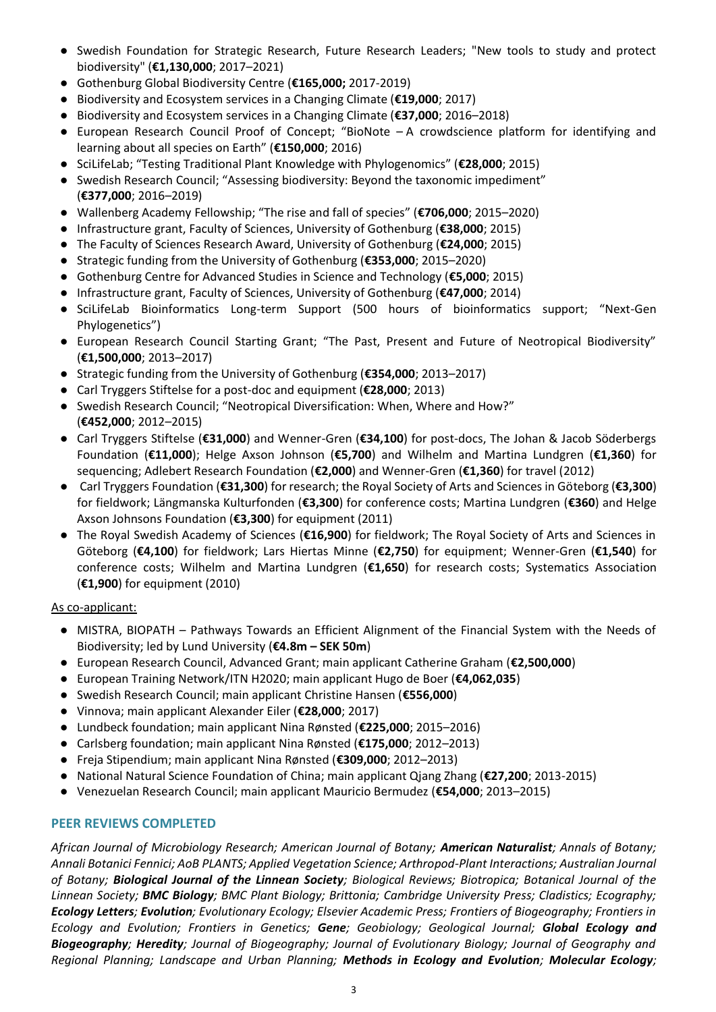- Swedish Foundation for Strategic Research, Future Research Leaders; "New tools to study and protect biodiversity" (**€1,130,000**; 2017–2021)
- Gothenburg Global Biodiversity Centre (**€165,000;** 2017-2019)
- Biodiversity and Ecosystem services in a Changing Climate (**€19,000**; 2017)
- Biodiversity and Ecosystem services in a Changing Climate (**€37,000**; 2016–2018)
- European Research Council Proof of Concept; "BioNote A crowdscience platform for identifying and learning about all species on Earth" (**€150,000**; 2016)
- SciLifeLab; "Testing Traditional Plant Knowledge with Phylogenomics" (**€28,000**; 2015)
- Swedish Research Council; "Assessing biodiversity: Beyond the taxonomic impediment" (**€377,000**; 2016–2019)
- Wallenberg Academy Fellowship; "The rise and fall of species" (**€706,000**; 2015–2020)
- Infrastructure grant, Faculty of Sciences, University of Gothenburg (**€38,000**; 2015)
- The Faculty of Sciences Research Award, University of Gothenburg (**€24,000**; 2015)
- Strategic funding from the University of Gothenburg (**€353,000**; 2015–2020)
- Gothenburg Centre for Advanced Studies in Science and Technology (**€5,000**; 2015)
- Infrastructure grant, Faculty of Sciences, University of Gothenburg (**€47,000**; 2014)
- SciLifeLab Bioinformatics Long-term Support (500 hours of bioinformatics support; "Next-Gen Phylogenetics")
- European Research Council Starting Grant; "The Past, Present and Future of Neotropical Biodiversity" (**€1,500,000**; 2013–2017)
- Strategic funding from the University of Gothenburg (**€354,000**; 2013–2017)
- Carl Tryggers Stiftelse for a post-doc and equipment (**€28,000**; 2013)
- Swedish Research Council; "Neotropical Diversification: When, Where and How?" (**€452,000**; 2012–2015)
- Carl Tryggers Stiftelse (**€31,000**) and Wenner-Gren (**€34,100**) for post-docs, The Johan & Jacob Söderbergs Foundation (**€11,000**); Helge Axson Johnson (**€5,700**) and Wilhelm and Martina Lundgren (**€1,360**) for sequencing; Adlebert Research Foundation (**€2,000**) and Wenner-Gren (**€1,360**) for travel (2012)
- Carl Tryggers Foundation (**€31,300**) for research; the Royal Society of Arts and Sciences in Göteborg (**€3,300**) for fieldwork; Längmanska Kulturfonden (**€3,300**) for conference costs; Martina Lundgren (**€360**) and Helge Axson Johnsons Foundation (**€3,300**) for equipment (2011)
- The Royal Swedish Academy of Sciences (**€16,900**) for fieldwork; The Royal Society of Arts and Sciences in Göteborg (**€4,100**) for fieldwork; Lars Hiertas Minne (**€2,750**) for equipment; Wenner-Gren (**€1,540**) for conference costs; Wilhelm and Martina Lundgren (**€1,650**) for research costs; Systematics Association (**€1,900**) for equipment (2010)

## As co-applicant:

- MISTRA, BIOPATH Pathways Towards an Efficient Alignment of the Financial System with the Needs of Biodiversity; led by Lund University (**€4.8m – SEK 50m**)
- European Research Council, Advanced Grant; main applicant Catherine Graham (**€2,500,000**)
- European Training Network/ITN H2020; main applicant Hugo de Boer (**€4,062,035**)
- Swedish Research Council; main applicant Christine Hansen (**€556,000**)
- Vinnova; main applicant Alexander Eiler (**€28,000**; 2017)
- Lundbeck foundation; main applicant Nina Rønsted (**€225,000**; 2015–2016)
- Carlsberg foundation; main applicant Nina Rønsted (**€175,000**; 2012–2013)
- Freja Stipendium; main applicant Nina Rønsted (**€309,000**; 2012–2013)
- National Natural Science Foundation of China; main applicant Qjang Zhang (**€27,200**; 2013-2015)
- Venezuelan Research Council; main applicant Mauricio Bermudez (**€54,000**; 2013–2015)

## **PEER REVIEWS COMPLETED**

*African Journal of Microbiology Research; American Journal of Botany; American Naturalist; Annals of Botany; Annali Botanici Fennici; AoB PLANTS; Applied Vegetation Science; Arthropod-Plant Interactions; Australian Journal of Botany; Biological Journal of the Linnean Society; Biological Reviews; Biotropica; Botanical Journal of the Linnean Society; BMC Biology; BMC Plant Biology; Brittonia; Cambridge University Press; Cladistics; Ecography; Ecology Letters; Evolution; Evolutionary Ecology; Elsevier Academic Press; Frontiers of Biogeography; Frontiers in Ecology and Evolution; Frontiers in Genetics; Gene; Geobiology; Geological Journal; Global Ecology and Biogeography; Heredity; Journal of Biogeography; Journal of Evolutionary Biology; Journal of Geography and Regional Planning; Landscape and Urban Planning; Methods in Ecology and Evolution; Molecular Ecology;*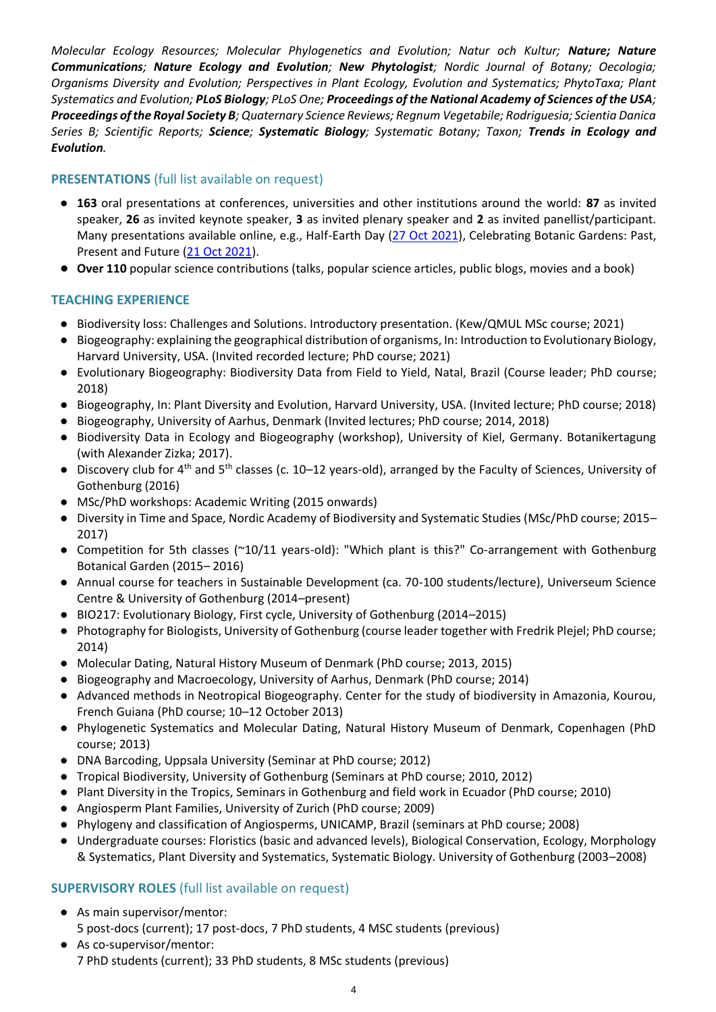*Molecular Ecology Resources; Molecular Phylogenetics and Evolution; Natur och Kultur; Nature; Nature Communications; Nature Ecology and Evolution; New Phytologist; Nordic Journal of Botany; Oecologia; Organisms Diversity and Evolution; Perspectives in Plant Ecology, Evolution and Systematics; PhytoTaxa; Plant Systematics and Evolution; PLoS Biology; PLoS One; Proceedings of the National Academy of Sciences of the USA; Proceedings of the Royal Society B; Quaternary Science Reviews; Regnum Vegetabile; Rodriguesia; Scientia Danica Series B; Scientific Reports; Science; Systematic Biology; Systematic Botany; Taxon; Trends in Ecology and Evolution.*

# **PRESENTATIONS** (full list available on request)

- **163** oral presentations at conferences, universities and other institutions around the world: **87** as invited speaker, **26** as invited keynote speaker, **3** as invited plenary speaker and **2** as invited panellist/participant. Many presentations available online, e.g., Half-Earth Day [\(27 Oct 2021\)](https://vimeo.com/639530173), Celebrating Botanic Gardens: Past, Present and Future [\(21 Oct 2021\)](https://www.youtube.com/watch?v=YZ7HPuN2dLQ&list=PLQF4XjqZizVU5HiCdDpLsXNevHkjPnI6t&index=4).
- **Over 110** popular science contributions (talks, popular science articles, public blogs, movies and a book)

# **TEACHING EXPERIENCE**

- Biodiversity loss: Challenges and Solutions. Introductory presentation. (Kew/QMUL MSc course; 2021)
- Biogeography: explaining the geographical distribution of organisms, In: Introduction to Evolutionary Biology, Harvard University, USA. (Invited recorded lecture; PhD course; 2021)
- Evolutionary Biogeography: Biodiversity Data from Field to Yield, Natal, Brazil (Course leader; PhD course; 2018)
- Biogeography, In: Plant Diversity and Evolution, Harvard University, USA. (Invited lecture; PhD course; 2018)
- Biogeography, University of Aarhus, Denmark (Invited lectures; PhD course; 2014, 2018)
- Biodiversity Data in Ecology and Biogeography (workshop), University of Kiel, Germany. Botanikertagung (with Alexander Zizka; 2017).
- Discovery club for 4th and 5th classes (c. 10–12 years-old), arranged by the Faculty of Sciences, University of Gothenburg (2016)
- MSc/PhD workshops: Academic Writing (2015 onwards)
- Diversity in Time and Space, Nordic Academy of Biodiversity and Systematic Studies (MSc/PhD course; 2015– 2017)
- Competition for 5th classes (~10/11 years-old): "Which plant is this?" Co-arrangement with Gothenburg Botanical Garden (2015– 2016)
- Annual course for teachers in Sustainable Development (ca. 70-100 students/lecture), Universeum Science Centre & University of Gothenburg (2014–present)
- BIO217: Evolutionary Biology, First cycle, University of Gothenburg (2014–2015)
- Photography for Biologists, University of Gothenburg (course leader together with Fredrik Plejel; PhD course; 2014)
- Molecular Dating, Natural History Museum of Denmark (PhD course; 2013, 2015)
- Biogeography and Macroecology, University of Aarhus, Denmark (PhD course; 2014)
- Advanced methods in Neotropical Biogeography. Center for the study of biodiversity in Amazonia, Kourou, French Guiana (PhD course; 10–12 October 2013)
- Phylogenetic Systematics and Molecular Dating, Natural History Museum of Denmark, Copenhagen (PhD course; 2013)
- DNA Barcoding, Uppsala University (Seminar at PhD course; 2012)
- Tropical Biodiversity, University of Gothenburg (Seminars at PhD course; 2010, 2012)
- Plant Diversity in the Tropics, Seminars in Gothenburg and field work in Ecuador (PhD course; 2010)
- Angiosperm Plant Families, University of Zurich (PhD course; 2009)
- Phylogeny and classification of Angiosperms, UNICAMP, Brazil (seminars at PhD course; 2008)
- Undergraduate courses: Floristics (basic and advanced levels), Biological Conservation, Ecology, Morphology & Systematics, Plant Diversity and Systematics, Systematic Biology. University of Gothenburg (2003–2008)

# **SUPERVISORY ROLES** (full list available on request)

- As main supervisor/mentor: 5 post-docs (current); 17 post-docs, 7 PhD students, 4 MSC students (previous)
- As co-supervisor/mentor: 7 PhD students (current); 33 PhD students, 8 MSc students (previous)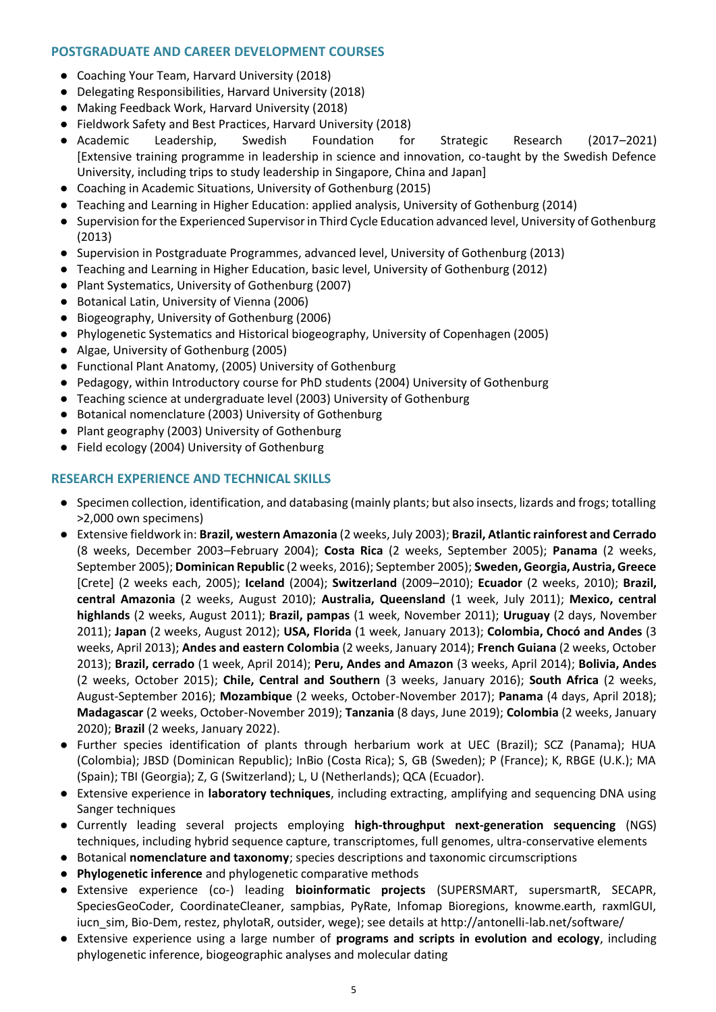## **POSTGRADUATE AND CAREER DEVELOPMENT COURSES**

- Coaching Your Team, Harvard University (2018)
- Delegating Responsibilities, Harvard University (2018)
- Making Feedback Work, Harvard University (2018)
- Fieldwork Safety and Best Practices, Harvard University (2018)
- Academic Leadership, Swedish Foundation for Strategic Research (2017–2021) [Extensive training programme in leadership in science and innovation, co-taught by the Swedish Defence University, including trips to study leadership in Singapore, China and Japan]
- Coaching in Academic Situations, University of Gothenburg (2015)
- Teaching and Learning in Higher Education: applied analysis, University of Gothenburg (2014)
- Supervision for the Experienced Supervisor in Third Cycle Education advanced level, University of Gothenburg (2013)
- Supervision in Postgraduate Programmes, advanced level, University of Gothenburg (2013)
- Teaching and Learning in Higher Education, basic level, University of Gothenburg (2012)
- Plant Systematics, University of Gothenburg (2007)
- Botanical Latin, University of Vienna (2006)
- Biogeography, University of Gothenburg (2006)
- Phylogenetic Systematics and Historical biogeography, University of Copenhagen (2005)
- Algae, University of Gothenburg (2005)
- Functional Plant Anatomy, (2005) University of Gothenburg
- Pedagogy, within Introductory course for PhD students (2004) University of Gothenburg
- Teaching science at undergraduate level (2003) University of Gothenburg
- Botanical nomenclature (2003) University of Gothenburg
- Plant geography (2003) University of Gothenburg
- Field ecology (2004) University of Gothenburg

#### **RESEARCH EXPERIENCE AND TECHNICAL SKILLS**

- Specimen collection, identification, and databasing (mainly plants; but also insects, lizards and frogs; totalling >2,000 own specimens)
- Extensive fieldwork in: **Brazil, western Amazonia** (2 weeks, July 2003); **Brazil, Atlantic rainforest and Cerrado** (8 weeks, December 2003–February 2004); **Costa Rica** (2 weeks, September 2005); **Panama** (2 weeks, September 2005); **Dominican Republic** (2 weeks, 2016); September 2005); **Sweden, Georgia, Austria, Greece** [Crete] (2 weeks each, 2005); **Iceland** (2004); **Switzerland** (2009–2010); **Ecuador** (2 weeks, 2010); **Brazil, central Amazonia** (2 weeks, August 2010); **Australia, Queensland** (1 week, July 2011); **Mexico, central highlands** (2 weeks, August 2011); **Brazil, pampas** (1 week, November 2011); **Uruguay** (2 days, November 2011); **Japan** (2 weeks, August 2012); **USA, Florida** (1 week, January 2013); **Colombia, Chocó and Andes** (3 weeks, April 2013); **Andes and eastern Colombia** (2 weeks, January 2014); **French Guiana** (2 weeks, October 2013); **Brazil, cerrado** (1 week, April 2014); **Peru, Andes and Amazon** (3 weeks, April 2014); **Bolivia, Andes** (2 weeks, October 2015); **Chile, Central and Southern** (3 weeks, January 2016); **South Africa** (2 weeks, August-September 2016); **Mozambique** (2 weeks, October-November 2017); **Panama** (4 days, April 2018); **Madagascar** (2 weeks, October-November 2019); **Tanzania** (8 days, June 2019); **Colombia** (2 weeks, January 2020); **Brazil** (2 weeks, January 2022).
- Further species identification of plants through herbarium work at UEC (Brazil); SCZ (Panama); HUA (Colombia); JBSD (Dominican Republic); InBio (Costa Rica); S, GB (Sweden); P (France); K, RBGE (U.K.); MA (Spain); TBI (Georgia); Z, G (Switzerland); L, U (Netherlands); QCA (Ecuador).
- Extensive experience in **laboratory techniques**, including extracting, amplifying and sequencing DNA using Sanger techniques
- Currently leading several projects employing **high-throughput next-generation sequencing** (NGS) techniques, including hybrid sequence capture, transcriptomes, full genomes, ultra-conservative elements
- Botanical **nomenclature and taxonomy**; species descriptions and taxonomic circumscriptions
- **Phylogenetic inference** and phylogenetic comparative methods
- Extensive experience (co-) leading **bioinformatic projects** (SUPERSMART, supersmartR, SECAPR, SpeciesGeoCoder, CoordinateCleaner, sampbias, PyRate, Infomap Bioregions, knowme.earth, raxmlGUI, iucn sim, Bio-Dem, restez, phylotaR, outsider, wege); see details at http://antonelli-lab.net/software/
- Extensive experience using a large number of **programs and scripts in evolution and ecology**, including phylogenetic inference, biogeographic analyses and molecular dating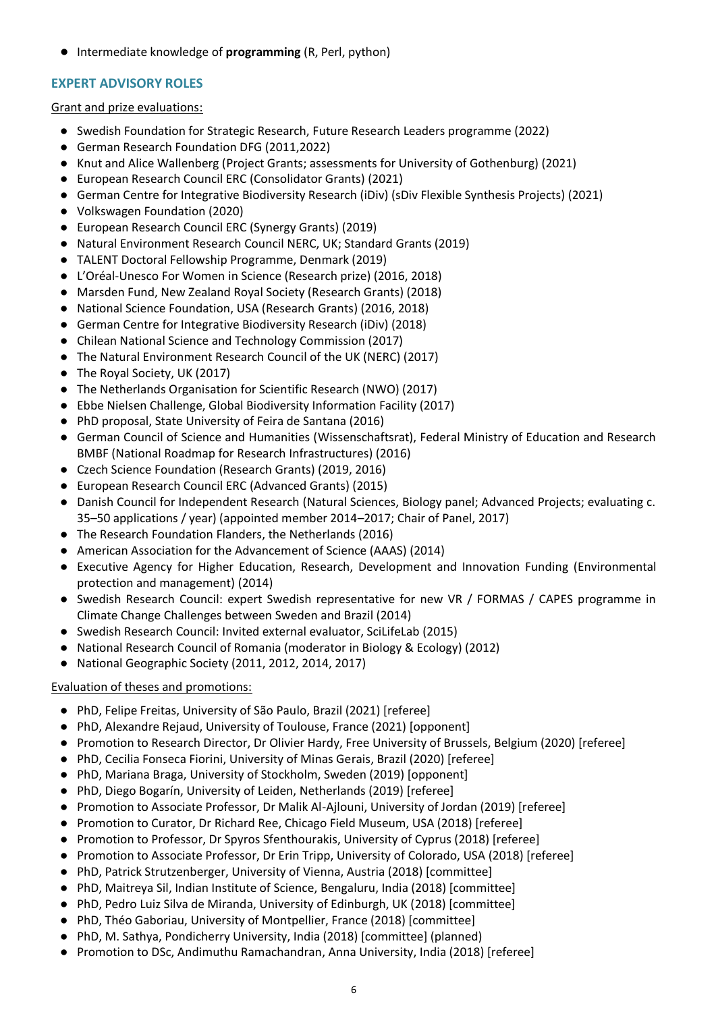● Intermediate knowledge of **programming** (R, Perl, python)

# **EXPERT ADVISORY ROLES**

#### Grant and prize evaluations:

- Swedish Foundation for Strategic Research, Future Research Leaders programme (2022)
- German Research Foundation DFG (2011,2022)
- Knut and Alice Wallenberg (Project Grants; assessments for University of Gothenburg) (2021)
- European Research Council ERC (Consolidator Grants) (2021)
- German Centre for Integrative Biodiversity Research (iDiv) (sDiv Flexible Synthesis Projects) (2021)
- Volkswagen Foundation (2020)
- European Research Council ERC (Synergy Grants) (2019)
- Natural Environment Research Council NERC, UK; Standard Grants (2019)
- TALENT Doctoral Fellowship Programme, Denmark (2019)
- L'Oréal-Unesco For Women in Science (Research prize) (2016, 2018)
- Marsden Fund, New Zealand Royal Society (Research Grants) (2018)
- National Science Foundation, USA (Research Grants) (2016, 2018)
- German Centre for Integrative Biodiversity Research (iDiv) (2018)
- Chilean National Science and Technology Commission (2017)
- The Natural Environment Research Council of the UK (NERC) (2017)
- The Royal Society, UK (2017)
- The Netherlands Organisation for Scientific Research (NWO) (2017)
- Ebbe Nielsen Challenge, Global Biodiversity Information Facility (2017)
- PhD proposal, State University of Feira de Santana (2016)
- German Council of Science and Humanities (Wissenschaftsrat), Federal Ministry of Education and Research BMBF (National Roadmap for Research Infrastructures) (2016)
- Czech Science Foundation (Research Grants) (2019, 2016)
- European Research Council ERC (Advanced Grants) (2015)
- Danish Council for Independent Research (Natural Sciences, Biology panel; Advanced Projects; evaluating c. 35–50 applications / year) (appointed member 2014–2017; Chair of Panel, 2017)
- The Research Foundation Flanders, the Netherlands (2016)
- American Association for the Advancement of Science (AAAS) (2014)
- Executive Agency for Higher Education, Research, Development and Innovation Funding (Environmental protection and management) (2014)
- Swedish Research Council: expert Swedish representative for new VR / FORMAS / CAPES programme in Climate Change Challenges between Sweden and Brazil (2014)
- Swedish Research Council: Invited external evaluator, SciLifeLab (2015)
- National Research Council of Romania (moderator in Biology & Ecology) (2012)
- National Geographic Society (2011, 2012, 2014, 2017)

## Evaluation of theses and promotions:

- PhD, Felipe Freitas, University of São Paulo, Brazil (2021) [referee]
- PhD, Alexandre Rejaud, University of Toulouse, France (2021) [opponent]
- Promotion to Research Director, Dr Olivier Hardy, Free University of Brussels, Belgium (2020) [referee]
- PhD, Cecilia Fonseca Fiorini, University of Minas Gerais, Brazil (2020) [referee]
- PhD, Mariana Braga, University of Stockholm, Sweden (2019) [opponent]
- PhD, Diego Bogarín, University of Leiden, Netherlands (2019) [referee]
- Promotion to Associate Professor, Dr Malik Al-Ajlouni, University of Jordan (2019) [referee]
- Promotion to Curator, Dr Richard Ree, Chicago Field Museum, USA (2018) [referee]
- Promotion to Professor, Dr Spyros Sfenthourakis, University of Cyprus (2018) [referee]
- Promotion to Associate Professor, Dr Erin Tripp, University of Colorado, USA (2018) [referee]
- PhD, Patrick Strutzenberger, University of Vienna, Austria (2018) [committee]
- PhD, Maitreya Sil, Indian Institute of Science, Bengaluru, India (2018) [committee]
- PhD, Pedro Luiz Silva de Miranda, University of Edinburgh, UK (2018) [committee]
- PhD, Théo Gaboriau, University of Montpellier, France (2018) [committee]
- PhD, M. Sathya, Pondicherry University, India (2018) [committee] (planned)
- Promotion to DSc, Andimuthu Ramachandran, Anna University, India (2018) [referee]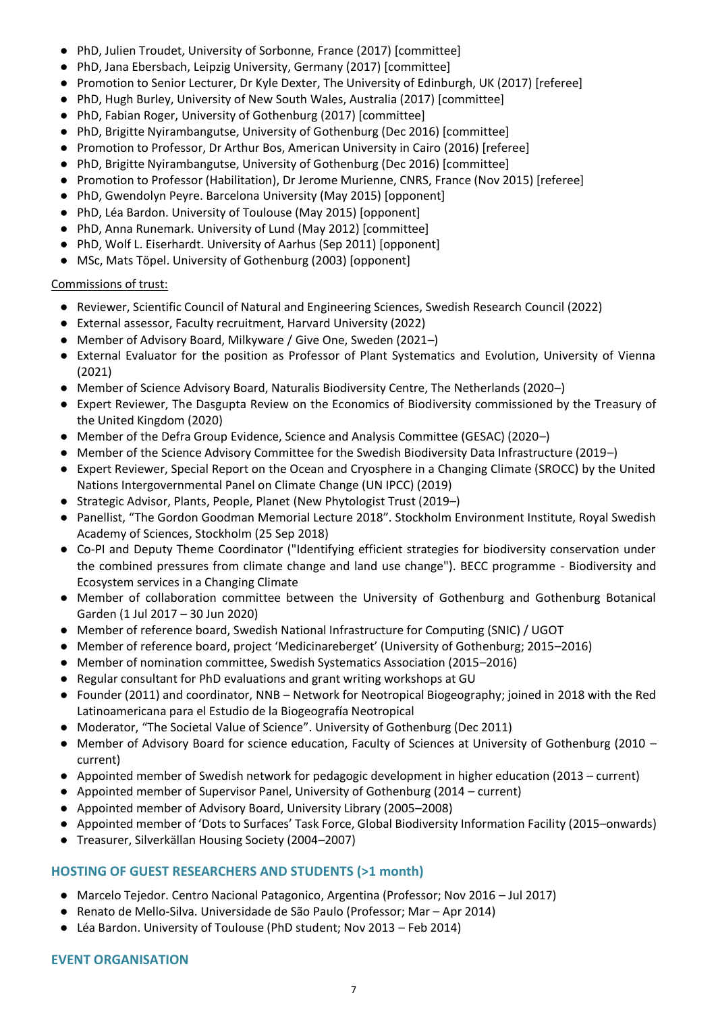- PhD, Julien Troudet, University of Sorbonne, France (2017) [committee]
- PhD, Jana Ebersbach, Leipzig University, Germany (2017) [committee]
- Promotion to Senior Lecturer, Dr Kyle Dexter, The University of Edinburgh, UK (2017) [referee]
- PhD, Hugh Burley, University of New South Wales, Australia (2017) [committee]
- PhD, Fabian Roger, University of Gothenburg (2017) [committee]
- PhD, Brigitte Nyirambangutse, University of Gothenburg (Dec 2016) [committee]
- Promotion to Professor, Dr Arthur Bos, American University in Cairo (2016) [referee]
- PhD, Brigitte Nyirambangutse, University of Gothenburg (Dec 2016) [committee]
- Promotion to Professor (Habilitation), Dr Jerome Murienne, CNRS, France (Nov 2015) [referee]
- PhD, Gwendolyn Peyre. Barcelona University (May 2015) [opponent]
- PhD, Léa Bardon. University of Toulouse (May 2015) [opponent]
- PhD, Anna Runemark. University of Lund (May 2012) [committee]
- PhD, Wolf L. Eiserhardt. University of Aarhus (Sep 2011) [opponent]
- MSc, Mats Töpel. University of Gothenburg (2003) [opponent]

## Commissions of trust:

- Reviewer, Scientific Council of Natural and Engineering Sciences, Swedish Research Council (2022)
- External assessor, Faculty recruitment, Harvard University (2022)
- Member of Advisory Board, Milkyware / Give One, Sweden (2021–)
- External Evaluator for the position as Professor of Plant Systematics and Evolution, University of Vienna (2021)
- Member of Science Advisory Board, Naturalis Biodiversity Centre, The Netherlands (2020–)
- Expert Reviewer, The Dasgupta Review on the Economics of Biodiversity commissioned by the Treasury of the United Kingdom (2020)
- Member of the Defra Group Evidence, Science and Analysis Committee (GESAC) (2020–)
- Member of the Science Advisory Committee for the Swedish Biodiversity Data Infrastructure (2019–)
- Expert Reviewer, Special Report on the Ocean and Cryosphere in a Changing Climate (SROCC) by the United Nations Intergovernmental Panel on Climate Change (UN IPCC) (2019)
- Strategic Advisor, Plants, People, Planet (New Phytologist Trust (2019–)
- Panellist, "The Gordon Goodman Memorial Lecture 2018". Stockholm Environment Institute, Royal Swedish Academy of Sciences, Stockholm (25 Sep 2018)
- Co-PI and Deputy Theme Coordinator ("Identifying efficient strategies for biodiversity conservation under the combined pressures from climate change and land use change"). BECC programme - Biodiversity and Ecosystem services in a Changing Climate
- Member of collaboration committee between the University of Gothenburg and Gothenburg Botanical Garden (1 Jul 2017 – 30 Jun 2020)
- Member of reference board, Swedish National Infrastructure for Computing (SNIC) / UGOT
- Member of reference board, project 'Medicinareberget' (University of Gothenburg; 2015–2016)
- Member of nomination committee, Swedish Systematics Association (2015–2016)
- Regular consultant for PhD evaluations and grant writing workshops at GU
- Founder (2011) and coordinator, NNB Network for Neotropical Biogeography; joined in 2018 with the Red Latinoamericana para el Estudio de la Biogeografía Neotropical
- Moderator, "The Societal Value of Science". University of Gothenburg (Dec 2011)
- Member of Advisory Board for science education, Faculty of Sciences at University of Gothenburg (2010 current)
- Appointed member of Swedish network for pedagogic development in higher education (2013 current)
- Appointed member of Supervisor Panel, University of Gothenburg (2014 current)
- Appointed member of Advisory Board, University Library (2005–2008)
- Appointed member of 'Dots to Surfaces' Task Force, Global Biodiversity Information Facility (2015–onwards)
- Treasurer, Silverkällan Housing Society (2004–2007)

# **HOSTING OF GUEST RESEARCHERS AND STUDENTS (>1 month)**

- Marcelo Tejedor. Centro Nacional Patagonico, Argentina (Professor; Nov 2016 Jul 2017)
- Renato de Mello-Silva. Universidade de São Paulo (Professor; Mar Apr 2014)
- Léa Bardon. University of Toulouse (PhD student; Nov 2013 Feb 2014)

## **EVENT ORGANISATION**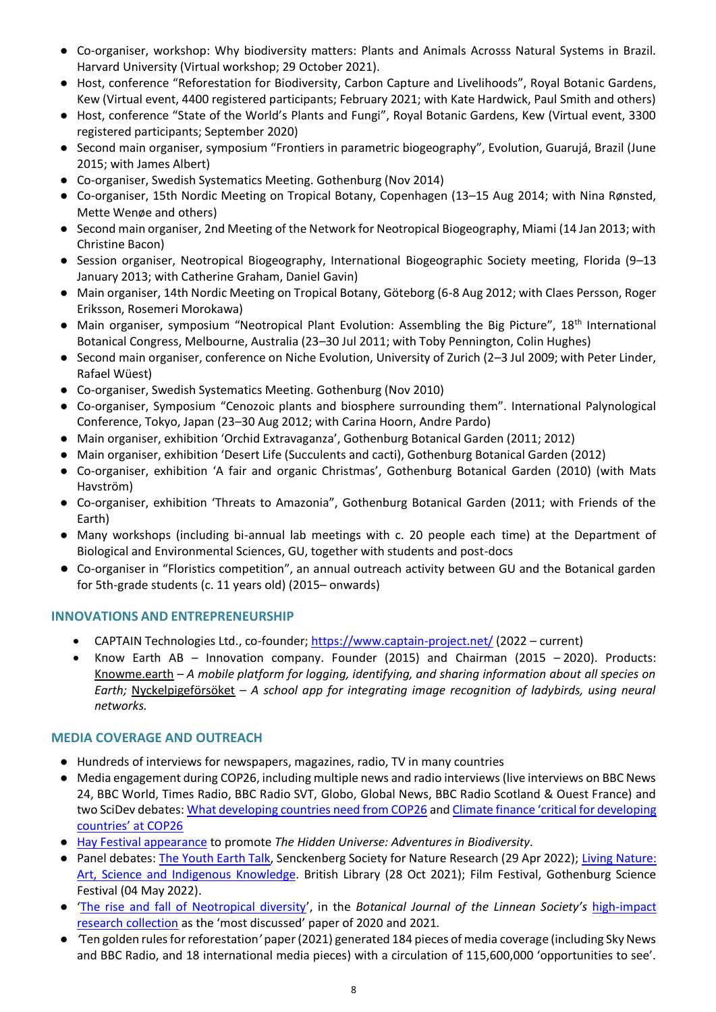- Co-organiser, workshop: Why biodiversity matters: Plants and Animals Acrosss Natural Systems in Brazil. Harvard University (Virtual workshop; 29 October 2021).
- Host, conference "Reforestation for Biodiversity, Carbon Capture and Livelihoods", Royal Botanic Gardens, Kew (Virtual event, 4400 registered participants; February 2021; with Kate Hardwick, Paul Smith and others)
- Host, conference "State of the World's Plants and Fungi", Royal Botanic Gardens, Kew (Virtual event, 3300 registered participants; September 2020)
- Second main organiser, symposium "Frontiers in parametric biogeography", Evolution, Guarujá, Brazil (June 2015; with James Albert)
- Co-organiser, Swedish Systematics Meeting. Gothenburg (Nov 2014)
- Co-organiser, 15th Nordic Meeting on Tropical Botany, Copenhagen (13–15 Aug 2014; with Nina Rønsted, Mette Wenøe and others)
- Second main organiser, 2nd Meeting of the Network for Neotropical Biogeography, Miami (14 Jan 2013; with Christine Bacon)
- Session organiser, Neotropical Biogeography, International Biogeographic Society meeting, Florida (9–13 January 2013; with Catherine Graham, Daniel Gavin)
- Main organiser, 14th Nordic Meeting on Tropical Botany, Göteborg (6-8 Aug 2012; with Claes Persson, Roger Eriksson, Rosemeri Morokawa)
- Main organiser, symposium "Neotropical Plant Evolution: Assembling the Big Picture", 18<sup>th</sup> International Botanical Congress, Melbourne, Australia (23–30 Jul 2011; with Toby Pennington, Colin Hughes)
- Second main organiser, conference on Niche Evolution, University of Zurich (2–3 Jul 2009; with Peter Linder, Rafael Wüest)
- Co-organiser, Swedish Systematics Meeting. Gothenburg (Nov 2010)
- Co-organiser, Symposium "Cenozoic plants and biosphere surrounding them". International Palynological Conference, Tokyo, Japan (23–30 Aug 2012; with Carina Hoorn, Andre Pardo)
- Main organiser, exhibition 'Orchid Extravaganza', Gothenburg Botanical Garden (2011; 2012)
- Main organiser, exhibition 'Desert Life (Succulents and cacti), Gothenburg Botanical Garden (2012)
- Co-organiser, exhibition 'A fair and organic Christmas', Gothenburg Botanical Garden (2010) (with Mats Havström)
- Co-organiser, exhibition 'Threats to Amazonia", Gothenburg Botanical Garden (2011; with Friends of the Earth)
- Many workshops (including bi-annual lab meetings with c. 20 people each time) at the Department of Biological and Environmental Sciences, GU, together with students and post-docs
- Co-organiser in "Floristics competition", an annual outreach activity between GU and the Botanical garden for 5th-grade students (c. 11 years old) (2015– onwards)

## **INNOVATIONS AND ENTREPRENEURSHIP**

- CAPTAIN Technologies Ltd., co-founder; <https://www.captain-project.net/> (2022 current)
- Know Earth AB Innovation company. Founder (2015) and Chairman (2015 2020). Products: Knowme.earth – *A mobile platform for logging, identifying, and sharing information about all species on Earth;* Nyckelpigeförsöket – *A school app for integrating image recognition of ladybirds, using neural networks.*

#### **MEDIA COVERAGE AND OUTREACH**

- Hundreds of interviews for newspapers, magazines, radio, TV in many countries
- Media engagement during COP26, including multiple news and radio interviews (live interviews on BBC News 24, BBC World, Times Radio, BBC Radio SVT, Globo, Global News, BBC Radio Scotland & Ouest France) and two SciDev debates[: What developing countries need from COP26](https://www.scidev.net/global/multimedia/debate-what-developing-countries-need-from-cop26/) and Climate finance 'critical for developing [countries' at COP26](https://www.scidev.net/global/news/climate-finance-critical-for-developing-countries-at-cop26/)
- [Hay Festival appearance](https://www.hayfestival.com/p-18792-alexandre-antonelli.aspx?skinid=16) to promote *The Hidden Universe: Adventures in Biodiversity.*
- Panel debates: [The Youth Earth Talk,](https://www.senckenberg.de/en/pressemeldungen/youth-earth-talk-forests-for-future/) Senckenberg Society for Nature Research (29 Apr 2022); Living Nature: [Art, Science and Indigenous Knowledge.](https://www.bl.uk/events/living-nature-art-science-and-indigenous-knowledge) British Library (28 Oct 2021); Film Festival, Gothenburg Science Festival (04 May 2022).
- '[The rise and fall of Neotropical diversity](https://academic.oup.com/botlinnean/article/199/1/8/6407097?searchresult=1)', in the *Botanical Journal of the Linnean Society's* [high-impact](https://academic.oup.com/botlinnean/pages/highly_cited)  [research collection](https://academic.oup.com/botlinnean/pages/highly_cited) as the 'most discussed' paper of 2020 and 2021*.*
- *'*Ten golden rules for reforestation*'* paper (2021) generated 184 pieces of media coverage (including Sky News and BBC Radio, and 18 international media pieces) with a circulation of 115,600,000 'opportunities to see'.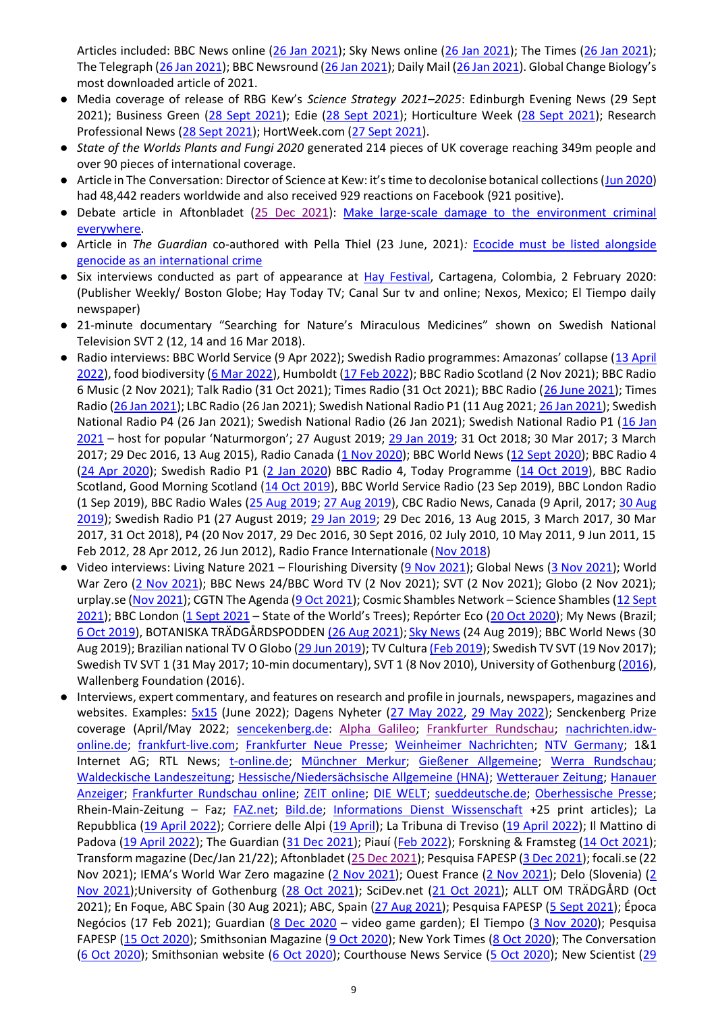Articles included: BBC News online [\(26 Jan 2021\)](https://www.bbc.co.uk/news/science-environment-55795816); Sky News online [\(26 Jan 2021\)](https://news.sky.com/story/scientists-set-out-10-golden-rules-for-reforestation-amid-tree-planting-warnings-12199193); The Times [\(26 Jan 2021\)](https://www.thetimes.co.uk/article/planting-wrong-trees-can-be-at-root-of-climate-issues-gcwq07kh5); The Telegraph [\(26 Jan 2021\)](https://www.telegraph.co.uk/environment/2021/01/26/wrong-trees-wrong-places-can-do-harm-good-warns-kew-study/); BBC Newsround [\(26 Jan 2021\)](https://www.bbc.co.uk/newsround/55797551); Daily Mail [\(26 Jan 2021](https://www.dailymail.co.uk/sciencetech/article-9186553/Scientists-urge-right-tree-right-place-approach-restoring-forests.html)). Global Change Biology's most downloaded article of 2021.

- Media coverage of release of RBG Kew's *Science Strategy 2021–2025*: Edinburgh Evening News (29 Sept 2021); Business Green [\(28 Sept 2021\)](https://www.hortweek.com/rbg-kew-launches-new-science-strategy-stop-biodiversity-loss/parks-and-gardens/article/1728718); Edie (28 Sept 2021); Horticulture Week (28 Sept 2021); Research Professional News [\(28 Sept 2021\)](https://researchprofessionalnews.com/rr-news-uk-charities-and-societies-2021-9-kew-focuses-science-strategy-on-tackling-biodiversity-loss/); HortWeek.com [\(27 Sept 2021\)](https://protect-eu.mimecast.com/s/xC7JCBPyrHVEqZvuWBDKe).
- *State of the Worlds Plants and Fungi 2020* generated 214 pieces of UK coverage reaching 349m people and over 90 pieces of international coverage.
- Article in The Conversation: Director of Science at Kew: it's time to decolonise botanical collections ([Jun 2020\)](https://theconversation.com/director-of-science-at-kew-its-time-to-decolonise-botanical-collections-141070) had 48,442 readers worldwide and also received 929 reactions on Facebook (921 positive).
- Debate article in Aftonbladet [\(25 Dec 2021\)](https://www.aftonbladet.se/debatt/a/Kze2de/gor-storskalig-skada-pa-miljon-brottslig-overallt): [Make large-scale damage to the](https://www.aftonbladet.se/debatt/a/Kze2de/gor-storskalig-skada-pa-miljon-brottslig-overallt) environment criminal [everywhere.](https://www.aftonbladet.se/debatt/a/Kze2de/gor-storskalig-skada-pa-miljon-brottslig-overallt)
- Article in *The Guardian* co-authored with Pella Thiel (23 June, 2021)*:* [Ecocide must be listed alongside](https://www.theguardian.com/environment/commentisfree/2021/jun/22/ecocide-must-be-listed-alongside-genocide-as-an-international-aoe)  [genocide as an international crime](https://www.theguardian.com/environment/commentisfree/2021/jun/22/ecocide-must-be-listed-alongside-genocide-as-an-international-aoe)
- Six interviews conducted as part of appearance at [Hay Festival,](https://www.hayfestival.com/kew-partnership) Cartagena, Colombia, 2 February 2020: (Publisher Weekly/ Boston Globe; Hay Today TV; Canal Sur tv and online; Nexos, Mexico; El Tiempo daily newspaper)
- 21-minute documentary "Searching for Nature's Miraculous Medicines" shown on Swedish National Television SVT 2 (12, 14 and 16 Mar 2018).
- Radio interviews: BBC World Service (9 Apr 2022); Swedish Radio programmes: Amazonas' collapse (13 April [2022\)](https://sverigesradio.se/avsnitt/amazonas-kollaps), food biodiversity [\(6 Mar 2022\)](https://sverigesradio.se/avsnitt/fixar-du-det-har-minst-10-arter-pa-tallriken), Humboldt [\(17 Feb 2022\)](https://sverigesradio.se/avsnitt/bildningsbyran-tanka-mot-strommen-alexander-von-humboldt-en-ny-natursyn); BBC Radio Scotland (2 Nov 2021); BBC Radio 6 Music (2 Nov 2021); Talk Radio (31 Oct 2021); Times Radio (31 Oct 2021); BBC Radio [\(26 June 2021\)](https://protect-eu.mimecast.com/s/aP0hC00B8i2rX5vFpB7pa); Times Radio [\(26 Jan 2021\)](https://protect-eu.mimecast.com/s/564rCmYPqfjNn1oiODaer); LBC Radio (26 Jan 2021); Swedish National Radio P1 (11 Aug 2021[; 26 Jan 2021\)](https://protect-eu.mimecast.com/s/gvXGCql9Qi8j5LyFrTovL); Swedish National Radio P4 (26 Jan 2021); Swedish National Radio (26 Jan 2021); Swedish National Radio P1 [\(16 Jan](https://sverigesradio.se/avsnitt/1638691)  [2021](https://sverigesradio.se/avsnitt/1638691) - host for popular 'Naturmorgon'; 27 August 2019; [29 Jan 2019;](https://sverigesradio.se/sida/avsnitt/1226825?programid=412) 31 Oct 2018; 30 Mar 2017; 3 March 2017; 29 Dec 2016, 13 Aug 2015), Radio Canada [\(1 Nov 2020\)](https://ici.radio-canada.ca/premiere/emissions/les-annees-lumiere); BBC World News [\(12 Sept 2020\)](https://www.bbc.co.uk/sounds/play/w172x7czmg92m9d); BBC Radio 4 [\(24 Apr 2020\)](https://www.bbc.co.uk/sounds/play/m000hmgx); Swedish Radio P1 [\(2 Jan 2020\)](https://sverigesradio.se/sida/artikel.aspx?programid=438&artikel=7377414) BBC Radio 4, Today Programme [\(14 Oct 2019\)](https://www.bbc.co.uk/sounds/play/m00099yk), BBC Radio Scotland, Good Morning Scotland [\(14 Oct 2019\)](https://www.bbc.co.uk/sounds/play/m0009bld), BBC World Service Radio (23 Sep 2019), BBC London Radio (1 Sep 2019), BBC Radio Wales [\(25 Aug 2019;](https://www.bbc.co.uk/sounds/play/m0007x10) [27 Aug 2019\)](https://www.bbc.co.uk/sounds/play/m0007xjc), CBC Radio News, Canada (9 April, 2017[; 30 Aug](https://www.cbc.ca/news/interview-alexandre-antonelli-1.5266589)  [2019\)](https://www.cbc.ca/news/interview-alexandre-antonelli-1.5266589); Swedish Radio P1 (27 August 2019; [29 Jan 2019;](https://sverigesradio.se/sida/avsnitt/1226825?programid=412) 29 Dec 2016, 13 Aug 2015, 3 March 2017, 30 Mar 2017, 31 Oct 2018), P4 (20 Nov 2017, 29 Dec 2016, 30 Sept 2016, 02 July 2010, 10 May 2011, 9 Jun 2011, 15 Feb 2012, 28 Apr 2012, 26 Jun 2012), Radio France Internationale [\(Nov 2018\)](http://br.rfi.fr/europa/20181202-brasil-mundoo-botanico-alexandre-antonelli)
- Video interviews: Living Nature 2021 Flourishing Diversity [\(9 Nov 2021\)](https://www.youtube.com/watch?v=yUPqS7eBqNM); Global News [\(3 Nov 2021\)](https://globalnews.ca/video/8347809/cop26-whats-needed-for-leaders-climate-commitments-to-be-accomplished/,cop26-whats-needed-for-leaders-climate-commitments-to-be-accomplished); World War Zero [\(2 Nov 2021\)](https://www.youtube.com/watch?v=1h1pLQo4CmI&feature=emb_imp_woyt); BBC News 24/BBC Word TV (2 Nov 2021); SVT (2 Nov 2021); Globo (2 Nov 2021); urplay.se [\(Nov 2021\)](https://urplay.se/program/223558-bildningsbyran-tanka-mot-strommen-alexander-von-humboldt-en-ny-natursyn); CGTN The Agenda [\(9 Oct 2021\)](https://newseu.cgtn.com/news/2021-10-09/The-view-from-Kew-40-of-plant-species-threatened-with-extinction-14cn9wpkbL2/index.html); Cosmic Shambles Network – Science Shambles (12 Sept [2021\)](https://youtu.be/hJXmDwuJbzM); BBC London [\(1 Sept 2021](https://www.bbc.co.uk/iplayer/episode/m000z982/bbc-london-evening-news-01092021) – State of the World's Trees); Repórter Eco ([20 Oct 2020\)](https://www.youtube.com/watch?v=Nvk-EvnJLVA&feature=youtu.be); My News (Brazil; [6 Oct 2019\)](https://m.youtube.com/watch?v=Kz-g_UZwZmw), BOTANISKA TRÄDGÅRDSPODDEN [\(26 Aug 2021\)](https://botaniskatradgardspodden.libsyn.com/avsnitt-55-upptck-den-biologiska-mngfalden-idag); Sky News (24 Aug 2019); BBC World News (30 Aug 2019); Brazilian national TV O Globo [\(29 Jun 2019\)](https://g1.globo.com/jornal-hoje/noticia/2019/06/29/jardim-botanico-real-de-londres-reune-mais-de-oito-milhoes-de-itens.ghtml); TV Cultura [\(Feb 2019\)](https://www.youtube.com/watch?v=eAA5s7Ikm8c&feature=youtu.be&fbclid=IwAR07oXiKR81XzSahBpBe0hPbxl_CKioLHOi2VExk6DdP0eu25qCp0brVCfU); Swedish TV SVT (19 Nov 2017); Swedish TV SVT 1 (31 May 2017; 10-min documentary), SVT 1 (8 Nov 2010), University of Gothenburg [\(2016\)](https://youtu.be/-wcezd8bZ3Q), Wallenberg Foundation (2016).
- Interviews, expert commentary, and features on research and profile in journals, newspapers, magazines and websites. Examples: [5x15](https://www.5x15.com/events/5x15-5-speakers-15-minutes-each-june-2022) (June 2022); Dagens Nyheter [\(27 May 2022,](https://www.dn.se/vetenskap/50-ar-av-miljoloften-sverige-brister-i-3-av-4-fall) [29 May 2022\)](https://www.dn.se/vetenskap/allt-fler-lander-stodjer-lag-mot-miljomord-men-inte-sverige/); Senckenberg Prize coverage (April/May 2022; [sencekenberg.de:](https://www.senckenberg.de/en/pressemeldungen/senckenberg-prize-2022-the-world-of-forests/) [Alpha Galileo;](https://www.alphagalileo.org/en-gb/Item-Display/ItemId/220539?returnurl=https://www.alphagalileo.org/en-gb/Item-Display/ItemId/220539) [Frankfurter Rundschau;](https://www.fr.de/frankfurt/auszeichnung-fuerumweltengagement-91514824.html) [nachrichten.idw](https://nachrichten.idw-online.de/2022/04/29/senckenberg-preis-2022-die-welt-der-waelder/?groupcolor=4)[online.de;](https://nachrichten.idw-online.de/2022/04/29/senckenberg-preis-2022-die-welt-der-waelder/?groupcolor=4) [frankfurt-live.com;](https://www.frankfurt-live.com/youth-earth-talk--ndash-forests-for-future-142437.html) [Frankfurter Neue Presse;](https://www.fnp.de/hessen/biologe-und-umweltschuetzerin-erhalten-senckenberg-preise-zr-91512634.html) [Weinheimer Nachrichten;](https://www.wnoz.de/Biologe-und-Umweltschuetzerin-erhalten-Senckenberg-Preise-05219cd0-0ec4-41fc-b571-d59a48cb5fe5-ds) [NTV Germany;](https://www.n-tv.de/regionales/hessen/Biologe-und-Umweltschuetzerin-erhalten-Senckenberg-Preise-article23300186.html) 1&1 Internet AG; RTL News; [t-online.de;](https://www.t-online.de/region/frankfurt-am-main/news/id_92104060/biologe-und-umweltschuetzerin-erhalten-senckenberg-preise.html) [Münchner Merkur;](https://www.merkur.de/deutschland/hessen/biologe-und-umweltschuetzerin-erhalten-senckenberg-preise-zr-91512634.html) [Gießener Allgemeine;](https://www.giessener-allgemeine.de/hessen/biologe-und-umweltschuetzerin-erhalten-senckenberg-preise-zr-91512634.html) [Werra Rundschau;](https://www.werra-rundschau.de/hessen/biologe-und-umweltschuetzerin-erhalten-senckenberg-preise-zr-91512634.html) [Waldeckische Landeszeitung;](https://www.wlz-online.de/nordhessen/biologe-und-umweltschuetzerin-erhalten-senckenberg-preise-zr-91512634.html) [Hessische/Niedersächsische Allgemeine \(HNA\);](https://www.hna.de/hessen/biologe-und-umweltschuetzerin-erhalten-senckenberg-preise-zr-91512634.html) [Wetterauer Zeitung;](https://www.wetterauer-zeitung.de/hessen/biologe-und-umweltschuetzerin-erhalten-senckenberg-preise-zr-91512634.html) [Hanauer](https://www.hanauer.de/hessen/biologe-und-umweltschuetzerin-erhalten-senckenberg-preise-zr-91512634.html)  [Anzeiger;](https://www.hanauer.de/hessen/biologe-und-umweltschuetzerin-erhalten-senckenberg-preise-zr-91512634.html) [Frankfurter Rundschau online;](https://www.fr.de/hessen/biologe-und-umweltschuetzerin-erhalten-senckenberg-preise-zr-91512634.html) [ZEIT online;](https://www.zeit.de/zustimmung?url=https%3A%2F%2Fwww.zeit.de%2Fnews%2F2022-04%2F30%2Fbiologe-und-umweltschuetzerin-erhalten-senckenberg-preise) [DIE WELT;](https://www.welt.de/regionales/hessen/article238471869/Biologe-und-Umweltschuetzerin-erhalten-Senckenberg-Preise.html) [sueddeutsche.de;](https://www.sueddeutsche.de/leben/auszeichnungen-frankfurt-am-main-biologe-und-umweltschuetzerin-erhalten-senckenberg-preise-dpa.urn-newsml-dpa-com-20090101-220430-99-104489) [Oberhessische Presse;](https://www.op-marburg.de/Mehr/Hessen/Panorama/Biologe-und-Umweltschuetzerin-erhalten-Senckenberg-Preise) Rhein-Main-Zeitung - Faz; [FAZ.net;](https://zeitung.faz.net/faz/rhein-main/2022-04-30/optimismus-der-tat/753995.html) [Bild.de;](https://www.bild.de/regional/frankfurt/frankfurt-aktuell/in-frankfurter-paulskirche-maffay-kriegt-musikpreis-79929912.bild.html) [Informations Dienst Wissenschaft](https://idw-online.de/de/news792756) +25 print articles); La Repubblica [\(19 April 2022\)](https://www.repubblica.it/green-and-blue/2022/04/19/news/intelligenza_artificiale_aree_protette_piante_biodiversita-343442255/); Corriere delle Alpi [\(19 April\)](https://corrierealpi.gelocal.it/green-and-blue/2022/04/19/news/intelligenza_artificiale_aree_protette_piante_biodiversita-343442255/); La Tribuna di Treviso [\(19 April 2022\)](https://tribunatreviso.gelocal.it/green-and-blue/2022/04/19/news/intelligenza_artificiale_aree_protette_piante_biodiversita-343442255/); Il Mattino di Padova [\(19 April 2022\)](https://mattinopadova.gelocal.it/green-and-blue/2022/04/19/news/intelligenza_artificiale_aree_protette_piante_biodiversita-343442255/); The Guardian [\(31 Dec 2021\)](https://www.theguardian.com/environment/2019/dec/31/biodiversity-hopes-and-fears-for-the-next-10-years-aoe); Piauí [\(Feb 2022\)](https://piaui.folha.uol.com.br/materia/no-jardim-real/); Forskning & Framsteg [\(14 Oct 2021\)](https://fof.se/artikel/allt-tyder-pa-att-naturen-haller-pa-att-flippa-ur); Transform magazine (Dec/Jan 21/22); Aftonbladet [\(25 Dec 2021\)](https://www.aftonbladet.se/debatt/a/Kze2de/gor-storskalig-skada-pa-miljon-brottslig-overallt); Pesquisa FAPESP [\(3 Dec 2021\)](https://revistapesquisa.fapesp.br/politica-climatica-avanca-ainda-que-a-passos-lentos/); focali.se (22 Nov 2021); IEMA's World War Zero magazine ([2 Nov 2021\)](https://worldwarzero.com/magazine/2021/11/cop26-talks-alexandre-antonelli-royal-botanic-gardens-kew/?emci=bd67ce1d-b53c-ec11-9820-c896653b26c8&emdi=b0a59a9a-c43c-ec11-9820-c896653b26c8&ceid=10674024); Ouest France [\(2 Nov 2021\)](https://www.ouest-france.fr/environnement/cop26-le-monde-promet-encore-de-ne-plus-massacrer-ses-forets-2e0b4790-3c01-11ec-8a6d-f0133bb020c0); Delo (Slovenia) [\(2](https://www.delo.si/novice/svet/po-voditeljih-so-na-vrsti-pogajalci/)  [Nov 2021\)](https://www.delo.si/novice/svet/po-voditeljih-so-na-vrsti-pogajalci/);University of Gothenburg [\(28 Oct 2021\)](https://www.gu.se/nyheter/hoppas-pa-resultat); SciDev.net [\(21 Oct 2021\)](https://www.scidev.net/global/news/climate-finance-critical-for-developing-countries-at-cop26/); ALLT OM TRÄDGÅRD (Oct 2021); En Foque, ABC Spain (30 Aug 2021); ABC, Spain [\(27 Aug 2021\)](https://www.abc.es/sociedad/abci-kew-garden-jardin-botanico-enf-202108272021_reportaje.html); Pesquisa FAPESP [\(5 Sept 2021\)](https://revistapesquisa.fapesp.br/acredito-que-conferencias-hibridas-presenciais-e-virtuais-podem-ser-um-legado-positivo-da-pandemia/); Época Negócios (17 Feb 2021); Guardian [\(8 Dec 2020](https://www.theguardian.com/games/2020/dec/08/a-video-game-garden-the-delights-of-virtual-botany) - video game garden); El Tiempo [\(3 Nov 2020\)](https://www.eltiempo.com/vida/ciencia/explican-las-migraciones-desiguales-entre-los-mamiferos-de-america-546326); Pesquisa FAPESP [\(15 Oct 2020\)](https://revistapesquisa.fapesp.br/plantas-e-fungos-ameacados/); Smithsonian Magazine [\(9 Oct 2020\)](https://www.smithsonianmag.com/smart-news/nearly-half-south-americas-mammals-came-north-america-new-research-may-explain-why-180976035/); New York Times [\(8 Oct 2020\)](https://www.nytimes.com/2020/10/08/science/mammals-south-america-extinction.html?action=click&auth=login-google&module=Well&pgtype=Homepage§ion=Science); The Conversation [\(6 Oct 2020\)](https://stri.si.edu/story/asymmetrical-exchange); Smithsonian website (6 Oct 2020); Courthouse News Service [\(5 Oct 2020\)](https://www.courthousenews.com/when-north-and-south-america-met-northern-mammals-won/); New Scientist (29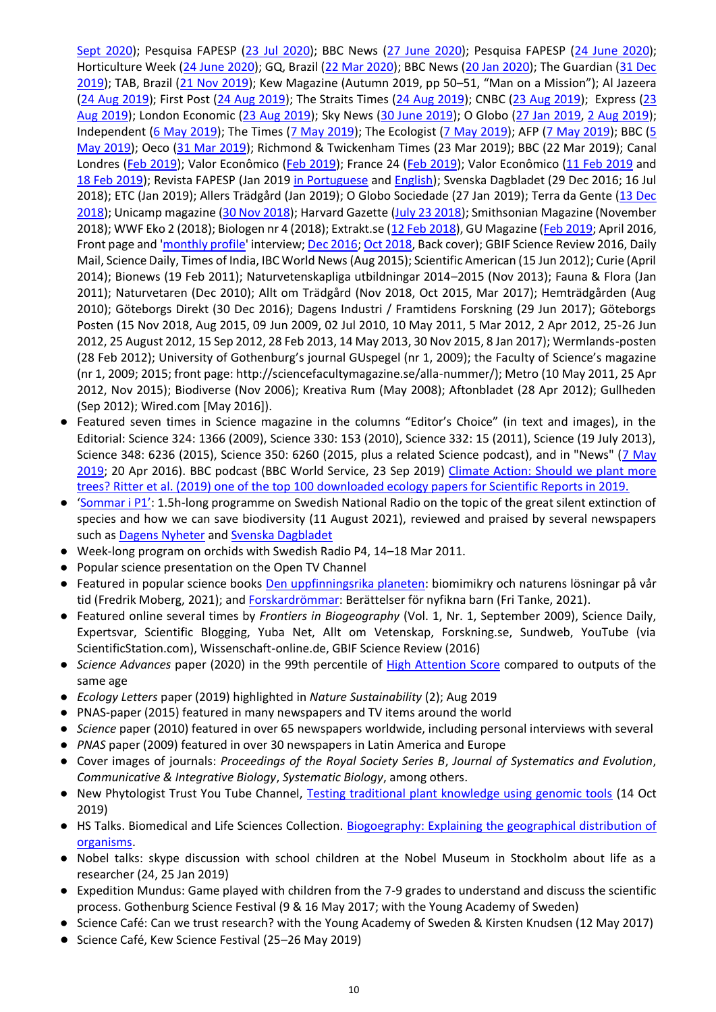[Sept 2020\)](https://www.newscientist.com/article/2255632-nearly-half-of-all-plants-could-be-wiped-out-in-age-of-extinction/); Pesquisa FAPESP [\(23 Jul 2020\)](https://revistapesquisa.fapesp.br/outra-origem-das-especies/); BBC News [\(27 June 2020\)](https://www.bbc.co.uk/news/science-environment-53197650); Pesquisa FAPESP [\(24 June 2020\)](https://revistapesquisa.fapesp.br/outra-origem-das-especies/); Horticulture Week [\(24 June 2020\)](https://www.hortweek.com/kew-science-director-calls-end-imperialist-perspective-plant-discovery/parks-and-gardens/article/1687325); GQ, Brazil [\(22 Mar 2020\)](https://gq.globo.com/Prazeres/noticia/2020/03/noe-das-plantas.html); BBC News [\(20 Jan 2020\)](https://www.bbc.co.uk/news/science-environment-51068816); The Guardian [\(31 Dec](https://www.theguardian.com/environment/2019/dec/31/biodiversity-hopes-and-fears-for-the-next-10-years-aoe)  [2019\)](https://www.theguardian.com/environment/2019/dec/31/biodiversity-hopes-and-fears-for-the-next-10-years-aoe); TAB, Brazil [\(21 Nov 2019\)](https://tab.uol.com.br/noticias/redacao/2019/11/21/cientista-brasileiro-lidera-o-cofre-do-fim-do-mundo-na-inglaterra.htm); Kew Magazine (Autumn 2019, pp 50–51, "Man on a Mission"); Al Jazeera [\(24 Aug 2019\)](https://www.aljazeera.com/news/2019/08/brazil-bolsonaro-sends-army-fight-amazon-fires-190823215538767.html); First Post [\(24 Aug 2019\)](http://bit.ly/2L7qm1Y); The Straits Times [\(24 Aug 2019\)](http://bit.ly/30OXMYw); CNBC [\(23 Aug 2019\)](https://cnb.cx/32iD5om); Express (23 [Aug 2019\)](http://bit.ly/2UcKnHj); London Economic [\(23 Aug 2019\)](http://bit.ly/32eGRPh); Sky News [\(30 June 2019\)](https://news.sky.com/story/wildlife-app-will-encourage-children-to-help-build-species-database-11751672); O Globo [\(27 Jan 2019,](https://oglobo.globo.com/sociedade/sucesso-cientifico-depende-da-colaboracao-diz-biologo-brasileiro-23404161) [2 Aug 2019\)](https://oglobo.globo.com/sociedade/jardim-botanico-do-reino-unido-vai-contribuir-para-reconstrucao-do-acervo-do-museu-nacional-23849689?fbclid=IwAR3JsBYWgKPi_2a8ayB_Ghho5rydBhBB71E9pMe1IQcyfz4h_lvcZ-V0t1w); Independent [\(6 May 2019\)](https://www.independent.co.uk/environment/un-biodiversity-report-2019-human-future-nature-food-green-farming-waste-action-a8901776.html); The Times [\(7 May 2019\)](https://www.thetimes.co.uk/article/rich-countries-must-halt-consumption-un-extinction-report-warns-gdvkdbzs2); The Ecologist [\(7 May 2019\)](https://theecologist.org/2019/may/07/action-needed-stop-biodiversity-collapse); AFP [\(7 May 2019\)](https://www.afp.com/en/news/3954/save-nature-save-ourselves-un-report-pleads-doc-1g61qw2); BBC [\(5](https://www.bbc.com/news/science-environment-48104037?SThisFB&fbclid=IwAR0N1AoIVpJLb1mvm53r1YlrrpeFc6cnhqew8vEsez25gKn1Vja5QixBVdo)  [May 2019\)](https://www.bbc.com/news/science-environment-48104037?SThisFB&fbclid=IwAR0N1AoIVpJLb1mvm53r1YlrrpeFc6cnhqew8vEsez25gKn1Vja5QixBVdo); Oeco [\(31 Mar 2019\)](https://www.oeco.org.br/reportagens/conheca-o-brasileiro-que-comanda-o-maior-jardim-botanico-do-mundo/); Richmond & Twickenham Times (23 Mar 2019); BBC (22 Mar 2019); Canal Londres [\(Feb 2019\)](https://www.youtube.com/watch?v=YV0sucfNlC8&feature=youtu.be); Valor Econômico (Feb 2019); France 24 (Feb 2019); Valor Econômico [\(11 Feb 2019](https://www.valor.com.br/internacional/6112137/reino-unido-sob-apreensao-espera-do-brexit) and [18 Feb 2019\)](https://www.valor.com.br/internacional/6122843/brasileiro-assume-meca-dos-botanicos-do-mundo); Revista FAPESP (Jan 2019 [in Portuguese](https://revistapesquisa.fapesp.br/2019/01/10/alexandre-antonelli-a-frente-da-ciencia-dos-jardins-reais/) and [English\)](https://revistapesquisa.fapesp.br/en/2019/06/26/alexandre-antonelli-at-the-forefront-of-science-in-royal-gardens/); Svenska Dagbladet (29 Dec 2016; 16 Jul 2018); ETC (Jan 2019); Allers Trädgård (Jan 2019); O Globo Sociedade (27 Jan 2019); Terra da Gente [\(13 Dec](https://g1.globo.com/sp/campinas-regiao/terra-da-gente/noticia/2018/12/13/brasileiro-vai-comandar-o-maior-jardim-botanico-do-mundo.ghtml)  [2018\)](https://g1.globo.com/sp/campinas-regiao/terra-da-gente/noticia/2018/12/13/brasileiro-vai-comandar-o-maior-jardim-botanico-do-mundo.ghtml); Unicamp magazine [\(30 Nov 2018\)](http://www.unicamp.br/unicamp/noticias/2018/12/03/da-unicamp-para-o-maior-jardim-botanico-do-mundo); Harvard Gazette [\(July 23 2018\)](https://news.harvard.edu/gazette/story/2018/07/study-says-rainforests-gave-birth-to-worlds-most-varied-tropical-region/); Smithsonian Magazine (November 2018); WWF Eko 2 (2018); Biologen nr 4 (2018); Extrakt.se [\(12 Feb 2018\)](http://www.extrakt.se/biologisk-mangfald/vi-forskare-har-ett-ansvar/), GU Magazine [\(Feb 2019;](https://issuu.com/universityofgothenburg/docs/guj1-2019english) April 2016, Front page and ['monthly profile'](https://issuu.com/universityofgothenburg/docs/gu-journalen2-2016) interview; [Dec 2016;](https://issuu.com/universityofgothenburg/docs/guj6-2016/16) [Oct 2018,](https://issuu.com/universityofgothenburg/docs/guj4-2018eng) Back cover); GBIF Science Review 2016, Daily Mail, Science Daily, Times of India, IBC World News (Aug 2015); Scientific American (15 Jun 2012); Curie (April 2014); Bionews (19 Feb 2011); Naturvetenskapliga utbildningar 2014–2015 (Nov 2013); Fauna & Flora (Jan 2011); Naturvetaren (Dec 2010); Allt om Trädgård (Nov 2018, Oct 2015, Mar 2017); Hemträdgården (Aug 2010); Göteborgs Direkt (30 Dec 2016); Dagens Industri / Framtidens Forskning (29 Jun 2017); Göteborgs Posten (15 Nov 2018, Aug 2015, 09 Jun 2009, 02 Jul 2010, 10 May 2011, 5 Mar 2012, 2 Apr 2012, 25-26 Jun 2012, 25 August 2012, 15 Sep 2012, 28 Feb 2013, 14 May 2013, 30 Nov 2015, 8 Jan 2017); Wermlands-posten (28 Feb 2012); University of Gothenburg's journal GUspegel (nr 1, 2009); the Faculty of Science's magazine (nr 1, 2009; 2015; front page: http://sciencefacultymagazine.se/alla-nummer/); Metro (10 May 2011, 25 Apr 2012, Nov 2015); Biodiverse (Nov 2006); Kreativa Rum (May 2008); Aftonbladet (28 Apr 2012); Gullheden (Sep 2012); Wired.com [May 2016]).

- Featured seven times in Science magazine in the columns "Editor's Choice" (in text and images), in the Editorial: Science 324: 1366 (2009), Science 330: 153 (2010), Science 332: 15 (2011), Science (19 July 2013), Science 348: 6236 (2015), Science 350: 6260 (2015, plus a related Science podcast), and in "News" [\(7 May](https://www.sciencemag.org/news/2019/05/landmark-analysis-documents-alarming-global-decline-nature)  [2019;](https://www.sciencemag.org/news/2019/05/landmark-analysis-documents-alarming-global-decline-nature) 20 Apr 2016). BBC podcast (BBC World Service, 23 Sep 2019) [Climate Action: Should we plant more](https://www.bbc.co.uk/programmes/w3csy786)  [trees?](https://www.bbc.co.uk/programmes/w3csy786) Ritter et al. (2019) one of the top 100 downloaded ecology papers for Scientific Reports in 2019.
- ['Sommar i P1'](https://sverigesradio.se/avsnitt/alexandre-antonelli-sommarprat-2021): 1.5h-long programme on Swedish National Radio on the topic of the great silent extinction of species and how we can save biodiversity (11 August 2021), reviewed and praised by several newspapers such as [Dagens Nyheter](https://www.dn.se/kultur/maria-gunther-alla-borde-hora-alexandre-antonellis-forsvar-for-den-biologiska-mangfalden/) and [Svenska Dagbladet](https://www.svd.se/10-guldkorn-har-ar-arets-basta-sommarpratare)
- Week-long program on orchids with Swedish Radio P4, 14–18 Mar 2011.
- Popular science presentation on the Open TV Channel
- Featured in popular science book[s Den uppfinningsrika planeten:](https://www.nok.se/titlar/a7/den-uppfinningsrika-planeten/) biomimikry och naturens lösningar på vår tid (Fredrik Moberg, 2021); an[d Forskardrömmar:](https://fritanke.se/bokhandel/bocker/forskardrommar/) Berättelser för nyfikna barn (Fri Tanke, 2021).
- Featured online several times by *Frontiers in Biogeography* (Vol. 1, Nr. 1, September 2009), Science Daily, Expertsvar, Scientific Blogging, Yuba Net, Allt om Vetenskap, Forskning.se, Sundweb, YouTube (via ScientificStation.com), Wissenschaft-online.de, GBIF Science Review (2016)
- *Science Advances* paper (2020) in the 99th percentile of [High Attention Score](https://scienceadvances.altmetric.com/details/89489993) compared to outputs of the same age
- *Ecology Letters* paper (2019) highlighted in *Nature Sustainability* (2); Aug 2019
- PNAS-paper (2015) featured in many newspapers and TV items around the world
- *Science* paper (2010) featured in over 65 newspapers worldwide, including personal interviews with several
- *PNAS* paper (2009) featured in over 30 newspapers in Latin America and Europe
- Cover images of journals: *Proceedings of the Royal Society Series B*, *Journal of Systematics and Evolution*, *Communicative & Integrative Biology*, *Systematic Biology*, among others.
- New Phytologist Trust You Tube Channel, [Testing traditional plant knowledge using genomic tools](https://www.youtube.com/watch?v=4negClkVilk) (14 Oct 2019)
- HS Talks. Biomedical and Life Sciences Collection. Biogoegraphy: Explaining the geographical distribution of [organisms.](https://hstalks.com/t/4539/biogeography-explaining-the-geographical-distribut/?biosci)
- Nobel talks: skype discussion with school children at the Nobel Museum in Stockholm about life as a researcher (24, 25 Jan 2019)
- Expedition Mundus: Game played with children from the 7-9 grades to understand and discuss the scientific process. Gothenburg Science Festival (9 & 16 May 2017; with the Young Academy of Sweden)
- Science Café: Can we trust research? with the Young Academy of Sweden & Kirsten Knudsen (12 May 2017)
- Science Café, Kew Science Festival (25–26 May 2019)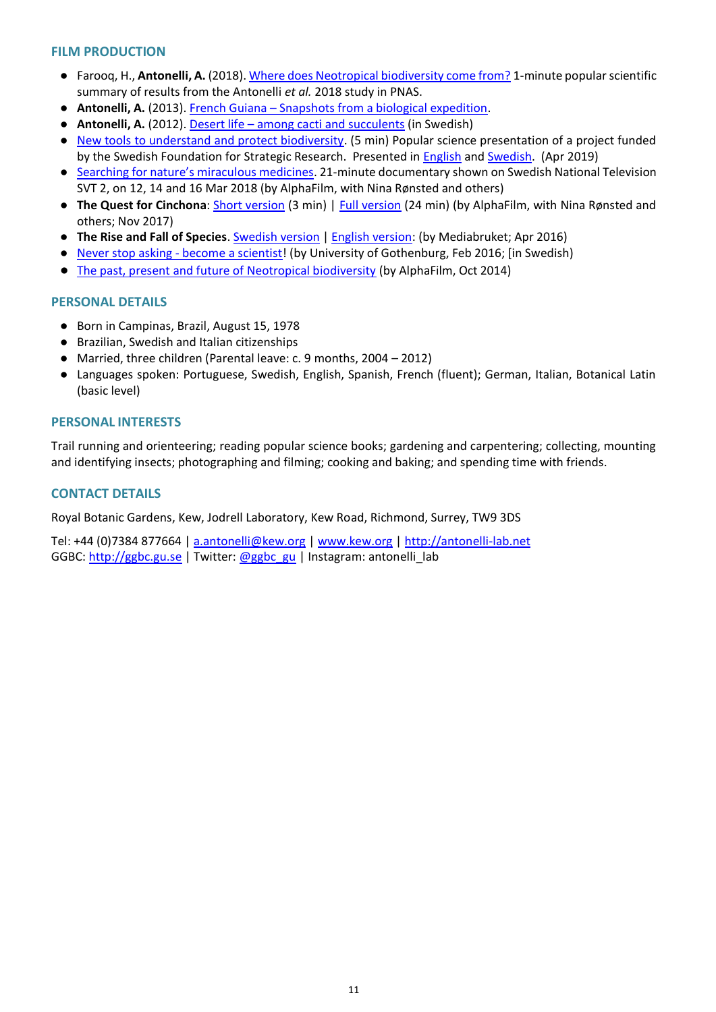#### **FILM PRODUCTION**

- Farooq, H., **Antonelli, A.** (2018)[. Where does Neotropical biodiversity come from?](https://www.facebook.com/GothenburgGlobalBiodiversityCentre/videos/443184162792760/) 1-minute popular scientific summary of results from the Antonelli *et al.* 2018 study in PNAS.
- **Antonelli, A.** (2013). French Guiana [Snapshots from a biological expedition.](http://www.youtube.com/watch?v=AwEaf6bi8Gc)
- **Antonelli, A.** (2012). Desert life [among cacti and succulents](http://youtu.be/uyOQ7uyvgGc) (in Swedish)
- [New tools to understand and protect biodiversity.](https://youtu.be/yvGdschX_Pk) (5 min) Popular science presentation of a project funded by the Swedish Foundation for Strategic Research. Presented in [English](https://strategiska.se/en/?p=2349&preview=true) an[d Swedish.](https://strategiska.se/?p=15622&preview=true) (Apr 2019)
- [Searching for nature's miracu](https://www.svtplay.se/video/17267226/vetenskapens-varld/vetenskapens-varld-sasong-28-liv-pa-mars)lous medicines. 21-minute documentary shown on Swedish National Television SVT 2, on 12, 14 and 16 Mar 2018 (by AlphaFilm, with Nina Rønsted and others)
- **The Quest for Cinchona**: [Short version](http://vimeo.com/108911524) (3 min) | [Full version](https://vimeo.com/229138364) (24 min) (by AlphaFilm, with Nina Rønsted and others; Nov 2017)
- **The Rise and Fall of Species**[. Swedish version](https://youtu.be/ACzK1BaPcrQ) [| English version:](https://youtu.be/zW6cipeWM_w) (by Mediabruket; Apr 2016)
- Never stop asking [become a scientist!](https://youtu.be/-wcezd8bZ3Q) (by University of Gothenburg, Feb 2016; [in Swedish)
- [The past, present and future of Neotropical biodiversity](http://vimeo.com/110472497) (by AlphaFilm, Oct 2014)

#### **PERSONAL DETAILS**

- Born in Campinas, Brazil, August 15, 1978
- Brazilian, Swedish and Italian citizenships
- Married, three children (Parental leave: c. 9 months, 2004 2012)
- Languages spoken: Portuguese, Swedish, English, Spanish, French (fluent); German, Italian, Botanical Latin (basic level)

#### **PERSONAL INTERESTS**

Trail running and orienteering; reading popular science books; gardening and carpentering; collecting, mounting and identifying insects; photographing and filming; cooking and baking; and spending time with friends.

## **CONTACT DETAILS**

Royal Botanic Gardens, Kew, Jodrell Laboratory, Kew Road, Richmond, Surrey, TW9 3DS

Tel: +44 (0)7384 877664 | [a.antonelli@kew.org](mailto:a.antonelli@kew.org) | [www.kew.org](http://www.kew.org/) | [http://antonelli-lab.net](http://antonelli-lab.net/)  GGBC[: http://ggbc.gu.se](http://ggbc.gu.se/) | Twitter: [@ggbc\\_gu](https://twitter.com/GGBC_GU) | Instagram: antonelli\_lab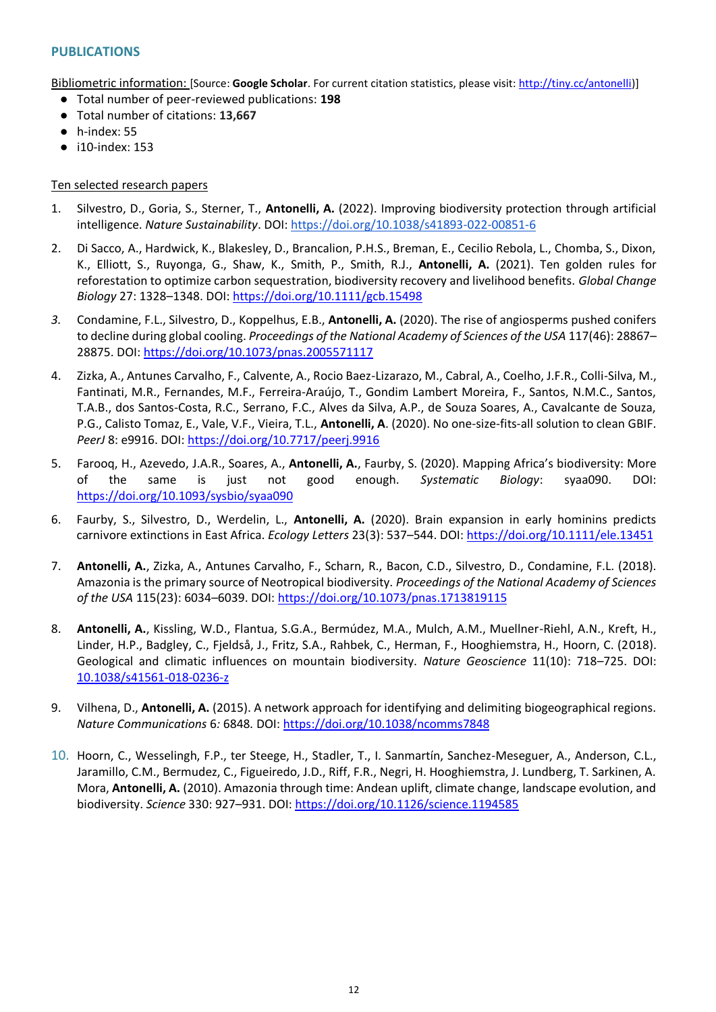## **PUBLICATIONS**

Bibliometric information: [Source: **Google Scholar**. For current citation statistics, please visit[: http://tiny.cc/antonelli\)](http://tiny.cc/antonelli)]

- Total number of peer-reviewed publications: **198**
- Total number of citations: **13,667**
- $\bullet$  h-index: 55
- i10-index: 153

#### Ten selected research papers

- 1. Silvestro, D., Goria, S., Sterner, T., **Antonelli, A.** (2022). Improving biodiversity protection through artificial intelligence. *Nature Sustainability*. DOI[: https://doi.org/10.1038/s41893-022-00851-6](https://doi.org/10.1038/s41893-022-00851-6)
- 2. Di Sacco, A., Hardwick, K., Blakesley, D., Brancalion, P.H.S., Breman, E., Cecilio Rebola, L., Chomba, S., Dixon, K., Elliott, S., Ruyonga, G., Shaw, K., Smith, P., Smith, R.J., **Antonelli, A.** (2021). Ten golden rules for reforestation to optimize carbon sequestration, biodiversity recovery and livelihood benefits. *Global Change Biology* 27: 1328–1348. DOI[: https://doi.org/10.1111/gcb.15498](https://doi.org/10.1111/gcb.15498)
- *3.* Condamine, F.L., Silvestro, D., Koppelhus, E.B., **Antonelli, A.** (2020). The rise of angiosperms pushed conifers to decline during global cooling. *Proceedings of the National Academy of Sciences of the USA* 117(46): 28867– 28875. DOI:<https://doi.org/10.1073/pnas.2005571117>
- 4. Zizka, A., Antunes Carvalho, F., Calvente, A., Rocio Baez-Lizarazo, M., Cabral, A., Coelho, J.F.R., Colli-Silva, M., Fantinati, M.R., Fernandes, M.F., Ferreira-Araújo, T., Gondim Lambert Moreira, F., Santos, N.M.C., Santos, T.A.B., dos Santos-Costa, R.C., Serrano, F.C., Alves da Silva, A.P., de Souza Soares, A., Cavalcante de Souza, P.G., Calisto Tomaz, E., Vale, V.F., Vieira, T.L., **Antonelli, A**. (2020). No one-size-fits-all solution to clean GBIF. *PeerJ* 8: e9916. DOI:<https://doi.org/10.7717/peerj.9916>
- 5. Farooq, H., Azevedo, J.A.R., Soares, A., **Antonelli, A.**, Faurby, S. (2020). Mapping Africa's biodiversity: More of the same is just not good enough. *Systematic Biology*: syaa090. DOI: <https://doi.org/10.1093/sysbio/syaa090>
- 6. Faurby, S., Silvestro, D., Werdelin, L., **Antonelli, A.** (2020). Brain expansion in early hominins predicts carnivore extinctions in East Africa. *Ecology Letters* 23(3): 537–544. DOI:<https://doi.org/10.1111/ele.13451>
- 7. **Antonelli, A.**, Zizka, A., Antunes Carvalho, F., Scharn, R., Bacon, C.D., Silvestro, D., Condamine, F.L. (2018). Amazonia is the primary source of Neotropical biodiversity. *Proceedings of the National Academy of Sciences of the USA* 115(23): 6034–6039. DOI:<https://doi.org/10.1073/pnas.1713819115>
- 8. **Antonelli, A.**, Kissling, W.D., Flantua, S.G.A., Bermúdez, M.A., Mulch, A.M., Muellner-Riehl, A.N., Kreft, H., Linder, H.P., Badgley, C., Fjeldså, J., Fritz, S.A., Rahbek, C., Herman, F., Hooghiemstra, H., Hoorn, C. (2018). Geological and climatic influences on mountain biodiversity. *Nature Geoscience* 11(10): 718–725. DOI: [10.1038/s41561-018-0236-z](https://doi.org/10.1038/s41561-018-0236-z)
- 9. Vilhena, D., **Antonelli, A.** (2015). A network approach for identifying and delimiting biogeographical regions. *Nature Communications* 6*:* 6848*.* DOI:<https://doi.org/10.1038/ncomms7848>
- 10. Hoorn, C., Wesselingh, F.P., ter Steege, H., Stadler, T., I. Sanmartín, Sanchez-Meseguer, A., Anderson, C.L., Jaramillo, C.M., Bermudez, C., Figueiredo, J.D., Riff, F.R., Negri, H. Hooghiemstra, J. Lundberg, T. Sarkinen, A. Mora, **Antonelli, A.** (2010). Amazonia through time: Andean uplift, climate change, landscape evolution, and biodiversity. *Science* 330: 927–931. DOI:<https://doi.org/10.1126/science.1194585>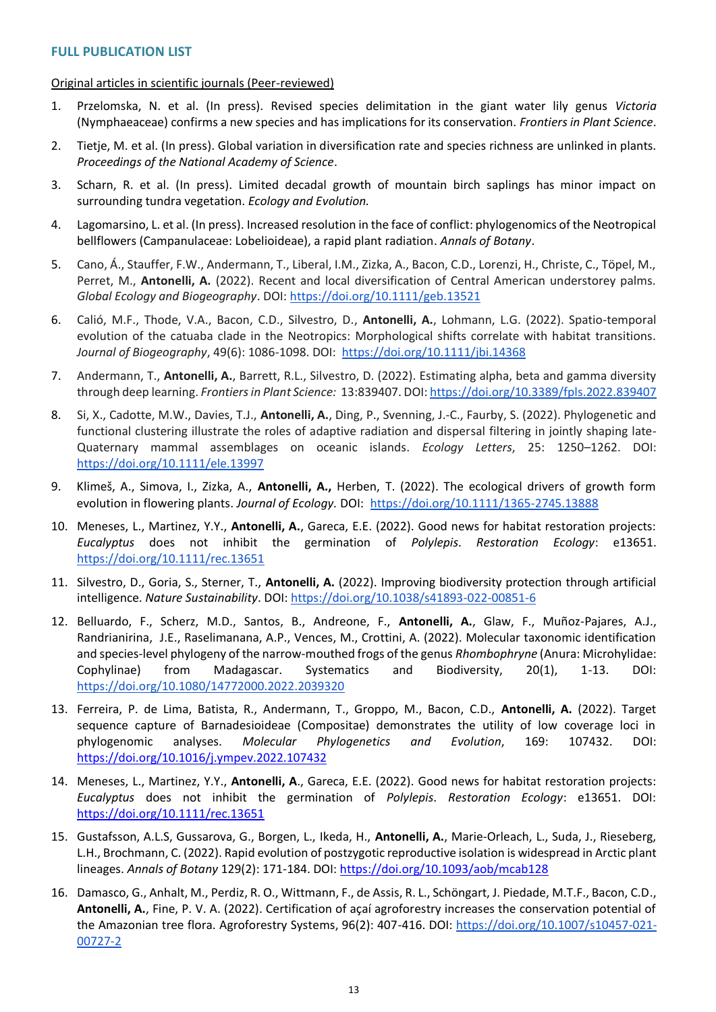#### Original articles in scientific journals (Peer-reviewed)

- 1. Przelomska, N. et al. (In press). Revised species delimitation in the giant water lily genus *Victoria* (Nymphaeaceae) confirms a new species and has implications for its conservation. *Frontiers in Plant Science*.
- 2. Tietje, M. et al. (In press). Global variation in diversification rate and species richness are unlinked in plants. *Proceedings of the National Academy of Science*.
- 3. Scharn, R. et al. (In press). Limited decadal growth of mountain birch saplings has minor impact on surrounding tundra vegetation. *Ecology and Evolution.*
- 4. Lagomarsino, L. et al. (In press). Increased resolution in the face of conflict: phylogenomics of the Neotropical bellflowers (Campanulaceae: Lobelioideae), a rapid plant radiation. *Annals of Botany*.
- 5. Cano, Á., Stauffer, F.W., Andermann, T., Liberal, I.M., Zizka, A., Bacon, C.D., Lorenzi, H., Christe, C., Töpel, M., Perret, M., **Antonelli, A.** (2022). Recent and local diversification of Central American understorey palms. *Global Ecology and Biogeography*. DOI:<https://doi.org/10.1111/geb.13521>
- 6. Calió, M.F., Thode, V.A., Bacon, C.D., Silvestro, D., **Antonelli, A.**, Lohmann, L.G. (2022). Spatio-temporal evolution of the catuaba clade in the Neotropics: Morphological shifts correlate with habitat transitions. *Journal of Biogeography*, 49(6): 1086-1098. DOI: <https://doi.org/10.1111/jbi.14368>
- 7. Andermann, T., **Antonelli, A.**, Barrett, R.L., Silvestro, D. (2022). Estimating alpha, beta and gamma diversity through deep learning. *Frontiers in Plant Science:* 13:839407. DOI[: https://doi.org/10.3389/fpls.2022.839407](https://doi.org/10.3389/fpls.2022.839407)
- 8. Si, X., Cadotte, M.W., Davies, T.J., **Antonelli, A.**, Ding, P., Svenning, J.-C., Faurby, S. (2022). Phylogenetic and functional clustering illustrate the roles of adaptive radiation and dispersal filtering in jointly shaping late-Quaternary mammal assemblages on oceanic islands. *Ecology Letters*, 25: 1250–1262. DOI: <https://doi.org/10.1111/ele.13997>
- 9. Klimeš, A., Simova, I., Zizka, A., **Antonelli, A.,** Herben, T. (2022). The ecological drivers of growth form evolution in flowering plants. *Journal of Ecology.* DOI: <https://doi.org/10.1111/1365-2745.13888>
- 10. Meneses, L., Martinez, Y.Y., **Antonelli, A.**, Gareca, E.E. (2022). Good news for habitat restoration projects: *Eucalyptus* does not inhibit the germination of *Polylepis*. *Restoration Ecology*: e13651. <https://doi.org/10.1111/rec.13651>
- 11. Silvestro, D., Goria, S., Sterner, T., **Antonelli, A.** (2022). Improving biodiversity protection through artificial intelligence. *Nature Sustainability*. DOI[: https://doi.org/10.1038/s41893-022-00851-6](https://doi.org/10.1038/s41893-022-00851-6)
- 12. Belluardo, F., Scherz, M.D., Santos, B., Andreone, F., **Antonelli, A.**, Glaw, F., Muñoz-Pajares, A.J., Randrianirina, J.E., Raselimanana, A.P., Vences, M., Crottini, A. (2022). Molecular taxonomic identification and species-level phylogeny of the narrow-mouthed frogs of the genus *Rhombophryne* (Anura: Microhylidae: Cophylinae) from Madagascar. Systematics and Biodiversity, 20(1), 1-13. DOI: <https://doi.org/10.1080/14772000.2022.2039320>
- 13. Ferreira, P. de Lima, Batista, R., Andermann, T., Groppo, M., Bacon, C.D., **Antonelli, A.** (2022). Target sequence capture of Barnadesioideae (Compositae) demonstrates the utility of low coverage loci in phylogenomic analyses. *Molecular Phylogenetics and Evolution*, 169: 107432. DOI[:](https://doi.org/10.1016/j.ympev.2022.107432) <https://doi.org/10.1016/j.ympev.2022.107432>
- 14. Meneses, L., Martinez, Y.Y., **Antonelli, A**., Gareca, E.E. (2022). Good news for habitat restoration projects: *Eucalyptus* does not inhibit the germination of *Polylepis*. *Restoration Ecology*: e13651. DOI[:](https://doi.org/10.1111/rec.13651) <https://doi.org/10.1111/rec.13651>
- 15. Gustafsson, A.L.S, Gussarova, G., Borgen, L., Ikeda, H., **Antonelli, A.**, Marie-Orleach, L., Suda, J., Rieseberg, L.H., Brochmann, C. (2022). Rapid evolution of postzygotic reproductive isolation is widespread in Arctic plant lineages. *Annals of Botany* 129(2): 171-184. DOI[: https://doi.org/10.1093/aob/mcab128](https://doi.org/10.1093/aob/mcab128)
- 16. Damasco, G., Anhalt, M., Perdiz, R. O., Wittmann, F., de Assis, R. L., Schöngart, J. Piedade, M.T.F., Bacon, C.D., **Antonelli, A.**, Fine, P. V. A. (2022). Certification of açaí agroforestry increases the conservation potential of the Amazonian tree flora. Agroforestry Systems, 96(2): 407-416. DOI: [https://doi.org/10.1007/s10457-021-](https://doi.org/10.1007/s10457-021-00727-2) [00727-2](https://doi.org/10.1007/s10457-021-00727-2)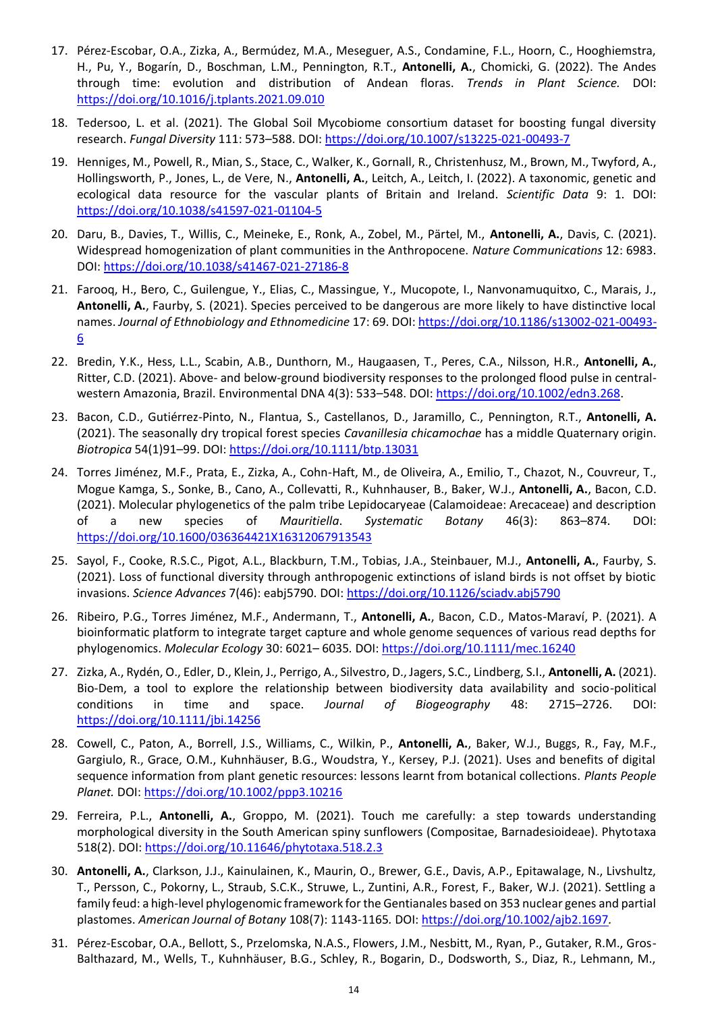- 17. Pérez-Escobar, O.A., Zizka, A., Bermúdez, M.A., Meseguer, A.S., Condamine, F.L., Hoorn, C., Hooghiemstra, H., Pu, Y., Bogarín, D., Boschman, L.M., Pennington, R.T., **Antonelli, A.**, Chomicki, G. (2022). The Andes through time: evolution and distribution of Andean floras. *Trends in Plant Science.* DOI: <https://doi.org/10.1016/j.tplants.2021.09.010>
- 18. Tedersoo, L. et al. (2021). The Global Soil Mycobiome consortium dataset for boosting fungal diversity research. *Fungal Diversity* 111: 573–588. DOI:<https://doi.org/10.1007/s13225-021-00493-7>
- 19. Henniges, M., Powell, R., Mian, S., Stace, C., Walker, K., Gornall, R., Christenhusz, M., Brown, M., Twyford, A., Hollingsworth, P., Jones, L., de Vere, N., **Antonelli, A.**, Leitch, A., Leitch, I. (2022). A taxonomic, genetic and ecological data resource for the vascular plants of Britain and Ireland. *Scientific Data* 9: 1. DOI: <https://doi.org/10.1038/s41597-021-01104-5>
- 20. Daru, B., Davies, T., Willis, C., Meineke, E., Ronk, A., Zobel, M., Pärtel, M., **Antonelli, A.**, Davis, C. (2021). Widespread homogenization of plant communities in the Anthropocene. *Nature Communications* 12: 6983. DOI:<https://doi.org/10.1038/s41467-021-27186-8>
- 21. Farooq, H., Bero, C., Guilengue, Y., Elias, C., Massingue, Y., Mucopote, I., Nanvonamuquitxo, C., Marais, J., **Antonelli, A.**, Faurby, S. (2021). Species perceived to be dangerous are more likely to have distinctive local names. *Journal of Ethnobiology and Ethnomedicine* 17: 69. DOI: [https://doi.org/10.1186/s13002-021-00493-](https://doi.org/10.1186/s13002-021-00493-6) [6](https://doi.org/10.1186/s13002-021-00493-6)
- 22. Bredin, Y.K., Hess, L.L., Scabin, A.B., Dunthorn, M., Haugaasen, T., Peres, C.A., Nilsson, H.R., **Antonelli, A.**, Ritter, C.D. (2021). Above- and below-ground biodiversity responses to the prolonged flood pulse in centralwestern Amazonia, Brazil. Environmental DNA 4(3): 533–548. DOI[: https://doi.org/10.1002/edn3.268.](https://doi.org/10.1002/edn3.268)
- 23. Bacon, C.D., Gutiérrez-Pinto, N., Flantua, S., Castellanos, D., Jaramillo, C., Pennington, R.T., **Antonelli, A.** (2021). The seasonally dry tropical forest species *Cavanillesia chicamochae* has a middle Quaternary origin. *Biotropica* 54(1)91–99. DOI[: https://doi.org/10.1111/btp.13031](https://doi.org/10.1111/btp.13031)
- 24. Torres Jiménez, M.F., Prata, E., Zizka, A., Cohn-Haft, M., de Oliveira, A., Emilio, T., Chazot, N., Couvreur, T., Mogue Kamga, S., Sonke, B., Cano, A., Collevatti, R., Kuhnhauser, B., Baker, W.J., **Antonelli, A.**, Bacon, C.D. (2021). Molecular phylogenetics of the palm tribe Lepidocaryeae (Calamoideae: Arecaceae) and description of a new species of *Mauritiella*. *Systematic Botany* 46(3): 863–874. DOI: <https://doi.org/10.1600/036364421X16312067913543>
- 25. Sayol, F., Cooke, R.S.C., Pigot, A.L., Blackburn, T.M., Tobias, J.A., Steinbauer, M.J., **Antonelli, A.**, Faurby, S. (2021). Loss of functional diversity through anthropogenic extinctions of island birds is not offset by biotic invasions. *Science Advances* 7(46): eabj5790. DOI:<https://doi.org/10.1126/sciadv.abj5790>
- 26. Ribeiro, P.G., Torres Jiménez, M.F., Andermann, T., **Antonelli, A.**, Bacon, C.D., Matos-Maraví, P. (2021). A bioinformatic platform to integrate target capture and whole genome sequences of various read depths for phylogenomics. *Molecular Ecology* 30: 6021– 6035*.* DOI[: https://doi.org/10.1111/mec.16240](https://doi.org/10.1111/mec.16240)
- 27. Zizka, A., Rydén, O., Edler, D., Klein, J., Perrigo, A., Silvestro, D., Jagers, S.C., Lindberg, S.I., **Antonelli, A.** (2021). Bio-Dem, a tool to explore the relationship between biodiversity data availability and socio-political conditions in time and space. *Journal of Biogeography* 48: 2715–2726. DOI: <https://doi.org/10.1111/jbi.14256>
- 28. Cowell, C., Paton, A., Borrell, J.S., Williams, C., Wilkin, P., **Antonelli, A.**, Baker, W.J., Buggs, R., Fay, M.F., Gargiulo, R., Grace, O.M., Kuhnhäuser, B.G., Woudstra, Y., Kersey, P.J. (2021). Uses and benefits of digital sequence information from plant genetic resources: lessons learnt from botanical collections. *Plants People Planet.* DOI:<https://doi.org/10.1002/ppp3.10216>
- 29. Ferreira, P.L., **Antonelli, A.**, Groppo, M. (2021). Touch me carefully: a step towards understanding morphological diversity in the South American spiny sunflowers (Compositae, Barnadesioideae). Phytotaxa 518(2). DOI[: https://doi.org/10.11646/phytotaxa.518.2.3](https://doi.org/10.11646/phytotaxa.518.2.3)
- 30. **Antonelli, A.**, Clarkson, J.J., Kainulainen, K., Maurin, O., Brewer, G.E., Davis, A.P., Epitawalage, N., Livshultz, T., Persson, C., Pokorny, L., Straub, S.C.K., Struwe, L., Zuntini, A.R., Forest, F., Baker, W.J. (2021). Settling a family feud: a high-level phylogenomic framework for the Gentianales based on 353 nuclear genes and partial plastomes. *American Journal of Botany* 108(7): 1143-1165*.* DOI[: https://doi.org/10.1002/ajb2.1697](https://doi.org/10.1002/ajb2.1697)*.*
- 31. Pérez-Escobar, O.A., Bellott, S., Przelomska, N.A.S., Flowers, J.M., Nesbitt, M., Ryan, P., Gutaker, R.M., Gros-Balthazard, M., Wells, T., Kuhnhäuser, B.G., Schley, R., Bogarin, D., Dodsworth, S., Diaz, R., Lehmann, M.,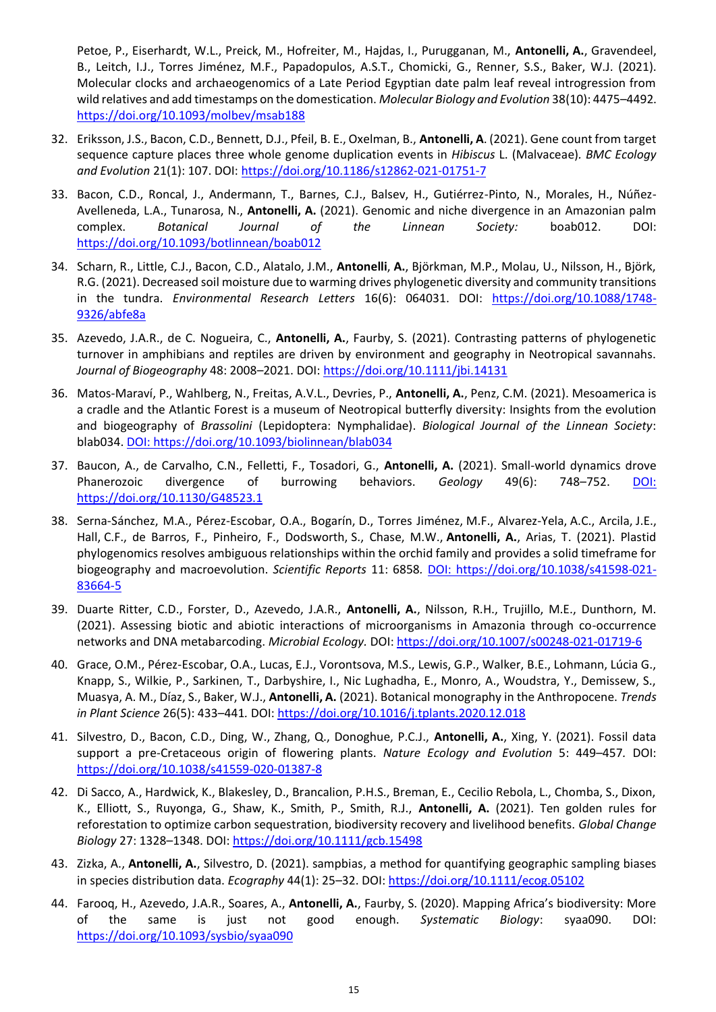Petoe, P., Eiserhardt, W.L., Preick, M., Hofreiter, M., Hajdas, I., Purugganan, M., **Antonelli, A.**, Gravendeel, B., Leitch, I.J., Torres Jiménez, M.F., Papadopulos, A.S.T., Chomicki, G., Renner, S.S., Baker, W.J. (2021). Molecular clocks and archaeogenomics of a Late Period Egyptian date palm leaf reveal introgression from wild relatives and add timestamps on the domestication. *Molecular Biology and Evolution* 38(10): 4475–4492. <https://doi.org/10.1093/molbev/msab188>

- 32. Eriksson, J.S., Bacon, C.D., Bennett, D.J., Pfeil, B. E., Oxelman, B., **Antonelli, A**. (2021). Gene count from target sequence capture places three whole genome duplication events in *Hibiscus* L. (Malvaceae)*. BMC Ecology and Evolution* 21(1): 107. DOI[: https://doi.org/10.1186/s12862-021-01751-7](https://doi.org/10.1186/s12862-021-01751-7)
- 33. Bacon, C.D., Roncal, J., Andermann, T., Barnes, C.J., Balsev, H., Gutiérrez-Pinto, N., Morales, H., Núñez-Avelleneda, L.A., Tunarosa, N., **Antonelli, A.** (2021). Genomic and niche divergence in an Amazonian palm complex. *Botanical Journal of the Linnean Society:* boab012. DOI: <https://doi.org/10.1093/botlinnean/boab012>
- 34. Scharn, R., Little, C.J., Bacon, C.D., Alatalo, J.M., **Antonelli**, **A.**, Björkman, M.P., Molau, U., Nilsson, H., Björk, R.G. (2021). Decreased soil moisture due to warming drives phylogenetic diversity and community transitions in the tundra. *Environmental Research Letters* 16(6): 064031. DOI: [https://doi.org/10.1088/1748-](https://doi.org/10.1088/1748-9326/abfe8a) [9326/abfe8a](https://doi.org/10.1088/1748-9326/abfe8a)
- 35. Azevedo, J.A.R., de C. Nogueira, C., **Antonelli, A.**, Faurby, S. (2021). Contrasting patterns of phylogenetic turnover in amphibians and reptiles are driven by environment and geography in Neotropical savannahs. *Journal of Biogeography* 48: 2008–2021. DOI:<https://doi.org/10.1111/jbi.14131>
- 36. Matos-Maraví, P., Wahlberg, N., Freitas, A.V.L., Devries, P., **Antonelli, A.**, Penz, C.M. (2021). Mesoamerica is a cradle and the Atlantic Forest is a museum of Neotropical butterfly diversity: Insights from the evolution and biogeography of *Brassolini* (Lepidoptera: Nymphalidae). *Biological Journal of the Linnean Society*: blab034. DOI[: https://doi.org/10.1093/biolinnean/blab034](https://doi.org/10.1093/biolinnean/blab034)
- 37. Baucon, A., de Carvalho, C.N., Felletti, F., Tosadori, G., **Antonelli, A.** (2021). Small-world dynamics drove Phanerozoic divergence of burrowing behaviors. *Geology* 49(6): 748–752. DOI: <https://doi.org/10.1130/G48523.1>
- 38. Serna-Sánchez, M.A., Pérez-Escobar, O.A., Bogarín, D., Torres Jiménez, M.F., Alvarez-Yela, A.C., Arcila, J.E., Hall, C.F., de Barros, F., Pinheiro, F., Dodsworth, S., Chase, M.W., **Antonelli, A.**, Arias, T. (2021). Plastid phylogenomics resolves ambiguous relationships within the orchid family and provides a solid timeframe for biogeography and macroevolution. *Scientific Reports* 11: 6858*.* DOI: [https://doi.org/10.1038/s41598-021-](https://doi.org/10.1038/s41598-021-83664-5) [83664-5](https://doi.org/10.1038/s41598-021-83664-5)
- 39. Duarte Ritter, C.D., Forster, D., Azevedo, J.A.R., **Antonelli, A.**, Nilsson, R.H., Trujillo, M.E., Dunthorn, M. (2021). Assessing biotic and abiotic interactions of microorganisms in Amazonia through co-occurrence networks and DNA metabarcoding. *Microbial Ecology.* DOI:<https://doi.org/10.1007/s00248-021-01719-6>
- 40. Grace, O.M., Pérez-Escobar, O.A., Lucas, E.J., Vorontsova, M.S., Lewis, G.P., Walker, B.E., Lohmann, Lúcia G., Knapp, S., Wilkie, P., Sarkinen, T., Darbyshire, I., Nic Lughadha, E., Monro, A., Woudstra, Y., Demissew, S., Muasya, A. M., Díaz, S., Baker, W.J., **Antonelli, A.** (2021). Botanical monography in the Anthropocene. *Trends in Plant Science* 26(5): 433–441*.* DOI:<https://doi.org/10.1016/j.tplants.2020.12.018>
- 41. Silvestro, D., Bacon, C.D., Ding, W., Zhang, Q., Donoghue, P.C.J., **Antonelli, A.**, Xing, Y. (2021). Fossil data support a pre-Cretaceous origin of flowering plants. *Nature Ecology and Evolution* 5: 449–457*.* DOI: <https://doi.org/10.1038/s41559-020-01387-8>
- 42. Di Sacco, A., Hardwick, K., Blakesley, D., Brancalion, P.H.S., Breman, E., Cecilio Rebola, L., Chomba, S., Dixon, K., Elliott, S., Ruyonga, G., Shaw, K., Smith, P., Smith, R.J., **Antonelli, A.** (2021). Ten golden rules for reforestation to optimize carbon sequestration, biodiversity recovery and livelihood benefits. *Global Change Biology* 27: 1328–1348. DOI[: https://doi.org/10.1111/gcb.15498](https://doi.org/10.1111/gcb.15498)
- 43. Zizka, A., **Antonelli, A.**, Silvestro, D. (2021). sampbias, a method for quantifying geographic sampling biases in species distribution data. *Ecography* 44(1): 25–32. DOI:<https://doi.org/10.1111/ecog.05102>
- 44. Farooq, H., Azevedo, J.A.R., Soares, A., **Antonelli, A.**, Faurby, S. (2020). Mapping Africa's biodiversity: More of the same is just not good enough. *Systematic Biology*: syaa090. DOI: <https://doi.org/10.1093/sysbio/syaa090>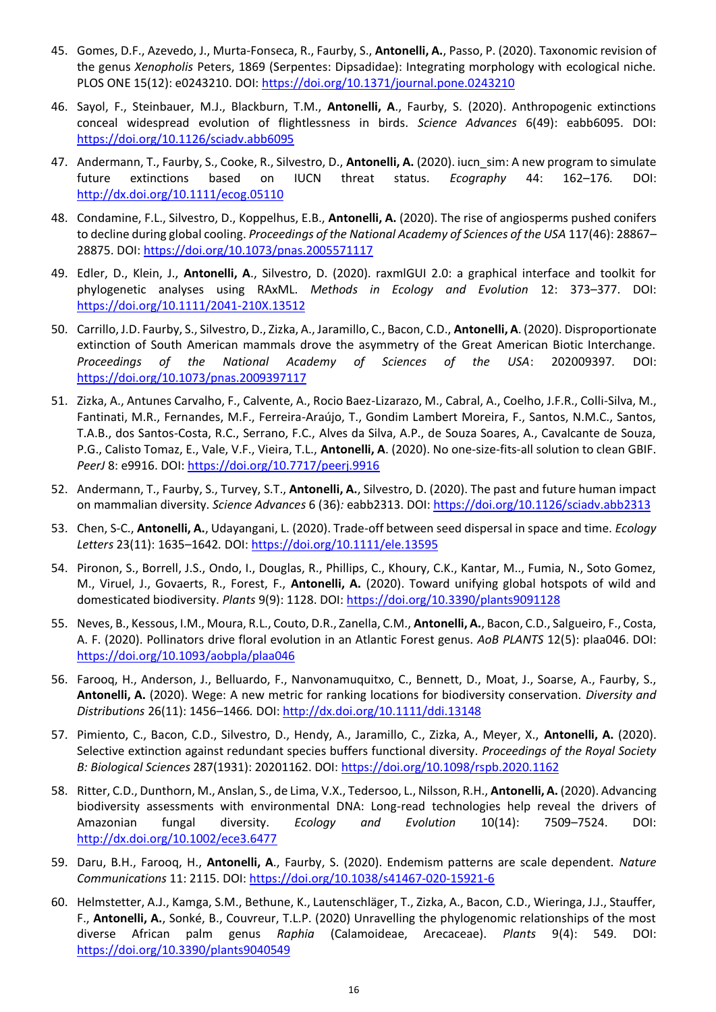- 45. Gomes, D.F., Azevedo, J., Murta-Fonseca, R., Faurby, S., **Antonelli, A.**, Passo, P. (2020). Taxonomic revision of the genus *Xenopholis* Peters, 1869 (Serpentes: Dipsadidae): Integrating morphology with ecological niche. PLOS ONE 15(12): e0243210. DOI[: https://doi.org/10.1371/journal.pone.0243210](https://doi.org/10.1371/journal.pone.0243210)
- 46. Sayol, F., Steinbauer, M.J., Blackburn, T.M., **Antonelli, A**., Faurby, S. (2020). Anthropogenic extinctions conceal widespread evolution of flightlessness in birds. *Science Advances* 6(49): eabb6095. DOI: <https://doi.org/10.1126/sciadv.abb6095>
- 47. Andermann, T., Faurby, S., Cooke, R., Silvestro, D., **Antonelli, A.** (2020). iucn\_sim: A new program to simulate future extinctions based on IUCN threat status. *Ecography* 44: 162–176*.* DOI: [http://dx.doi.org/10.1111/ecog.05110](https://protect-eu.mimecast.com/s/wSDvCwKl0uG28KyIqD51e)
- 48. Condamine, F.L., Silvestro, D., Koppelhus, E.B., **Antonelli, A.** (2020). The rise of angiosperms pushed conifers to decline during global cooling. *Proceedings of the National Academy of Sciences of the USA* 117(46): 28867– 28875. DOI:<https://doi.org/10.1073/pnas.2005571117>
- 49. Edler, D., Klein, J., **Antonelli, A**., Silvestro, D. (2020). raxmlGUI 2.0: a graphical interface and toolkit for phylogenetic analyses using RAxML. *Methods in Ecology and Evolution* 12: 373–377. DOI: <https://doi.org/10.1111/2041-210X.13512>
- 50. Carrillo, J.D. Faurby, S., Silvestro, D., Zizka, A., Jaramillo, C., Bacon, C.D., **Antonelli, A**. (2020). Disproportionate extinction of South American mammals drove the asymmetry of the Great American Biotic Interchange. *Proceedings of the National Academy of Sciences of the USA*: 202009397*.* DOI: <https://doi.org/10.1073/pnas.2009397117>
- 51. Zizka, A., Antunes Carvalho, F., Calvente, A., Rocio Baez-Lizarazo, M., Cabral, A., Coelho, J.F.R., Colli-Silva, M., Fantinati, M.R., Fernandes, M.F., Ferreira-Araújo, T., Gondim Lambert Moreira, F., Santos, N.M.C., Santos, T.A.B., dos Santos-Costa, R.C., Serrano, F.C., Alves da Silva, A.P., de Souza Soares, A., Cavalcante de Souza, P.G., Calisto Tomaz, E., Vale, V.F., Vieira, T.L., **Antonelli, A**. (2020). No one-size-fits-all solution to clean GBIF. *PeerJ* 8: e9916. DOI:<https://doi.org/10.7717/peerj.9916>
- 52. Andermann, T., Faurby, S., Turvey, S.T., **Antonelli, A.**, Silvestro, D. (2020). The past and future human impact on mammalian diversity. *Science Advances* 6 (36)*:* eabb2313. DOI:<https://doi.org/10.1126/sciadv.abb2313>
- 53. Chen, S-C., **Antonelli, A.**, Udayangani, L. (2020). Trade-off between seed dispersal in space and time. *Ecology Letters* 23(11): 1635–1642*.* DOI:<https://doi.org/10.1111/ele.13595>
- 54. Pironon, S., Borrell, J.S., Ondo, I., Douglas, R., Phillips, C., Khoury, C.K., Kantar, M.., Fumia, N., Soto Gomez, M., Viruel, J., Govaerts, R., Forest, F., **Antonelli, A.** (2020). Toward unifying global hotspots of wild and domesticated biodiversity. *Plants* 9(9): 1128. DOI:<https://doi.org/10.3390/plants9091128>
- 55. Neves, B., Kessous, I.M., Moura, R.L., Couto, D.R., Zanella, C.M., **Antonelli, A.**, Bacon, C.D., Salgueiro, F., Costa, A. F. (2020). Pollinators drive floral evolution in an Atlantic Forest genus. *AoB PLANTS* 12(5): plaa046. DOI: <https://doi.org/10.1093/aobpla/plaa046>
- 56. Farooq, H., Anderson, J., Belluardo, F., Nanvonamuquitxo, C., Bennett, D., Moat, J., Soarse, A., Faurby, S., **Antonelli, A.** (2020). Wege: A new metric for ranking locations for biodiversity conservation. *Diversity and Distributions* 26(11): 1456–1466*.* DOI:<http://dx.doi.org/10.1111/ddi.13148>
- 57. Pimiento, C., Bacon, C.D., Silvestro, D., Hendy, A., Jaramillo, C., Zizka, A., Meyer, X., **Antonelli, A.** (2020). Selective extinction against redundant species buffers functional diversity. *Proceedings of the Royal Society B: Biological Sciences* 287(1931): 20201162. DOI:<https://doi.org/10.1098/rspb.2020.1162>
- 58. Ritter, C.D., Dunthorn, M., Anslan, S., de Lima, V.X., Tedersoo, L., Nilsson, R.H., **Antonelli, A.** (2020). Advancing biodiversity assessments with environmental DNA: Long-read technologies help reveal the drivers of Amazonian fungal diversity. *Ecology and Evolution* 10(14): 7509–7524. DOI: <http://dx.doi.org/10.1002/ece3.6477>
- 59. Daru, B.H., Farooq, H., **Antonelli, A**., Faurby, S. (2020). Endemism patterns are scale dependent. *Nature Communications* 11: 2115. DOI:<https://doi.org/10.1038/s41467-020-15921-6>
- 60. Helmstetter, A.J., Kamga, S.M., Bethune, K., Lautenschläger, T., Zizka, A., Bacon, C.D., Wieringa, J.J., Stauffer, F., **Antonelli, A.**, Sonké, B., Couvreur, T.L.P. (2020) Unravelling the phylogenomic relationships of the most diverse African palm genus *Raphia* (Calamoideae, Arecaceae). *Plants* 9(4): 549. DOI: <https://doi.org/10.3390/plants9040549>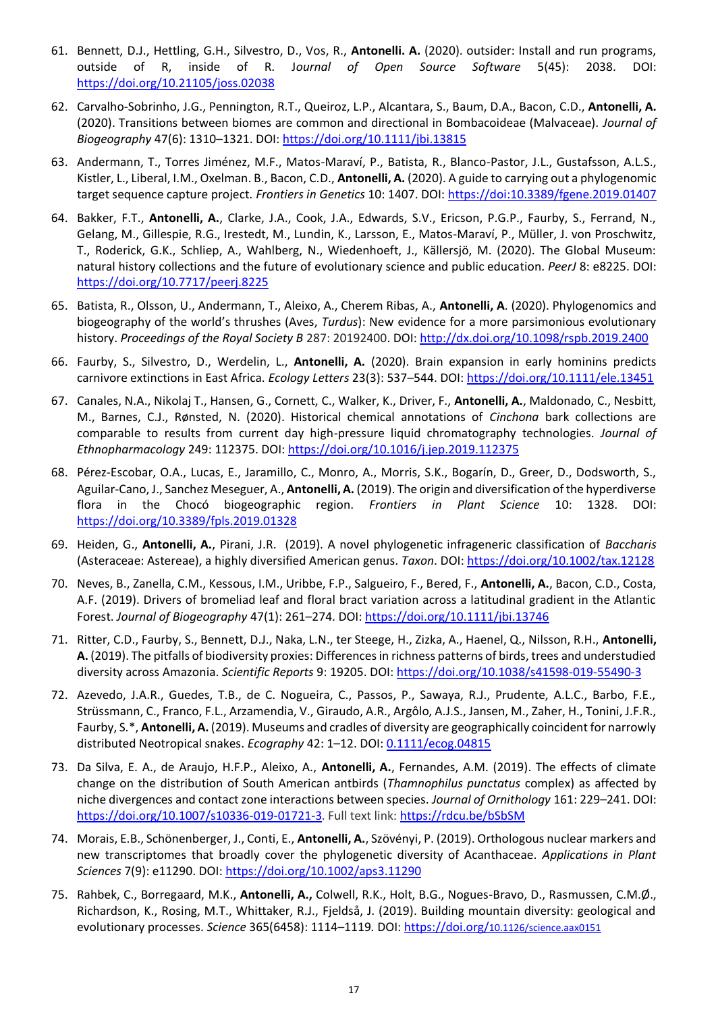- 61. Bennett, D.J., Hettling, G.H., Silvestro, D., Vos, R., **Antonelli. A.** (2020). outsider: Install and run programs, outside of R, inside of R. J*ournal of Open Source Software* 5(45): 2038. DOI: <https://doi.org/10.21105/joss.02038>
- 62. Carvalho-Sobrinho, J.G., Pennington, R.T., Queiroz, L.P., Alcantara, S., Baum, D.A., Bacon, C.D., **Antonelli, A.** (2020). Transitions between biomes are common and directional in Bombacoideae (Malvaceae). *Journal of Biogeography* 47(6): 1310–1321. DOI:<https://doi.org/10.1111/jbi.13815>
- 63. Andermann, T., Torres Jiménez, M.F., Matos-Maraví, P., Batista, R., Blanco-Pastor, J.L., Gustafsson, A.L.S., Kistler, L., Liberal, I.M., Oxelman. B., Bacon, C.D., **Antonelli, A.** (2020). A guide to carrying out a phylogenomic target sequence capture project. *Frontiers in Genetics* 10: 1407. DOI: [https://doi:10.3389/fgene.2019.01407](about:blank)
- 64. Bakker, F.T., **Antonelli, A.**, Clarke, J.A., Cook, J.A., Edwards, S.V., Ericson, P.G.P., Faurby, S., Ferrand, N., Gelang, M., Gillespie, R.G., Irestedt, M., Lundin, K., Larsson, E., Matos-Maraví, P., Müller, J. von Proschwitz, T., Roderick, G.K., Schliep, A., Wahlberg, N., Wiedenhoeft, J., Källersjö, M. (2020). The Global Museum: natural history collections and the future of evolutionary science and public education. *PeerJ* 8: e8225. DOI: <https://doi.org/10.7717/peerj.8225>
- 65. Batista, R., Olsson, U., Andermann, T., Aleixo, A., Cherem Ribas, A., **Antonelli, A**. (2020). Phylogenomics and biogeography of the world's thrushes (Aves, *Turdus*): New evidence for a more parsimonious evolutionary history. *Proceedings of the Royal Society B* 287: 20192400. DOI:<http://dx.doi.org/10.1098/rspb.2019.2400>
- 66. Faurby, S., Silvestro, D., Werdelin, L., **Antonelli, A.** (2020). Brain expansion in early hominins predicts carnivore extinctions in East Africa. *Ecology Letters* 23(3): 537–544. DOI:<https://doi.org/10.1111/ele.13451>
- 67. Canales, N.A., Nikolaj T., Hansen, G., Cornett, C., Walker, K., Driver, F., **Antonelli, A.**, Maldonado, C., Nesbitt, M., Barnes, C.J., Rønsted, N. (2020). Historical chemical annotations of *Cinchona* bark collections are comparable to results from current day high-pressure liquid chromatography technologies. *Journal of Ethnopharmacology* 249: 112375. DOI[: https://doi.org/10.1016/j.jep.2019.112375](https://doi.org/10.1016/j.jep.2019.112375)
- 68. Pérez-Escobar, O.A., Lucas, E., Jaramillo, C., Monro, A., Morris, S.K., Bogarín, D., Greer, D., Dodsworth, S., Aguilar-Cano, J., Sanchez Meseguer, A., **Antonelli, A.** (2019). The origin and diversification of the hyperdiverse flora in the Chocó biogeographic region. *Frontiers in Plant Science* 10: 1328. DOI: <https://doi.org/10.3389/fpls.2019.01328>
- 69. Heiden, G., **Antonelli, A.**, Pirani, J.R. (2019). A novel phylogenetic infrageneric classification of *Baccharis* (Asteraceae: Astereae), a highly diversified American genus. *Taxon*. DOI[: https://doi.org/10.1002/tax.12128](https://doi.org/10.1002/tax.12128)
- 70. Neves, B., Zanella, C.M., Kessous, I.M., Uribbe, F.P., Salgueiro, F., Bered, F., **Antonelli, A.**, Bacon, C.D., Costa, A.F. (2019). Drivers of bromeliad leaf and floral bract variation across a latitudinal gradient in the Atlantic Forest. *Journal of Biogeography* 47(1): 261–274. DOI[: https://doi.org/10.1111/jbi.13746](https://doi.org/10.1111/jbi.13746)
- 71. Ritter, C.D., Faurby, S., Bennett, D.J., Naka, L.N., ter Steege, H., Zizka, A., Haenel, Q., Nilsson, R.H., **Antonelli, A.** (2019). The pitfalls of biodiversity proxies: Differences in richness patterns of birds, trees and understudied diversity across Amazonia. *Scientific Reports* 9: 19205. DOI[: https://doi.org/10.1038/s41598-019-55490-3](https://doi.org/10.1038/s41598-019-55490-3)
- 72. Azevedo, J.A.R., Guedes, T.B., de C. Nogueira, C., Passos, P., Sawaya, R.J., Prudente, A.L.C., Barbo, F.E., Strüssmann, C., Franco, F.L., Arzamendia, V., Giraudo, A.R., Argôlo, A.J.S., Jansen, M., Zaher, H., Tonini, J.F.R., Faurby, S.\*, **Antonelli, A.** (2019). Museums and cradles of diversity are geographically coincident for narrowly distributed Neotropical snakes. *Ecography* 42: 1–12. DOI[: 0.1111/ecog.04815](https://onlinelibrary.wiley.com/doi/epdf/10.1111/ecog.04815)
- 73. Da Silva, E. A., de Araujo, H.F.P., Aleixo, A., **Antonelli, A.**, Fernandes, A.M. (2019). The effects of climate change on the distribution of South American antbirds (*Thamnophilus punctatus* complex) as affected by niche divergences and contact zone interactions between species. *Journal of Ornithology* 161: 229–241. DOI: [https://doi.org/10.1007/s10336-019-01721-3.](https://doi.org/10.1007/s10336-019-01721-3) Full text link[: https://rdcu.be/bSbSM](https://rdcu.be/bSbSM)
- 74. Morais, E.B., Schönenberger, J., Conti, E., **Antonelli, A.**, Szövényi, P. (2019). Orthologous nuclear markers and new transcriptomes that broadly cover the phylogenetic diversity of Acanthaceae. *Applications in Plant Sciences* 7(9): e11290. DOI[: https://doi.org/10.1002/aps3.11290](https://doi.org/10.1002/aps3.11290)
- 75. Rahbek, C., Borregaard, M.K., **Antonelli, A.,** Colwell, R.K., Holt, B.G., Nogues-Bravo, D., Rasmussen, C.M.Ø., Richardson, K., Rosing, M.T., Whittaker, R.J., Fjeldså, J. (2019). Building mountain diversity: geological and evolutionary processes. *Science* 365(6458): 1114–1119*.* DOI: [https://doi.org/](https://doi.org/10.1126/science.aax0151)[10.1126/science.aax0151](https://doi.org/10.1126/science.aax0151)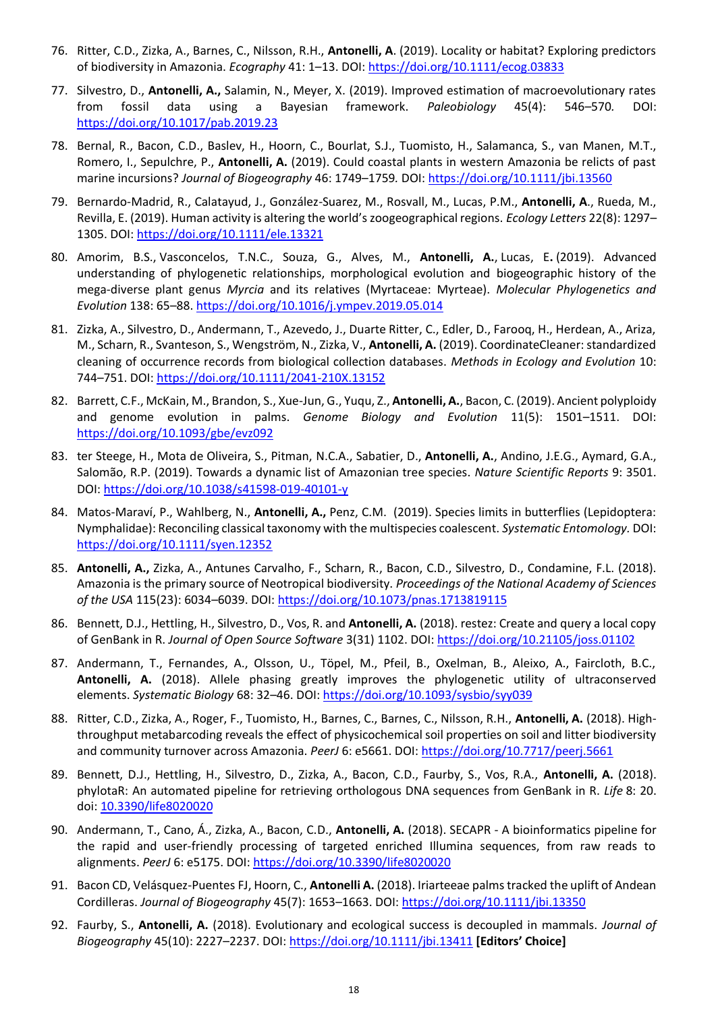- 76. Ritter, C.D., Zizka, A., Barnes, C., Nilsson, R.H., **Antonelli, A**. (2019). Locality or habitat? Exploring predictors of biodiversity in Amazonia. *Ecography* 41: 1–13. DOI:<https://doi.org/10.1111/ecog.03833>
- 77. Silvestro, D., **Antonelli, A.,** Salamin, N., Meyer, X. (2019). Improved estimation of macroevolutionary rates from fossil data using a Bayesian framework. *Paleobiology* 45(4): 546–570*.* DOI: <https://doi.org/10.1017/pab.2019.23>
- 78. Bernal, R., Bacon, C.D., Baslev, H., Hoorn, C., Bourlat, S.J., Tuomisto, H., Salamanca, S., van Manen, M.T., Romero, I., Sepulchre, P., **Antonelli, A.** (2019). Could coastal plants in western Amazonia be relicts of past marine incursions? *Journal of Biogeography* 46: 1749–1759*.* DOI:<https://doi.org/10.1111/jbi.13560>
- 79. Bernardo-Madrid, R., Calatayud, J., González-Suarez, M., Rosvall, M., Lucas, P.M., **Antonelli, A**., Rueda, M., Revilla, E. (2019). Human activity is altering the world's zoogeographical regions. *Ecology Letters* 22(8): 1297– 1305. DOI[: https://doi.org/10.1111/ele.13321](https://doi.org/10.1111/ele.13321)
- 80. Amorim, B.S., Vasconcelos, T.N.C., Souza, G., Alves, M., **Antonelli, A.**, Lucas, E**.** (2019). Advanced understanding of phylogenetic relationships, morphological evolution and biogeographic history of the mega-diverse plant genus *Myrcia* and its relatives (Myrtaceae: Myrteae). *Molecular Phylogenetics and Evolution* 138: 65–88.<https://doi.org/10.1016/j.ympev.2019.05.014>
- 81. Zizka, A., Silvestro, D., Andermann, T., Azevedo, J., Duarte Ritter, C., Edler, D., Farooq, H., Herdean, A., Ariza, M., Scharn, R., Svanteson, S., Wengström, N., Zizka, V., **Antonelli, A.** (2019). CoordinateCleaner: standardized cleaning of occurrence records from biological collection databases. *Methods in Ecology and Evolution* 10: 744–751. DOI:<https://doi.org/10.1111/2041-210X.13152>
- 82. Barrett, C.F., McKain, M., Brandon, S., Xue-Jun, G., Yuqu, Z., **Antonelli, A.**, Bacon, C. (2019). Ancient polyploidy and genome evolution in palms. *Genome Biology and Evolution* 11(5): 1501–1511. DOI: <https://doi.org/10.1093/gbe/evz092>
- 83. ter Steege, H., Mota de Oliveira, S., Pitman, N.C.A., Sabatier, D., **Antonelli, A.**, Andino, J.E.G., Aymard, G.A., Salomão, R.P. (2019). Towards a dynamic list of Amazonian tree species. *Nature Scientific Reports* 9: 3501. DOI:<https://doi.org/10.1038/s41598-019-40101-y>
- 84. Matos-Maraví, P., Wahlberg, N., **Antonelli, A.,** Penz, C.M. (2019). Species limits in butterflies (Lepidoptera: Nymphalidae): Reconciling classical taxonomy with the multispecies coalescent. *Systematic Entomology.* DOI: <https://doi.org/10.1111/syen.12352>
- 85. **Antonelli, A.,** Zizka, A., Antunes Carvalho, F., Scharn, R., Bacon, C.D., Silvestro, D., Condamine, F.L. (2018). Amazonia is the primary source of Neotropical biodiversity. *Proceedings of the National Academy of Sciences of the USA* 115(23): 6034–6039. DOI:<https://doi.org/10.1073/pnas.1713819115>
- 86. Bennett, D.J., Hettling, H., Silvestro, D., Vos, R. and **Antonelli, A.** (2018). restez: Create and query a local copy of GenBank in R. *Journal of Open Source Software* 3(31) 1102. DOI: <https://doi.org/10.21105/joss.01102>
- 87. Andermann, T., Fernandes, A., Olsson, U., Töpel, M., Pfeil, B., Oxelman, B., Aleixo, A., Faircloth, B.C., **Antonelli, A.** (2018). Allele phasing greatly improves the phylogenetic utility of ultraconserved elements. *Systematic Biology* 68: 32–46. DOI[: https://doi.org/10.1093/sysbio/syy039](https://doi.org/10.1093/sysbio/syy039)
- 88. Ritter, C.D., Zizka, A., Roger, F., Tuomisto, H., Barnes, C., Barnes, C., Nilsson, R.H., **Antonelli, A.** (2018). Highthroughput metabarcoding reveals the effect of physicochemical soil properties on soil and litter biodiversity and community turnover across Amazonia. *PeerJ* 6: e5661. DOI:<https://doi.org/10.7717/peerj.5661>
- 89. Bennett, D.J., Hettling, H., Silvestro, D., Zizka, A., Bacon, C.D., Faurby, S., Vos, R.A., **Antonelli, A.** (2018). phylotaR: An automated pipeline for retrieving orthologous DNA sequences from GenBank in R. *Life* 8: 20. doi[: 10.3390/life8020020](about:blank)
- 90. Andermann, T., Cano, Á., Zizka, A., Bacon, C.D., **Antonelli, A.** (2018). SECAPR A bioinformatics pipeline for the rapid and user-friendly processing of targeted enriched Illumina sequences, from raw reads to alignments. *PeerJ* 6: e5175. DOI[: https://doi.org/10.3390/life8020020](https://doi.org/10.3390/life8020020)
- 91. Bacon CD, Velásquez-Puentes FJ, Hoorn, C., **Antonelli A.** (2018). Iriarteeae palms tracked the uplift of Andean Cordilleras. *Journal of Biogeography* 45(7): 1653–1663. DOI:<https://doi.org/10.1111/jbi.13350>
- 92. Faurby, S., **Antonelli, A.** (2018). Evolutionary and ecological success is decoupled in mammals. *Journal of Biogeography* 45(10): 2227–2237. DOI[: https://doi.org/10.1111/jbi.13411](https://doi.org/10.1111/jbi.13411) **[Editors' Choice]**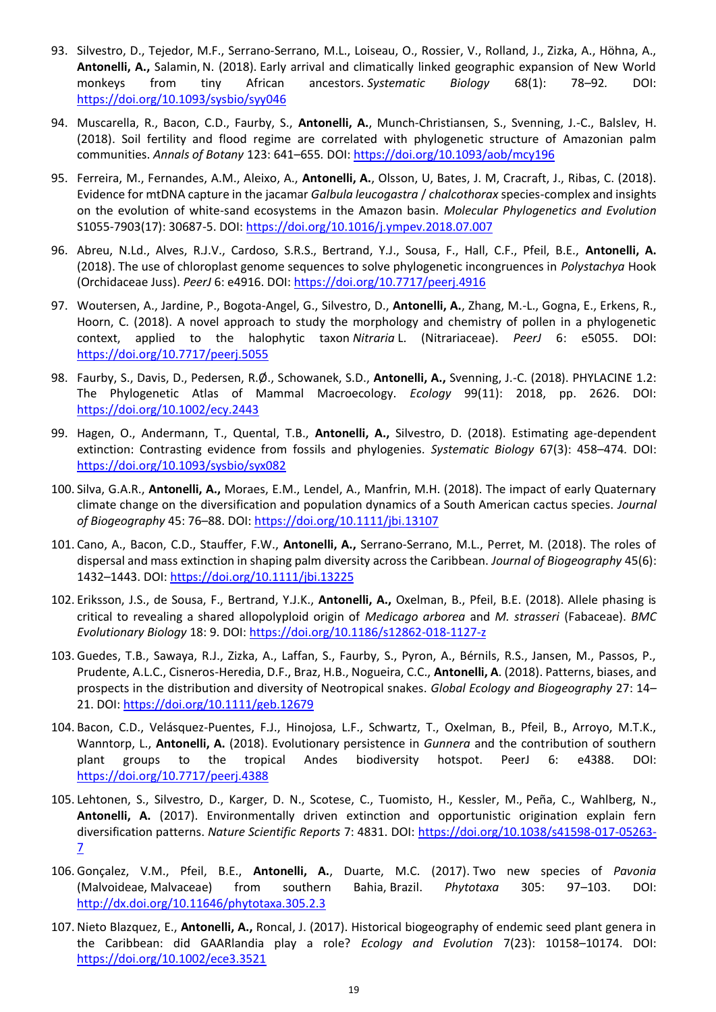- 93. Silvestro, D., Tejedor, M.F., Serrano-Serrano, M.L., Loiseau, O., Rossier, V., Rolland, J., Zizka, A., Höhna, A., **Antonelli, A.,** Salamin,N. (2018). Early arrival and climatically linked geographic expansion of New World monkeys from tiny African ancestors. *Systematic Biology* 68(1): 78–92*.* DOI: <https://doi.org/10.1093/sysbio/syy046>
- 94. Muscarella, R., Bacon, C.D., Faurby, S., **Antonelli, A.**, Munch-Christiansen, S., Svenning, J.-C., Balslev, H. (2018). Soil fertility and flood regime are correlated with phylogenetic structure of Amazonian palm communities. *Annals of Botany* 123: 641–655*.* DOI:<https://doi.org/10.1093/aob/mcy196>
- 95. Ferreira, M., Fernandes, A.M., Aleixo, A., **Antonelli, A.**, Olsson, U, Bates, J. M, Cracraft, J., Ribas, C. (2018). Evidence for mtDNA capture in the jacamar *Galbula leucogastra* / *chalcothorax* species-complex and insights on the evolution of white-sand ecosystems in the Amazon basin. *Molecular Phylogenetics and Evolution*  S1055-7903(17): 30687-5. DOI[: https://doi.org/10.1016/j.ympev.2018.07.007](https://doi.org/10.1016/j.ympev.2018.07.007)
- 96. Abreu, N.Ld., Alves, R.J.V., Cardoso, S.R.S., Bertrand, Y.J., Sousa, F., Hall, C.F., Pfeil, B.E., **Antonelli, A.** (2018). The use of chloroplast genome sequences to solve phylogenetic incongruences in *Polystachya* Hook (Orchidaceae Juss). *PeerJ* 6: e4916. DOI:<https://doi.org/10.7717/peerj.4916>
- 97. Woutersen, A., Jardine, P., Bogota-Angel, G., Silvestro, D., **Antonelli, A.**, Zhang, M.-L., Gogna, E., Erkens, R., Hoorn, C. (2018). A novel approach to study the morphology and chemistry of pollen in a phylogenetic context, applied to the halophytic taxon *Nitraria* L. (Nitrariaceae). *PeerJ* 6: e5055. DOI: <https://doi.org/10.7717/peerj.5055>
- 98. Faurby, S., Davis, D., Pedersen, R.Ø., Schowanek, S.D., **Antonelli, A.,** Svenning, J.-C. (2018). PHYLACINE 1.2: The Phylogenetic Atlas of Mammal Macroecology. *Ecology* 99(11): 2018, pp. 2626. DOI: <https://doi.org/10.1002/ecy.2443>
- 99. Hagen, O., Andermann, T., Quental, T.B., **Antonelli, A.,** Silvestro, D. (2018). Estimating age-dependent extinction: Contrasting evidence from fossils and phylogenies. *Systematic Biology* 67(3): 458–474*.* DOI: <https://doi.org/10.1093/sysbio/syx082>
- 100. Silva, G.A.R., **Antonelli, A.,** Moraes, E.M., Lendel, A., Manfrin, M.H. (2018). The impact of early Quaternary climate change on the diversification and population dynamics of a South American cactus species. *Journal of Biogeography* 45: 76–88. DOI[: https://doi.org/10.1111/jbi.13107](https://doi.org/10.1111/jbi.13107)
- 101. Cano, A., Bacon, C.D., Stauffer, F.W., **Antonelli, A.,** Serrano-Serrano, M.L., Perret, M. (2018). The roles of dispersal and mass extinction in shaping palm diversity across the Caribbean. *Journal of Biogeography* 45(6): 1432–1443. DOI[: https://doi.org/10.1111/jbi.13225](https://doi.org/10.1111/jbi.13225)
- 102. Eriksson, J.S., de Sousa, F., Bertrand, Y.J.K., **Antonelli, A.,** Oxelman, B., Pfeil, B.E. (2018). Allele phasing is critical to revealing a shared allopolyploid origin of *Medicago arborea* and *M. strasseri* (Fabaceae). *BMC Evolutionary Biology* 18: 9. DOI:<https://doi.org/10.1186/s12862-018-1127-z>
- 103. Guedes, T.B., Sawaya, R.J., Zizka, A., Laffan, S., Faurby, S., Pyron, A., Bérnils, R.S., Jansen, M., Passos, P., Prudente, A.L.C., Cisneros-Heredia, D.F., Braz, H.B., Nogueira, C.C., **Antonelli, A**. (2018). Patterns, biases, and prospects in the distribution and diversity of Neotropical snakes. *Global Ecology and Biogeography* 27: 14– 21. DOI[: https://doi.org/10.1111/geb.12679](https://doi.org/10.1111/geb.12679)
- 104. Bacon, C.D., Velásquez-Puentes, F.J., Hinojosa, L.F., Schwartz, T., Oxelman, B., Pfeil, B., Arroyo, M.T.K., Wanntorp, L., **Antonelli, A.** (2018). Evolutionary persistence in *Gunnera* and the contribution of southern plant groups to the tropical Andes biodiversity hotspot. PeerJ 6: e4388. DOI: <https://doi.org/10.7717/peerj.4388>
- 105. Lehtonen, S., Silvestro, D., Karger, D. N., Scotese, C., Tuomisto, H., Kessler, M., Peña, C., Wahlberg, N., **Antonelli, A.** (2017). Environmentally driven extinction and opportunistic origination explain fern diversification patterns. *Nature Scientific Reports* 7: 4831. DOI: [https://doi.org/10.1038/s41598-017-05263-](https://doi.org/10.1038/s41598-017-05263-7) [7](https://doi.org/10.1038/s41598-017-05263-7)
- 106. Gonçalez, V.M., Pfeil, B.E., **Antonelli, A.**, Duarte, M.C. (2017). Two new species of *Pavonia* (Malvoideae, Malvaceae) from southern Bahia, Brazil. *Phytotaxa* 305: 97–103. DOI: <http://dx.doi.org/10.11646/phytotaxa.305.2.3>
- 107. Nieto Blazquez, E., **Antonelli, A.,** Roncal, J. (2017). Historical biogeography of endemic seed plant genera in the Caribbean: did GAARlandia play a role? *Ecology and Evolution* 7(23): 10158–10174. DOI: <https://doi.org/10.1002/ece3.3521>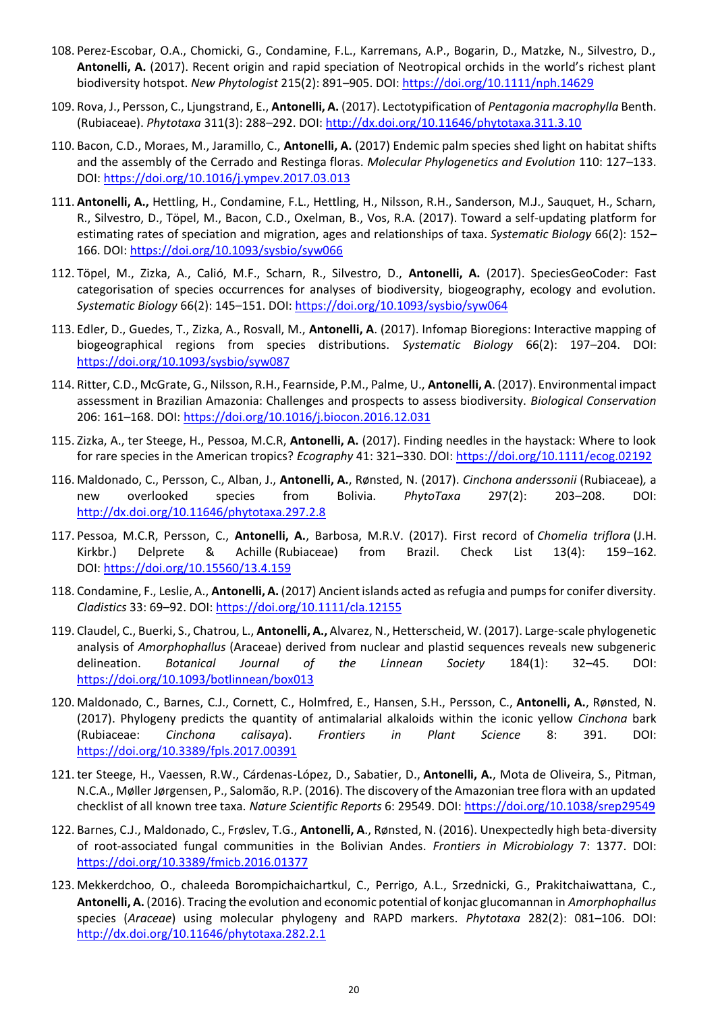- 108. Perez-Escobar, O.A., Chomicki, G., Condamine, F.L., Karremans, A.P., Bogarin, D., Matzke, N., Silvestro, D., **Antonelli, A.** (2017). Recent origin and rapid speciation of Neotropical orchids in the world's richest plant biodiversity hotspot. *New Phytologist* 215(2): 891–905. DOI[: https://doi.org/10.1111/nph.14629](https://doi.org/10.1111/nph.14629)
- 109. Rova, J., Persson, C., Ljungstrand, E., **Antonelli, A.** (2017). Lectotypification of *Pentagonia macrophylla* Benth. (Rubiaceae). *Phytotaxa* 311(3): 288–292. DOI[: http://dx.doi.org/10.11646/phytotaxa.311.3.10](http://dx.doi.org/10.11646/phytotaxa.311.3.10)
- 110. Bacon, C.D., Moraes, M., Jaramillo, C., **Antonelli, A.** (2017) Endemic palm species shed light on habitat shifts and the assembly of the Cerrado and Restinga floras. *Molecular Phylogenetics and Evolution* 110: 127–133. DOI:<https://doi.org/10.1016/j.ympev.2017.03.013>
- 111. **Antonelli, A.,** Hettling, H., Condamine, F.L., Hettling, H., Nilsson, R.H., Sanderson, M.J., Sauquet, H., Scharn, R., Silvestro, D., Töpel, M., Bacon, C.D., Oxelman, B., Vos, R.A. (2017). Toward a self-updating platform for estimating rates of speciation and migration, ages and relationships of taxa. *Systematic Biology* 66(2): 152– 166. DOI:<https://doi.org/10.1093/sysbio/syw066>
- 112. Töpel, M., Zizka, A., Calió, M.F., Scharn, R., Silvestro, D., **Antonelli, A.** (2017). SpeciesGeoCoder: Fast categorisation of species occurrences for analyses of biodiversity, biogeography, ecology and evolution. *Systematic Biology* 66(2): 145–151. DOI: <https://doi.org/10.1093/sysbio/syw064>
- 113. Edler, D., Guedes, T., Zizka, A., Rosvall, M., **Antonelli, A**. (2017). Infomap Bioregions: Interactive mapping of biogeographical regions from species distributions. *Systematic Biology* 66(2): 197–204. DOI: <https://doi.org/10.1093/sysbio/syw087>
- 114. Ritter, C.D., McGrate, G., Nilsson, R.H., Fearnside, P.M., Palme, U., **Antonelli, A**. (2017). Environmental impact assessment in Brazilian Amazonia: Challenges and prospects to assess biodiversity. *Biological Conservation*  206: 161–168. DOI[: https://doi.org/10.1016/j.biocon.2016.12.031](https://doi.org/10.1016/j.biocon.2016.12.031)
- 115. Zizka, A., ter Steege, H., Pessoa, M.C.R, **Antonelli, A.** (2017). Finding needles in the haystack: Where to look for rare species in the American tropics? *Ecography* 41: 321–330. DOI:<https://doi.org/10.1111/ecog.02192>
- 116. Maldonado, C., Persson, C., Alban, J., **Antonelli, A.**, Rønsted, N. (2017). *Cinchona anderssonii* (Rubiaceae)*,* a new overlooked species from Bolivia. *PhytoTaxa* 297(2): 203–208. DOI: <http://dx.doi.org/10.11646/phytotaxa.297.2.8>
- 117. Pessoa, M.C.R, Persson, C., **Antonelli, A.**, Barbosa, M.R.V. (2017). First record of *Chomelia triflora* (J.H. Kirkbr.) Delprete & Achille (Rubiaceae) from Brazil. Check List 13(4): 159–162. DOI: <https://doi.org/10.15560/13.4.159>
- 118. Condamine, F., Leslie, A., **Antonelli, A.** (2017) Ancient islands acted as refugia and pumps for conifer diversity. *Cladistics* 33: 69–92. DOI[: https://doi.org/10.1111/cla.12155](https://doi.org/10.1111/cla.12155)
- 119. Claudel, C., Buerki, S., Chatrou, L., **Antonelli, A.,** Alvarez, N., Hetterscheid, W. (2017). Large-scale phylogenetic analysis of *Amorphophallus* (Araceae) derived from nuclear and plastid sequences reveals new subgeneric delineation. *Botanical Journal of the Linnean Society* 184(1): 32–45. DOI: <https://doi.org/10.1093/botlinnean/box013>
- 120. Maldonado, C., Barnes, C.J., Cornett, C., Holmfred, E., Hansen, S.H., Persson, C., **Antonelli, A.**, Rønsted, N. (2017). Phylogeny predicts the quantity of antimalarial alkaloids within the iconic yellow *Cinchona* bark (Rubiaceae: *Cinchona calisaya*). *Frontiers in Plant Science* 8: 391. DOI: <https://doi.org/10.3389/fpls.2017.00391>
- 121.ter Steege, H., Vaessen, R.W., Cárdenas-López, D., Sabatier, D., **Antonelli, A.**, Mota de Oliveira, S., Pitman, N.C.A., Møller Jørgensen, P., Salomão, R.P. (2016). The discovery of the Amazonian tree flora with an updated checklist of all known tree taxa. *Nature Scientific Reports* 6: 29549. DOI:<https://doi.org/10.1038/srep29549>
- 122. Barnes, C.J., Maldonado, C., Frøslev, T.G., **Antonelli, A**., Rønsted, N. (2016). Unexpectedly high beta-diversity of root-associated fungal communities in the Bolivian Andes. *Frontiers in Microbiology* 7: 1377. DOI: <https://doi.org/10.3389/fmicb.2016.01377>
- 123. Mekkerdchoo, O., chaleeda Borompichaichartkul, C., Perrigo, A.L., Srzednicki, G., Prakitchaiwattana, C., **Antonelli, A.** (2016). Tracing the evolution and economic potential of konjac glucomannan in *Amorphophallus* species (*Araceae*) using molecular phylogeny and RAPD markers. *Phytotaxa* 282(2): 081–106. DOI: <http://dx.doi.org/10.11646/phytotaxa.282.2.1>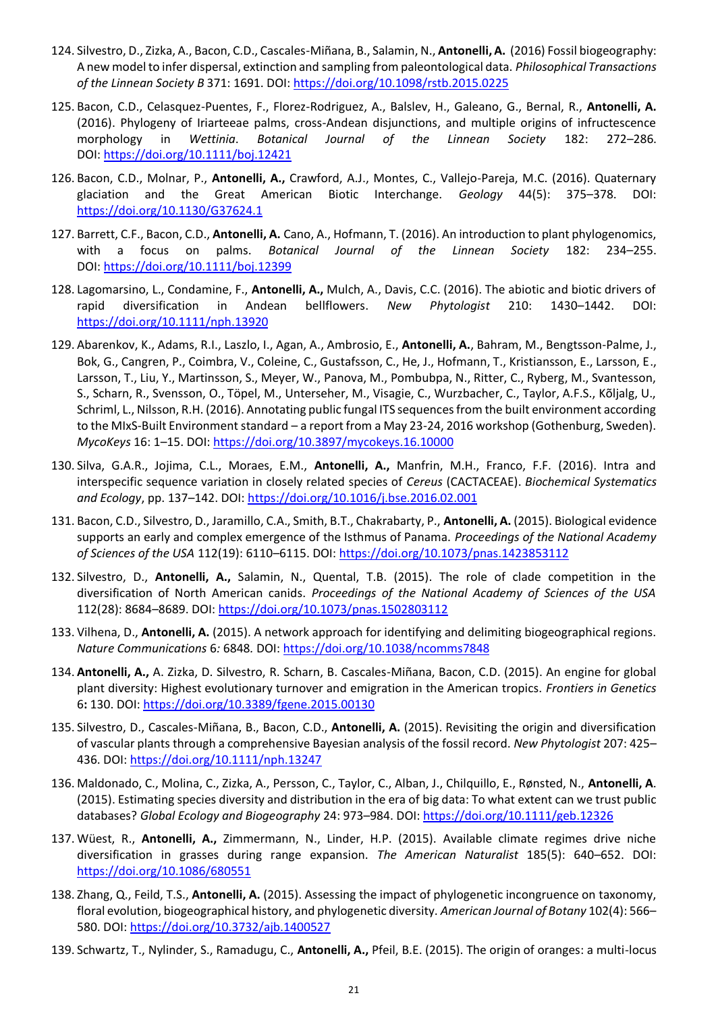- 124. Silvestro, D., Zizka, A., Bacon, C.D., Cascales-Miñana, B., Salamin, N., **Antonelli, A.** (2016) Fossil biogeography: A new model to infer dispersal, extinction and sampling from paleontological data. *Philosophical Transactions of the Linnean Society B* 371: 1691. DOI:<https://doi.org/10.1098/rstb.2015.0225>
- 125. Bacon, C.D., Celasquez-Puentes, F., Florez-Rodriguez, A., Balslev, H., Galeano, G., Bernal, R., **Antonelli, A.** (2016). Phylogeny of Iriarteeae palms, cross-Andean disjunctions, and multiple origins of infructescence morphology in *Wettinia*. *Botanical Journal of the Linnean Society* 182: 272–286. DOI: <https://doi.org/10.1111/boj.12421>
- 126. Bacon, C.D., Molnar, P., **Antonelli, A.,** Crawford, A.J., Montes, C., Vallejo-Pareja, M.C. (2016). Quaternary glaciation and the Great American Biotic Interchange. *Geology* 44(5): 375–378. DOI: <https://doi.org/10.1130/G37624.1>
- 127. Barrett, C.F., Bacon, C.D., **Antonelli, A.** Cano, A., Hofmann, T. (2016). An introduction to plant phylogenomics, with a focus on palms. *Botanical Journal of the Linnean Society* 182: 234–255. DOI: <https://doi.org/10.1111/boj.12399>
- 128. Lagomarsino, L., Condamine, F., **Antonelli, A.,** Mulch, A., Davis, C.C. (2016). The abiotic and biotic drivers of rapid diversification in Andean bellflowers. *New Phytologist* 210: 1430–1442. DOI: <https://doi.org/10.1111/nph.13920>
- 129. Abarenkov, K., Adams, R.I., Laszlo, I., Agan, A., Ambrosio, E., **Antonelli, A.**, Bahram, M., Bengtsson-Palme, J., Bok, G., Cangren, P., Coimbra, V., Coleine, C., Gustafsson, C., He, J., Hofmann, T., Kristiansson, E., Larsson, E., Larsson, T., Liu, Y., Martinsson, S., Meyer, W., Panova, M., Pombubpa, N., Ritter, C., Ryberg, M., Svantesson, S., Scharn, R., Svensson, O., Töpel, M., Unterseher, M., Visagie, C., Wurzbacher, C., Taylor, A.F.S., Kõljalg, U., Schriml, L., Nilsson, R.H. (2016). Annotating public fungal ITS sequences from the built environment according to the MIxS-Built Environment standard – a report from a May 23-24, 2016 workshop (Gothenburg, Sweden). *MycoKeys* 16: 1–15. DOI:<https://doi.org/10.3897/mycokeys.16.10000>
- 130. Silva, G.A.R., Jojima, C.L., Moraes, E.M., **Antonelli, A.,** Manfrin, M.H., Franco, F.F. (2016). Intra and interspecific sequence variation in closely related species of *Cereus* (CACTACEAE). *Biochemical Systematics and Ecology*, pp. 137–142. DOI:<https://doi.org/10.1016/j.bse.2016.02.001>
- 131. Bacon, C.D., Silvestro, D., Jaramillo, C.A., Smith, B.T., Chakrabarty, P., **Antonelli, A.** (2015). Biological evidence supports an early and complex emergence of the Isthmus of Panama. *Proceedings of the National Academy of Sciences of the USA* 112(19): 6110–6115. DOI:<https://doi.org/10.1073/pnas.1423853112>
- 132. Silvestro, D., **Antonelli, A.,** Salamin, N., Quental, T.B. (2015). The role of clade competition in the diversification of North American canids. *Proceedings of the National Academy of Sciences of the USA*  112(28): 8684–8689. DOI[: https://doi.org/10.1073/pnas.1502803112](https://doi.org/10.1073/pnas.1502803112)
- 133. Vilhena, D., **Antonelli, A.** (2015). A network approach for identifying and delimiting biogeographical regions. *Nature Communications* 6*:* 6848*.* DOI:<https://doi.org/10.1038/ncomms7848>
- 134. **Antonelli, A.,** A. Zizka, D. Silvestro, R. Scharn, B. Cascales-Miñana, Bacon, C.D. (2015). An engine for global plant diversity: Highest evolutionary turnover and emigration in the American tropics. *Frontiers in Genetics* 6**:** 130. DOI:<https://doi.org/10.3389/fgene.2015.00130>
- 135. Silvestro, D., Cascales-Miñana, B., Bacon, C.D., **Antonelli, A.** (2015). Revisiting the origin and diversification of vascular plants through a comprehensive Bayesian analysis of the fossil record. *New Phytologist* 207: 425– 436. DOI:<https://doi.org/10.1111/nph.13247>
- 136. Maldonado, C., Molina, C., Zizka, A., Persson, C., Taylor, C., Alban, J., Chilquillo, E., Rønsted, N., **Antonelli, A**. (2015). Estimating species diversity and distribution in the era of big data: To what extent can we trust public databases? *Global Ecology and Biogeography* 24: 973–984. DOI:<https://doi.org/10.1111/geb.12326>
- 137. Wüest, R., **Antonelli, A.,** Zimmermann, N., Linder, H.P. (2015). Available climate regimes drive niche diversification in grasses during range expansion. *The American Naturalist* 185(5): 640–652. DOI: <https://doi.org/10.1086/680551>
- 138. Zhang, Q., Feild, T.S., **Antonelli, A.** (2015). Assessing the impact of phylogenetic incongruence on taxonomy, floral evolution, biogeographical history, and phylogenetic diversity. *American Journal of Botany* 102(4): 566– 580. DOI:<https://doi.org/10.3732/ajb.1400527>
- 139. Schwartz, T., Nylinder, S., Ramadugu, C., **Antonelli, A.,** Pfeil, B.E. (2015). The origin of oranges: a multi-locus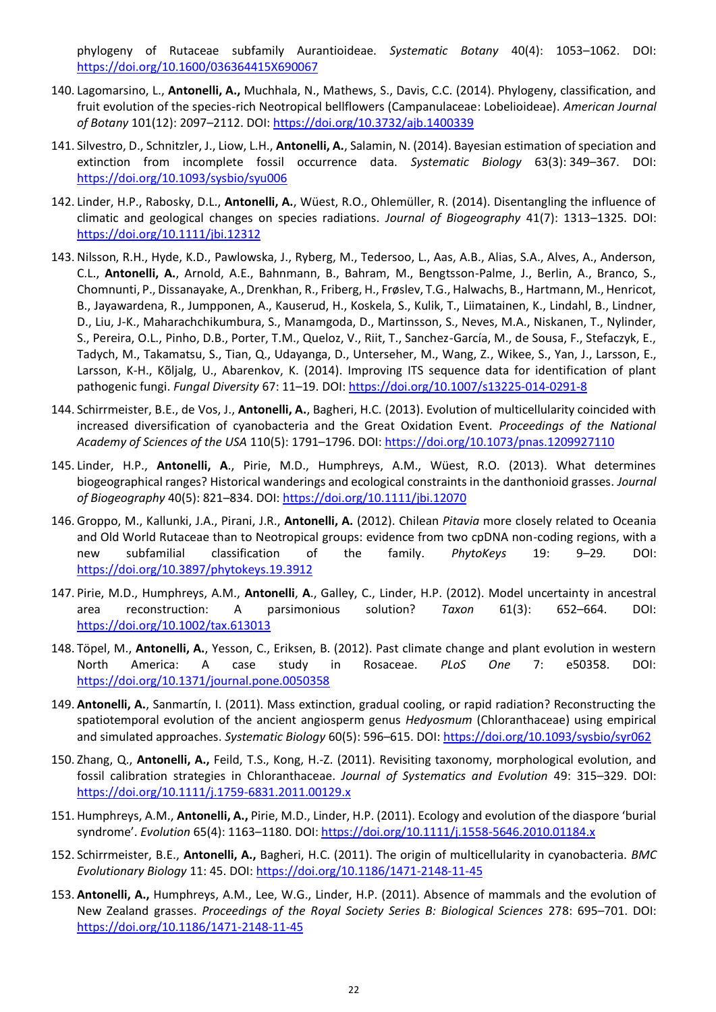phylogeny of Rutaceae subfamily Aurantioideae. *Systematic Botany* 40(4): 1053–1062. DOI: <https://doi.org/10.1600/036364415X690067>

- 140. Lagomarsino, L., **Antonelli, A.,** Muchhala, N., Mathews, S., Davis, C.C. (2014). Phylogeny, classification, and fruit evolution of the species-rich Neotropical bellflowers (Campanulaceae: Lobelioideae). *American Journal of Botany* 101(12): 2097–2112. DOI:<https://doi.org/10.3732/ajb.1400339>
- 141. Silvestro, D., Schnitzler, J., Liow, L.H., **Antonelli, A.**, Salamin, N. (2014). Bayesian estimation of speciation and extinction from incomplete fossil occurrence data. *Systematic Biology* 63(3): 349–367. DOI: <https://doi.org/10.1093/sysbio/syu006>
- 142. Linder, H.P., Rabosky, D.L., **Antonelli, A.**, Wüest, R.O., Ohlemüller, R. (2014). Disentangling the influence of climatic and geological changes on species radiations. *Journal of Biogeography* 41(7): 1313–1325*.* DOI: <https://doi.org/10.1111/jbi.12312>
- 143. Nilsson, R.H., Hyde, K.D., Pawlowska, J., Ryberg, M., Tedersoo, L., Aas, A.B., Alias, S.A., Alves, A., Anderson, C.L., **Antonelli, A.**, Arnold, A.E., Bahnmann, B., Bahram, M., Bengtsson-Palme, J., Berlin, A., Branco, S., Chomnunti, P., Dissanayake, A., Drenkhan, R., Friberg, H., Frøslev, T.G., Halwachs, B., Hartmann, M., Henricot, B., Jayawardena, R., Jumpponen, A., Kauserud, H., Koskela, S., Kulik, T., Liimatainen, K., Lindahl, B., Lindner, D., Liu, J-K., Maharachchikumbura, S., Manamgoda, D., Martinsson, S., Neves, M.A., Niskanen, T., Nylinder, S., Pereira, O.L., Pinho, D.B., Porter, T.M., Queloz, V., Riit, T., Sanchez-García, M., de Sousa, F., Stefaczyk, E., Tadych, M., Takamatsu, S., Tian, Q., Udayanga, D., Unterseher, M., Wang, Z., Wikee, S., Yan, J., Larsson, E., Larsson, K-H., Kõljalg, U., Abarenkov, K. (2014). Improving ITS sequence data for identification of plant pathogenic fungi. *Fungal Diversity* 67: 11–19. DOI:<https://doi.org/10.1007/s13225-014-0291-8>
- 144. Schirrmeister, B.E., de Vos, J., **Antonelli, A.**, Bagheri, H.C. (2013). Evolution of multicellularity coincided with increased diversification of cyanobacteria and the Great Oxidation Event. *Proceedings of the National Academy of Sciences of the USA* 110(5): 1791–1796. DOI:<https://doi.org/10.1073/pnas.1209927110>
- 145. Linder, H.P., **Antonelli, A**., Pirie, M.D., Humphreys, A.M., Wüest, R.O. (2013). What determines biogeographical ranges? Historical wanderings and ecological constraints in the danthonioid grasses. *Journal of Biogeography* 40(5): 821–834. DOI:<https://doi.org/10.1111/jbi.12070>
- 146. Groppo, M., Kallunki, J.A., Pirani, J.R., **Antonelli, A.** (2012). Chilean *Pitavia* more closely related to Oceania and Old World Rutaceae than to Neotropical groups: evidence from two cpDNA non-coding regions, with a new subfamilial classification of the family. *PhytoKeys* 19: 9–29*.* DOI: <https://doi.org/10.3897/phytokeys.19.3912>
- 147. Pirie, M.D., Humphreys, A.M., **Antonelli**, **A**., Galley, C., Linder, H.P. (2012). Model uncertainty in ancestral area reconstruction: A parsimonious solution? *Taxon* 61(3): 652–664. DOI: <https://doi.org/10.1002/tax.613013>
- 148. Töpel, M., **Antonelli, A.**, Yesson, C., Eriksen, B. (2012). Past climate change and plant evolution in western North America: A case study in Rosaceae. *PLoS One* 7: e50358. DOI: <https://doi.org/10.1371/journal.pone.0050358>
- 149. **Antonelli, A.**, Sanmartín, I. (2011). Mass extinction, gradual cooling, or rapid radiation? Reconstructing the spatiotemporal evolution of the ancient angiosperm genus *Hedyosmum* (Chloranthaceae) using empirical and simulated approaches. *Systematic Biology* 60(5): 596–615. DOI[: https://doi.org/10.1093/sysbio/syr062](https://doi.org/10.1093/sysbio/syr062)
- 150. Zhang, Q., **Antonelli, A.,** Feild, T.S., Kong, H.-Z. (2011). Revisiting taxonomy, morphological evolution, and fossil calibration strategies in Chloranthaceae. *Journal of Systematics and Evolution* 49: 315–329. DOI: <https://doi.org/10.1111/j.1759-6831.2011.00129.x>
- 151. Humphreys, A.M., **Antonelli, A.,** Pirie, M.D., Linder, H.P. (2011). Ecology and evolution of the diaspore 'burial syndrome'. *Evolution* 65(4): 1163–1180. DOI:<https://doi.org/10.1111/j.1558-5646.2010.01184.x>
- 152. Schirrmeister, B.E., **Antonelli, A.,** Bagheri, H.C. (2011). The origin of multicellularity in cyanobacteria. *BMC Evolutionary Biology* 11: 45. DOI:<https://doi.org/10.1186/1471-2148-11-45>
- 153. **Antonelli, A.,** Humphreys, A.M., Lee, W.G., Linder, H.P. (2011). Absence of mammals and the evolution of New Zealand grasses. *Proceedings of the Royal Society Series B: Biological Sciences* 278: 695–701. DOI: <https://doi.org/10.1186/1471-2148-11-45>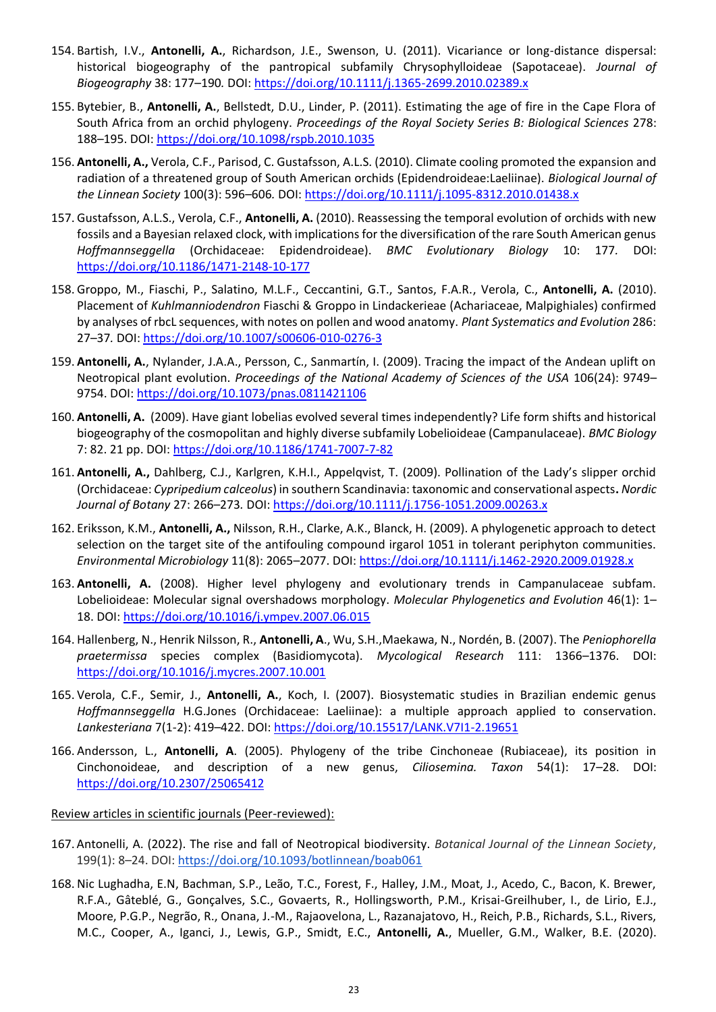- 154. Bartish, I.V., **Antonelli, A.**, Richardson, J.E., Swenson, U. (2011). Vicariance or long-distance dispersal: historical biogeography of the pantropical subfamily Chrysophylloideae (Sapotaceae). *Journal of Biogeography* 38: 177–190*.* DOI:<https://doi.org/10.1111/j.1365-2699.2010.02389.x>
- 155. Bytebier, B., **Antonelli, A.**, Bellstedt, D.U., Linder, P. (2011). Estimating the age of fire in the Cape Flora of South Africa from an orchid phylogeny. *Proceedings of the Royal Society Series B: Biological Sciences* 278: 188–195. DOI:<https://doi.org/10.1098/rspb.2010.1035>
- 156. **Antonelli, A.,** Verola, C.F., Parisod, C. Gustafsson, A.L.S. (2010). Climate cooling promoted the expansion and radiation of a threatened group of South American orchids (Epidendroideae:Laeliinae). *Biological Journal of the Linnean Society* 100(3): 596–606*.* DOI:<https://doi.org/10.1111/j.1095-8312.2010.01438.x>
- 157. Gustafsson, A.L.S., Verola, C.F., **Antonelli, A.** (2010). Reassessing the temporal evolution of orchids with new fossils and a Bayesian relaxed clock, with implications for the diversification of the rare South American genus *Hoffmannseggella* (Orchidaceae: Epidendroideae). *BMC Evolutionary Biology* 10: 177*.* DOI: <https://doi.org/10.1186/1471-2148-10-177>
- 158. Groppo, M., Fiaschi, P., Salatino, M.L.F., Ceccantini, G.T., Santos, F.A.R., Verola, C., **Antonelli, A.** (2010). Placement of *Kuhlmanniodendron* Fiaschi & Groppo in Lindackerieae (Achariaceae, Malpighiales) confirmed by analyses of rbcL sequences, with notes on pollen and wood anatomy. *Plant Systematics and Evolution* 286: 27–37*.* DOI:<https://doi.org/10.1007/s00606-010-0276-3>
- 159. **Antonelli, A.**, Nylander, J.A.A., Persson, C., Sanmartín, I. (2009). Tracing the impact of the Andean uplift on Neotropical plant evolution. *Proceedings of the National Academy of Sciences of the USA* 106(24): 9749– 9754. DOI[: https://doi.org/10.1073/pnas.0811421106](https://doi.org/10.1073/pnas.0811421106)
- 160. **Antonelli, A.** (2009). Have giant lobelias evolved several times independently? Life form shifts and historical biogeography of the cosmopolitan and highly diverse subfamily Lobelioideae (Campanulaceae). *BMC Biology*  7: 82. 21 pp. DOI:<https://doi.org/10.1186/1741-7007-7-82>
- 161. **Antonelli, A.,** Dahlberg, C.J., Karlgren, K.H.I., Appelqvist, T. (2009). Pollination of the Lady's slipper orchid (Orchidaceae: *Cypripedium calceolus*) in southern Scandinavia: taxonomic and conservational aspects**.** *Nordic Journal of Botany* 27: 266–273*.* DOI:<https://doi.org/10.1111/j.1756-1051.2009.00263.x>
- 162. Eriksson, K.M., **Antonelli, A.,** Nilsson, R.H., Clarke, A.K., Blanck, H. (2009). A phylogenetic approach to detect selection on the target site of the antifouling compound irgarol 1051 in tolerant periphyton communities. *Environmental Microbiology* 11(8): 2065–2077. DOI[: https://doi.org/10.1111/j.1462-2920.2009.01928.x](https://doi.org/10.1111/j.1462-2920.2009.01928.x)
- 163. **Antonelli, A.** (2008). Higher level phylogeny and evolutionary trends in Campanulaceae subfam. Lobelioideae: Molecular signal overshadows morphology. *Molecular Phylogenetics and Evolution* 46(1): 1– 18. DOI[: https://doi.org/10.1016/j.ympev.2007.06.015](https://doi.org/10.1016/j.ympev.2007.06.015)
- 164. Hallenberg, N., Henrik Nilsson, R., **Antonelli, A**., Wu, S.H.,Maekawa, N., Nordén, B. (2007). The *Peniophorella praetermissa* species complex (Basidiomycota). *Mycological Research* 111: 1366–1376. DOI: <https://doi.org/10.1016/j.mycres.2007.10.001>
- 165. Verola, C.F., Semir, J., **Antonelli, A.**, Koch, I. (2007). Biosystematic studies in Brazilian endemic genus *Hoffmannseggella* H.G.Jones (Orchidaceae: Laeliinae): a multiple approach applied to conservation. *Lankesteriana* 7(1-2): 419–422. DOI[: https://doi.org/10.15517/LANK.V7I1-2.19651](https://doi.org/10.15517/LANK.V7I1-2.19651)
- 166. Andersson, L., **Antonelli, A**. (2005). Phylogeny of the tribe Cinchoneae (Rubiaceae), its position in Cinchonoideae, and description of a new genus, *Ciliosemina. Taxon* 54(1): 17–28. DOI: <https://doi.org/10.2307/25065412>

#### Review articles in scientific journals (Peer-reviewed):

- 167. Antonelli, A. (2022). The rise and fall of Neotropical biodiversity. *Botanical Journal of the Linnean Society*, 199(1): 8–24. DOI:<https://doi.org/10.1093/botlinnean/boab061>
- 168. Nic Lughadha, E.N, Bachman, S.P., Leão, T.C., Forest, F., Halley, J.M., Moat, J., Acedo, C., Bacon, K. Brewer, R.F.A., Gâteblé, G., Gonçalves, S.C., Govaerts, R., Hollingsworth, P.M., Krisai-Greilhuber, I., de Lirio, E.J., Moore, P.G.P., Negrão, R., Onana, J.-M., Rajaovelona, L., Razanajatovo, H., Reich, P.B., Richards, S.L., Rivers, M.C., Cooper, A., Iganci, J., Lewis, G.P., Smidt, E.C., **Antonelli, A.**, Mueller, G.M., Walker, B.E. (2020).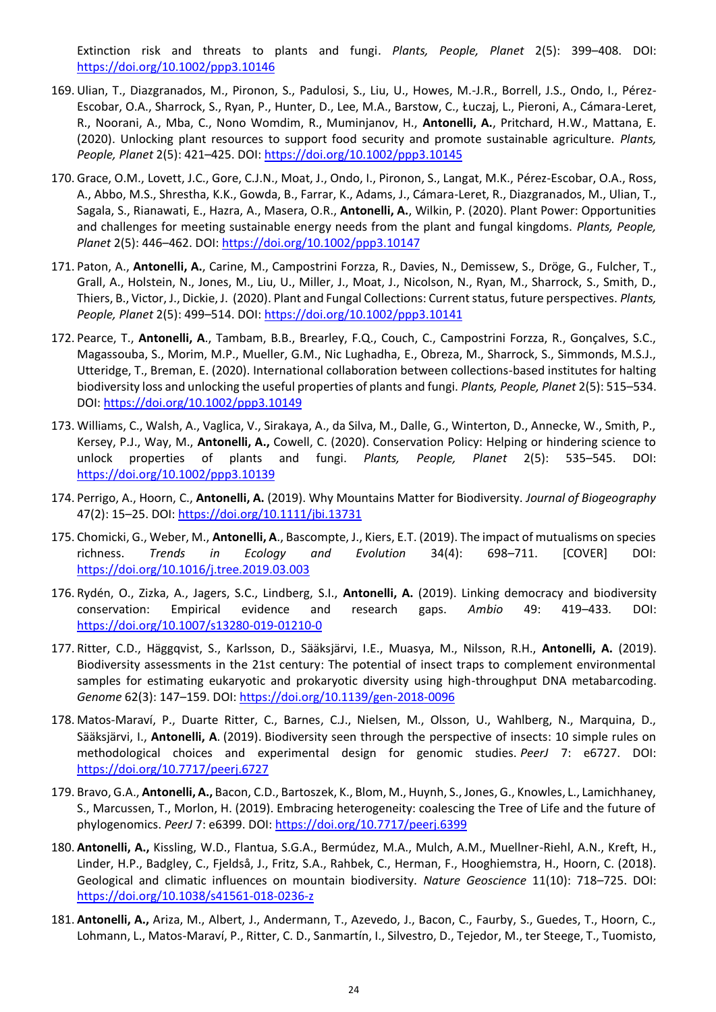Extinction risk and threats to plants and fungi. *Plants, People, Planet* 2(5): 399–408. DOI: <https://doi.org/10.1002/ppp3.10146>

- 169. Ulian, T., Diazgranados, M., Pironon, S., Padulosi, S., Liu, U., Howes, M.-J.R., Borrell, J.S., Ondo, I., Pérez-Escobar, O.A., Sharrock, S., Ryan, P., Hunter, D., Lee, M.A., Barstow, C., Łuczaj, L., Pieroni, A., Cámara-Leret, R., Noorani, A., Mba, C., Nono Womdim, R., Muminjanov, H., **Antonelli, A.**, Pritchard, H.W., Mattana, E. (2020). Unlocking plant resources to support food security and promote sustainable agriculture. *Plants, People, Planet* 2(5): 421–425. DOI[: https://doi.org/10.1002/ppp3.10145](https://doi.org/10.1002/ppp3.10145)
- 170. Grace, O.M., Lovett, J.C., Gore, C.J.N., Moat, J., Ondo, I., Pironon, S., Langat, M.K., Pérez-Escobar, O.A., Ross, A., Abbo, M.S., Shrestha, K.K., Gowda, B., Farrar, K., Adams, J., Cámara-Leret, R., Diazgranados, M., Ulian, T., Sagala, S., Rianawati, E., Hazra, A., Masera, O.R., **Antonelli, A.**, Wilkin, P. (2020). Plant Power: Opportunities and challenges for meeting sustainable energy needs from the plant and fungal kingdoms. *Plants, People, Planet* 2(5): 446–462. DOI[: https://doi.org/10.1002/ppp3.10147](https://doi.org/10.1002/ppp3.10147)
- 171. Paton, A., **Antonelli, A.**, Carine, M., Campostrini Forzza, R., Davies, N., Demissew, S., Dröge, G., Fulcher, T., Grall, A., Holstein, N., Jones, M., Liu, U., Miller, J., Moat, J., Nicolson, N., Ryan, M., Sharrock, S., Smith, D., Thiers, B., Victor, J., Dickie, J. (2020). Plant and Fungal Collections: Current status, future perspectives. *Plants, People, Planet* 2(5): 499–514. DOI[: https://doi.org/10.1002/ppp3.10141](https://doi.org/10.1002/ppp3.10141)
- 172. Pearce, T., **Antonelli, A**., Tambam, B.B., Brearley, F.Q., Couch, C., Campostrini Forzza, R., Gonçalves, S.C., Magassouba, S., Morim, M.P., Mueller, G.M., Nic Lughadha, E., Obreza, M., Sharrock, S., Simmonds, M.S.J., Utteridge, T., Breman, E. (2020). International collaboration between collections-based institutes for halting biodiversity loss and unlocking the useful properties of plants and fungi. *Plants, People, Planet* 2(5): 515–534. DOI:<https://doi.org/10.1002/ppp3.10149>
- 173. Williams, C., Walsh, A., Vaglica, V., Sirakaya, A., da Silva, M., Dalle, G., Winterton, D., Annecke, W., Smith, P., Kersey, P.J., Way, M., **Antonelli, A.,** Cowell, C. (2020). Conservation Policy: Helping or hindering science to unlock properties of plants and fungi. *Plants, People, Planet* 2(5): 535–545. DOI: <https://doi.org/10.1002/ppp3.10139>
- 174. Perrigo, A., Hoorn, C., **Antonelli, A.** (2019). Why Mountains Matter for Biodiversity. *Journal of Biogeography* 47(2): 15–25. DOI:<https://doi.org/10.1111/jbi.13731>
- 175. Chomicki, G., Weber, M., **Antonelli, A**., Bascompte, J., Kiers, E.T. (2019). The impact of mutualisms on species richness. *Trends in Ecology and Evolution* 34(4): 698–711. [COVER] DOI: <https://doi.org/10.1016/j.tree.2019.03.003>
- 176. Rydén, O., Zizka, A., Jagers, S.C., Lindberg, S.I., **Antonelli, A.** (2019). Linking democracy and biodiversity conservation: Empirical evidence and research gaps. *Ambio* 49: 419–433*.* DOI: <https://doi.org/10.1007/s13280-019-01210-0>
- 177. Ritter, C.D., Häggqvist, S., Karlsson, D., Sääksjärvi, I.E., Muasya, M., Nilsson, R.H., **Antonelli, A.** (2019). Biodiversity assessments in the 21st century: The potential of insect traps to complement environmental samples for estimating eukaryotic and prokaryotic diversity using high-throughput DNA metabarcoding. *Genome* 62(3): 147–159. DOI:<https://doi.org/10.1139/gen-2018-0096>
- 178. Matos-Maraví, P., Duarte Ritter, C., Barnes, C.J., Nielsen, M., Olsson, U., Wahlberg, N., Marquina, D., Sääksjärvi, I., **Antonelli, A**. (2019). Biodiversity seen through the perspective of insects: 10 simple rules on methodological choices and experimental design for genomic studies. *PeerJ* 7: e6727. DOI: <https://doi.org/10.7717/peerj.6727>
- 179. Bravo, G.A., **Antonelli, A.,** Bacon, C.D., Bartoszek, K., Blom, M., Huynh, S., Jones, G., Knowles, L., Lamichhaney, S., Marcussen, T., Morlon, H. (2019). Embracing heterogeneity: coalescing the Tree of Life and the future of phylogenomics. *PeerJ* 7: e6399. DOI[: https://doi.org/10.7717/peerj.6399](https://doi.org/10.7717/peerj.6399)
- 180. **Antonelli, A.,** Kissling, W.D., Flantua, S.G.A., Bermúdez, M.A., Mulch, A.M., Muellner-Riehl, A.N., Kreft, H., Linder, H.P., Badgley, C., Fjeldså, J., Fritz, S.A., Rahbek, C., Herman, F., Hooghiemstra, H., Hoorn, C. (2018). Geological and climatic influences on mountain biodiversity. *Nature Geoscience* 11(10): 718–725. DOI: <https://doi.org/10.1038/s41561-018-0236-z>
- 181. **Antonelli, A.,** Ariza, M., Albert, J., Andermann, T., Azevedo, J., Bacon, C., Faurby, S., Guedes, T., Hoorn, C., Lohmann, L., Matos-Maraví, P., Ritter, C. D., Sanmartín, I., Silvestro, D., Tejedor, M., ter Steege, T., Tuomisto,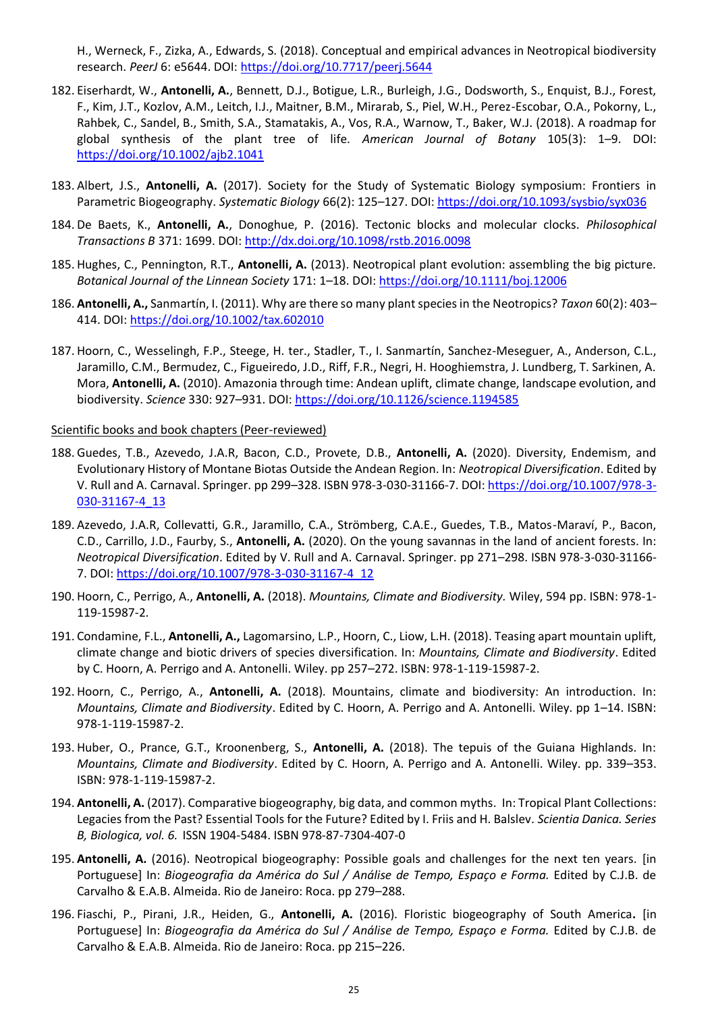H., Werneck, F., Zizka, A., Edwards, S. (2018). Conceptual and empirical advances in Neotropical biodiversity research. *PeerJ* 6: e5644. DOI:<https://doi.org/10.7717/peerj.5644>

- 182. Eiserhardt, W., **Antonelli, A.**, Bennett, D.J., Botigue, L.R., Burleigh, J.G., Dodsworth, S., Enquist, B.J., Forest, F., Kim, J.T., Kozlov, A.M., Leitch, I.J., Maitner, B.M., Mirarab, S., Piel, W.H., Perez-Escobar, O.A., Pokorny, L., Rahbek, C., Sandel, B., Smith, S.A., Stamatakis, A., Vos, R.A., Warnow, T., Baker, W.J. (2018). A roadmap for global synthesis of the plant tree of life. *American Journal of Botany* 105(3): 1–9. DOI: <https://doi.org/10.1002/ajb2.1041>
- 183. Albert, J.S., **Antonelli, A.** (2017). Society for the Study of Systematic Biology symposium: Frontiers in Parametric Biogeography. Systematic Biology 66(2): 125-127. DOI[: https://doi.org/10.1093/sysbio/syx036](https://doi.org/10.1093/sysbio/syx036)
- 184. De Baets, K., **Antonelli, A.**, Donoghue, P. (2016). Tectonic blocks and molecular clocks. *Philosophical Transactions B* 371: 1699. DOI[: http://dx.doi.org/10.1098/rstb.2016.0098](http://dx.doi.org/10.1098/rstb.2016.0098)
- 185. Hughes, C., Pennington, R.T., **Antonelli, A.** (2013). Neotropical plant evolution: assembling the big picture. *Botanical Journal of the Linnean Society* 171: 1–18. DOI:<https://doi.org/10.1111/boj.12006>
- 186. **Antonelli, A.,** Sanmartín, I. (2011). Why are there so many plant species in the Neotropics? *Taxon* 60(2): 403– 414. DOI:<https://doi.org/10.1002/tax.602010>
- 187. Hoorn, C., Wesselingh, F.P., Steege, H. ter., Stadler, T., I. Sanmartín, Sanchez-Meseguer, A., Anderson, C.L., Jaramillo, C.M., Bermudez, C., Figueiredo, J.D., Riff, F.R., Negri, H. Hooghiemstra, J. Lundberg, T. Sarkinen, A. Mora, **Antonelli, A.** (2010). Amazonia through time: Andean uplift, climate change, landscape evolution, and biodiversity. *Science* 330: 927–931. DOI:<https://doi.org/10.1126/science.1194585>

#### Scientific books and book chapters (Peer-reviewed)

- 188. Guedes, T.B., Azevedo, J.A.R, Bacon, C.D., Provete, D.B., **Antonelli, A.** (2020). Diversity, Endemism, and Evolutionary History of Montane Biotas Outside the Andean Region. In: *Neotropical Diversification*. Edited by V. Rull and A. Carnaval. Springer. pp 299–328. ISBN 978-3-030-31166-7. DOI: https://doi.org/10.1007/978-3- 030-31167-4\_13
- 189. Azevedo, J.A.R, Collevatti, G.R., Jaramillo, C.A., Strömberg, C.A.E., Guedes, T.B., Matos-Maraví, P., Bacon, C.D., Carrillo, J.D., Faurby, S., **Antonelli, A.** (2020). On the young savannas in the land of ancient forests. In: *Neotropical Diversification*. Edited by V. Rull and A. Carnaval. Springer. pp 271–298. ISBN 978-3-030-31166- 7. DOI: [https://doi.org/10.1007/978-3-030-31167-4\\_12](https://doi.org/10.1007/978-3-030-31167-4_12)
- 190. Hoorn, C., Perrigo, A., **Antonelli, A.** (2018). *Mountains, Climate and Biodiversity.* Wiley, 594 pp. ISBN: 978-1- 119-15987-2.
- 191. Condamine, F.L., **Antonelli, A.,** Lagomarsino, L.P., Hoorn, C., Liow, L.H. (2018). Teasing apart mountain uplift, climate change and biotic drivers of species diversification. In: *Mountains, Climate and Biodiversity*. Edited by C. Hoorn, A. Perrigo and A. Antonelli. Wiley. pp 257–272. ISBN: 978-1-119-15987-2.
- 192. Hoorn, C., Perrigo, A., **Antonelli, A.** (2018). Mountains, climate and biodiversity: An introduction. In: *Mountains, Climate and Biodiversity*. Edited by C. Hoorn, A. Perrigo and A. Antonelli. Wiley. pp 1–14. ISBN: 978-1-119-15987-2.
- 193. Huber, O., Prance, G.T., Kroonenberg, S., **Antonelli, A.** (2018). The tepuis of the Guiana Highlands. In: *Mountains, Climate and Biodiversity*. Edited by C. Hoorn, A. Perrigo and A. Antonelli. Wiley. pp. 339–353. ISBN: 978-1-119-15987-2.
- 194. **Antonelli, A.** (2017). Comparative biogeography, big data, and common myths. In: Tropical Plant Collections: Legacies from the Past? Essential Tools for the Future? Edited by I. Friis and H. Balslev*. Scientia Danica. Series B, Biologica, vol. 6.* ISSN 1904-5484. ISBN 978-87-7304-407-0
- 195. **Antonelli, A.** (2016). Neotropical biogeography: Possible goals and challenges for the next ten years. [in Portuguese] In: *Biogeografia da América do Sul / Análise de Tempo, Espaço e Forma.* Edited by C.J.B. de Carvalho & E.A.B. Almeida. Rio de Janeiro: Roca. pp 279–288.
- 196. Fiaschi, P., Pirani, J.R., Heiden, G., **Antonelli, A.** (2016). Floristic biogeography of South America**.** [in Portuguese] In: *Biogeografia da América do Sul / Análise de Tempo, Espaço e Forma.* Edited by C.J.B. de Carvalho & E.A.B. Almeida. Rio de Janeiro: Roca. pp 215–226.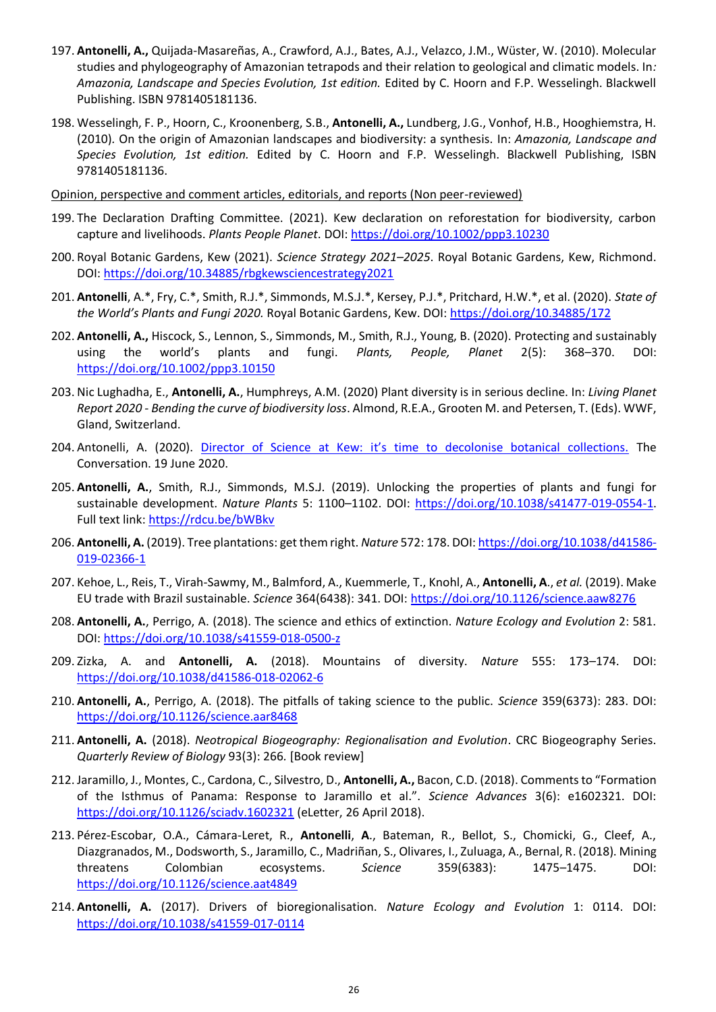- 197. **Antonelli, A.,** Quijada-Masareñas, A., Crawford, A.J., Bates, A.J., Velazco, J.M., Wüster, W. (2010). Molecular studies and phylogeography of Amazonian tetrapods and their relation to geological and climatic models. In*: Amazonia, Landscape and Species Evolution, 1st edition.* Edited by C. Hoorn and F.P. Wesselingh. Blackwell Publishing. ISBN 9781405181136.
- 198. Wesselingh, F. P., Hoorn, C., Kroonenberg, S.B., **Antonelli, A.,** Lundberg, J.G., Vonhof, H.B., Hooghiemstra, H. (2010)*.* On the origin of Amazonian landscapes and biodiversity: a synthesis. In: *Amazonia, Landscape and Species Evolution, 1st edition.* Edited by C. Hoorn and F.P. Wesselingh. Blackwell Publishing, ISBN 9781405181136.
- Opinion, perspective and comment articles, editorials, and reports (Non peer-reviewed)
- 199. The Declaration Drafting Committee. (2021). Kew declaration on reforestation for biodiversity, carbon capture and livelihoods. *Plants People Planet*. DOI:<https://doi.org/10.1002/ppp3.10230>
- 200. Royal Botanic Gardens, Kew (2021). *Science Strategy 2021–2025*. Royal Botanic Gardens, Kew, Richmond. DOI:<https://doi.org/10.34885/rbgkewsciencestrategy2021>
- 201. **Antonelli**, A.\*, Fry, C.\*, Smith, R.J.\*, Simmonds, M.S.J.\*, Kersey, P.J.\*, Pritchard, H.W.\*, et al. (2020). *State of the World's Plants and Fungi 2020.* Royal Botanic Gardens, Kew. DOI:<https://doi.org/10.34885/172>
- 202. **Antonelli, A.,** Hiscock, S., Lennon, S., Simmonds, M., Smith, R.J., Young, B. (2020). Protecting and sustainably using the world's plants and fungi. *Plants, People, Planet* 2(5): 368–370. DOI: <https://doi.org/10.1002/ppp3.10150>
- 203. Nic Lughadha, E., **Antonelli, A.**, Humphreys, A.M. (2020) Plant diversity is in serious decline. In: *Living Planet Report 2020 - Bending the curve of biodiversity loss*. Almond, R.E.A., Grooten M. and Petersen, T. (Eds). WWF, Gland, Switzerland.
- 204. Antonelli, A. (2020). [Director of Science at Kew: it's time to decolonise botanical collections.](https://theconversation.com/director-of-science-at-kew-its-time-to-decolonise-botanical-collections-141070) The Conversation. 19 June 2020.
- 205. **Antonelli, A.**, Smith, R.J., Simmonds, M.S.J. (2019). Unlocking the properties of plants and fungi for sustainable development. *Nature Plants* 5: 1100–1102. DOI: [https://doi.org/10.1038/s41477-019-0554-1.](https://doi.org/10.1038/s41477-019-0554-1) Full text link[: https://rdcu.be/bWBkv](https://rdcu.be/bWBkv)
- 206. **Antonelli, A.** (2019). Tree plantations: get them right. *Nature* 572: 178. DOI[: https://doi.org/10.1038/d41586-](https://doi.org/10.1038/d41586-019-02366-1) [019-02366-1](https://doi.org/10.1038/d41586-019-02366-1)
- 207. Kehoe, L., Reis, T., Virah-Sawmy, M., Balmford, A., Kuemmerle, T., Knohl, A., **Antonelli, A**., *et al.* (2019). Make EU trade with Brazil sustainable. *Science* 364(6438): 341. DOI:<https://doi.org/10.1126/science.aaw8276>
- 208. **Antonelli, A.**, Perrigo, A. (2018). The science and ethics of extinction. *Nature Ecology and Evolution* 2: 581. DOI:<https://doi.org/10.1038/s41559-018-0500-z>
- 209. Zizka, A. and **Antonelli, A.** (2018). Mountains of diversity. *Nature* 555: 173–174. DOI: <https://doi.org/10.1038/d41586-018-02062-6>
- 210. **Antonelli, A.**, Perrigo, A. (2018). The pitfalls of taking science to the public. *Science* 359(6373): 283. DOI: <https://doi.org/10.1126/science.aar8468>
- 211. **Antonelli, A.** (2018). *Neotropical Biogeography: Regionalisation and Evolution*. CRC Biogeography Series. *Quarterly Review of Biology* 93(3): 266*.* [Book review]
- 212. Jaramillo, J., Montes, C., Cardona, C., Silvestro, D., **Antonelli, A.,** Bacon, C.D. (2018). Comments to "Formation of the Isthmus of Panama: Response to Jaramillo et al.". *Science Advances* 3(6): e1602321. DOI: <https://doi.org/10.1126/sciadv.1602321> (eLetter, 26 April 2018).
- 213. Pérez-Escobar, O.A., Cámara-Leret, R., **Antonelli**, **A**., Bateman, R., Bellot, S., Chomicki, G., Cleef, A., Diazgranados, M., Dodsworth, S., Jaramillo, C., Madriñan, S., Olivares, I., Zuluaga, A., Bernal, R. (2018). Mining threatens Colombian ecosystems. *Science* 359(6383): 1475–1475. DOI: <https://doi.org/10.1126/science.aat4849>
- 214. **Antonelli, A.** (2017). Drivers of bioregionalisation. *Nature Ecology and Evolution* 1: 0114. DOI: <https://doi.org/10.1038/s41559-017-0114>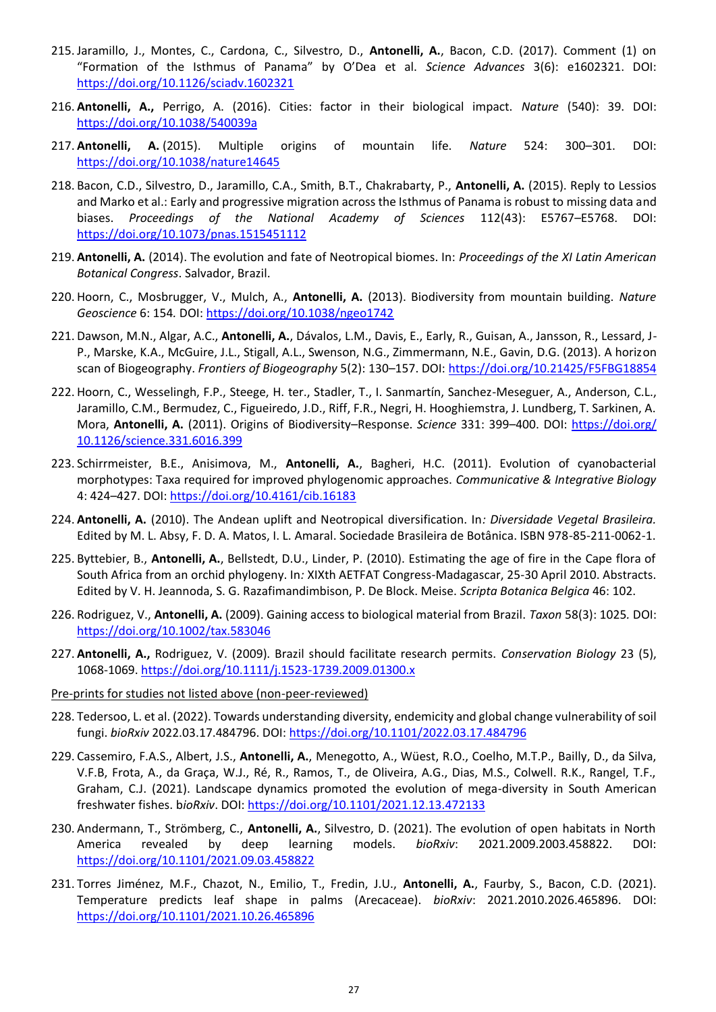- 215. Jaramillo, J., Montes, C., Cardona, C., Silvestro, D., **Antonelli, A.**, Bacon, C.D. (2017). Comment (1) on "Formation of the Isthmus of Panama" by O'Dea et al. *Science Advances* 3(6): e1602321. DOI: <https://doi.org/10.1126/sciadv.1602321>
- 216. **Antonelli, A.,** Perrigo, A. (2016). Cities: factor in their biological impact. *Nature* (540): 39. DOI: <https://doi.org/10.1038/540039a>
- 217. **Antonelli, A.** (2015). Multiple origins of mountain life. *Nature* 524: 300–301. DOI: <https://doi.org/10.1038/nature14645>
- 218. Bacon, C.D., Silvestro, D., Jaramillo, C.A., Smith, B.T., Chakrabarty, P., **Antonelli, A.** (2015). Reply to Lessios and Marko et al.: Early and progressive migration across the Isthmus of Panama is robust to missing data and biases. *Proceedings of the National Academy of Sciences* 112(43): E5767–E5768. DOI: <https://doi.org/10.1073/pnas.1515451112>
- 219. **Antonelli, A.** (2014). The evolution and fate of Neotropical biomes. In: *Proceedings of the XI Latin American Botanical Congress*. Salvador, Brazil.
- 220. Hoorn, C., Mosbrugger, V., Mulch, A., **Antonelli, A.** (2013). Biodiversity from mountain building. *Nature Geoscience* 6: 154*.* DOI:<https://doi.org/10.1038/ngeo1742>
- 221. Dawson, M.N., Algar, A.C., **Antonelli, A.**, Dávalos, L.M., Davis, E., Early, R., Guisan, A., Jansson, R., Lessard, J-P., Marske, K.A., McGuire, J.L., Stigall, A.L., Swenson, N.G., Zimmermann, N.E., Gavin, D.G. (2013). A horizon scan of Biogeography. *Frontiers of Biogeography* 5(2): 130–157. DOI[: https://doi.org/10.21425/F5FBG18854](https://doi.org/10.21425/F5FBG18854)
- 222. Hoorn, C., Wesselingh, F.P., Steege, H. ter., Stadler, T., I. Sanmartín, Sanchez-Meseguer, A., Anderson, C.L., Jaramillo, C.M., Bermudez, C., Figueiredo, J.D., Riff, F.R., Negri, H. Hooghiemstra, J. Lundberg, T. Sarkinen, A. Mora, **Antonelli, A.** (2011). Origins of Biodiversity–Response. *Science* 331: 399–400. DOI: [https://doi.org/](https://doi.org/%2010.1126/science.331.6016.399)  [10.1126/science.331.6016.399](https://doi.org/%2010.1126/science.331.6016.399)
- 223. Schirrmeister, B.E., Anisimova, M., **Antonelli, A.**, Bagheri, H.C. (2011). Evolution of cyanobacterial morphotypes: Taxa required for improved phylogenomic approaches. *Communicative & Integrative Biology* 4: 424–427. DOI:<https://doi.org/10.4161/cib.16183>
- 224. **Antonelli, A.** (2010). The Andean uplift and Neotropical diversification. In*: Diversidade Vegetal Brasileira.* Edited by M. L. Absy, F. D. A. Matos, I. L. Amaral. Sociedade Brasileira de Botânica. ISBN 978-85-211-0062-1.
- 225. Byttebier, B., **Antonelli, A.**, Bellstedt, D.U., Linder, P. (2010). Estimating the age of fire in the Cape flora of South Africa from an orchid phylogeny. In*:* XIXth AETFAT Congress-Madagascar, 25-30 April 2010. Abstracts. Edited by V. H. Jeannoda, S. G. Razafimandimbison, P. De Block. Meise. *Scripta Botanica Belgica* 46: 102.
- 226. Rodriguez, V., **Antonelli, A.** (2009). Gaining access to biological material from Brazil. *Taxon* 58(3): 1025*.* DOI: <https://doi.org/10.1002/tax.583046>
- 227. **Antonelli, A.,** Rodriguez, V. (2009). Brazil should facilitate research permits. *Conservation Biology* 23 (5), 1068-1069.<https://doi.org/10.1111/j.1523-1739.2009.01300.x>
- Pre-prints for studies not listed above (non-peer-reviewed)
- 228. Tedersoo, L. et al. (2022). Towards understanding diversity, endemicity and global change vulnerability of soil fungi. *bioRxiv* 2022.03.17.484796. DOI: <https://doi.org/10.1101/2022.03.17.484796>
- 229. Cassemiro, F.A.S., Albert, J.S., **Antonelli, A.**, Menegotto, A., Wüest, R.O., Coelho, M.T.P., Bailly, D., da Silva, V.F.B, Frota, A., da Graça, W.J., Ré, R., Ramos, T., de Oliveira, A.G., Dias, M.S., Colwell. R.K., Rangel, T.F., Graham, C.J. (2021). Landscape dynamics promoted the evolution of mega-diversity in South American freshwater fishes. b*ioRxiv*. DOI:<https://doi.org/10.1101/2021.12.13.472133>
- 230. Andermann, T., Strömberg, C., **Antonelli, A.**, Silvestro, D. (2021). The evolution of open habitats in North America revealed by deep learning models. *bioRxiv*: 2021.2009.2003.458822. DOI: <https://doi.org/10.1101/2021.09.03.458822>
- 231. Torres Jiménez, M.F., Chazot, N., Emilio, T., Fredin, J.U., **Antonelli, A.**, Faurby, S., Bacon, C.D. (2021). Temperature predicts leaf shape in palms (Arecaceae). *bioRxiv*: 2021.2010.2026.465896. DOI: <https://doi.org/10.1101/2021.10.26.465896>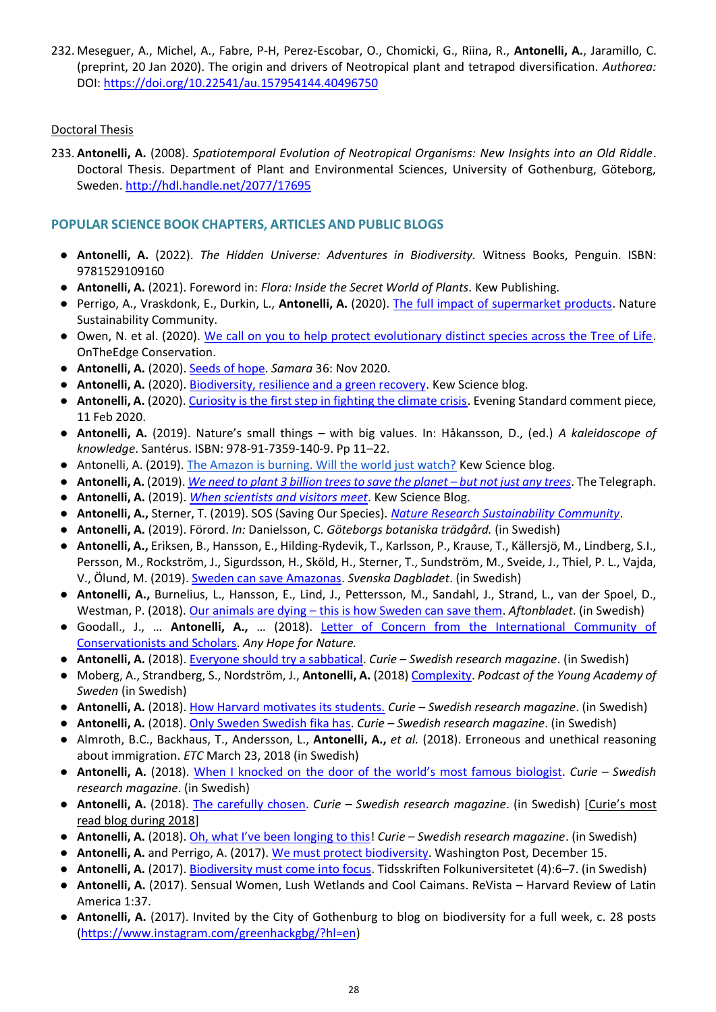232. Meseguer, A., Michel, A., Fabre, P-H, Perez-Escobar, O., Chomicki, G., Riina, R., **Antonelli, A.**, Jaramillo, C. (preprint, 20 Jan 2020). The origin and drivers of Neotropical plant and tetrapod diversification. *Authorea:* DOI:<https://doi.org/10.22541/au.157954144.40496750>

#### Doctoral Thesis

233. **Antonelli, A.** (2008). *Spatiotemporal Evolution of Neotropical Organisms: New Insights into an Old Riddle*. Doctoral Thesis. Department of Plant and Environmental Sciences, University of Gothenburg, Göteborg, Sweden.<http://hdl.handle.net/2077/17695>

#### **POPULAR SCIENCE BOOK CHAPTERS, ARTICLES AND PUBLIC BLOGS**

- **Antonelli, A.** (2022). *The Hidden Universe: Adventures in Biodiversity.* Witness Books, Penguin. ISBN: 9781529109160
- **Antonelli, A.** (2021). Foreword in: *Flora: Inside the Secret World of Plants*. Kew Publishing.
- Perrigo, A., Vraskdonk, E., Durkin, L., Antonelli, A. (2020)[. The full impact of supermarket products.](https://sustainabilitycommunity.springernature.com/posts/the-full-impact-of-supermarket-products) Nature Sustainability Community.
- Owen, N. et al. (2020). [We call on you to help protect evolutionary distinct species across the Tree of Life.](http://www.ontheedge.org/iucn-ssc-phylogenetic-diversity-task-force) OnTheEdge Conservation.
- **Antonelli, A.** (2020)[. Seeds of hope.](https://www.kew.org/sites/default/files/2020-11/13091%20Samara%20Newsletter%20Issue%2036%20-%20November%202020%20Web%20Accessible.pdf) *Samara* 36: Nov 2020.
- Antonelli, A. (2020)[. Biodiversity, resilience and a green recovery.](https://www.kew.org/read-and-watch/biodiversity-green-recovery) Kew Science blog.
- **Antonelli, A.** (2020). [Curiosity is the first step in fighting the climate crisis.](https://www.standard.co.uk/comment/comment/curiosity-is-the-first-step-in-fighting-the-climate-crisis-a4359291.html) Evening Standard comment piece, 11 Feb 2020.
- **Antonelli, A.** (2019). Nature's small things with big values. In: Håkansson, D., (ed.) *A kaleidoscope of knowledge*. Santérus. ISBN: 978-91-7359-140-9. Pp 11–22.
- Antonelli, A. (2019)[. The Amazon is burning. Will the world just watch?](https://www.kew.org/read-and-watch/amazon-fires-brazil) Kew Science blog.
- **Antonelli, A.** (2019). *[We need to plant 3 billion trees to save the planet](https://www.telegraph.co.uk/news/2019/06/12/need-plant-3-billion-trees-save-planet-not-just-trees/) – but not just any trees*. The Telegraph.
- **Antonelli, A.** (2019). *When [scientists and visitors meet](about:blank)*. Kew Science Blog.
- **Antonelli, A.,** Sterner, T. (2019). SOS (Saving Our Species). *[Nature Research Sustainability Community](https://go.nature.com/2Gtu56w)*.
- **Antonelli, A.** (2019). Förord. *In:* Danielsson, C. *Göteborgs botaniska trädgård.* (in Swedish)
- **Antonelli, A.,** Eriksen, B., Hansson, E., Hilding-Rydevik, T., Karlsson, P., Krause, T., Källersjö, M., Lindberg, S.I., Persson, M., Rockström, J., Sigurdsson, H., Sköld, H., Sterner, T., Sundström, M., Sveide, J., Thiel, P. L., Vajda, V., Ölund, M. (2019)[. Sweden can save Amazonas.](https://www.svd.se/sverige-kan-radda-amazonas) *Svenska Dagbladet*. (in Swedish)
- **Antonelli, A.,** Burnelius, L., Hansson, E., Lind, J., Pettersson, M., Sandahl, J., Strand, L., van der Spoel, D., Westman, P. (2018). Our animals are dying – [this is how Sweden can save them.](https://www.aftonbladet.se/debatt/a/ng6KOJ/vara-djur-dor--sa-kan-vi-svenskar-radda-dem) *Aftonbladet*. (in Swedish)
- Goodall., J., … **Antonelli, A.,** … (2018). [Letter of Concern from the International Community of](https://anyhopefornature.wordpress.com/letter-of-concern-from-the-international-community-of-conservationists-and-scholars/)  [Conservationists and Scholars.](https://anyhopefornature.wordpress.com/letter-of-concern-from-the-international-community-of-conservationists-and-scholars/) *Any Hope for Nature.*
- **Antonelli, A.** (2018)[. Everyone should try a sabbatical.](https://www.tidningencurie.se/gastbloggar/alexandreantonelli/alla-borde-prova-pa-att-gastforska/) *Curie – Swedish research magazine*. (in Swedish)
- Moberg, A., Strandberg, S., Nordström, J., **Antonelli, A.** (2018) [Complexity.](https://soundcloud.com/sveriges-unga-akademi/akademipodden-om-komplexitet?utm_campaign=cmp_852040&utm_medium=email&utm_source=getanewsletter) *Podcast of the Young Academy of Sweden* (in Swedish)
- **Antonelli, A.** (2018)[. How Harvard motivates its students.](https://www.tidningencurie.se/gastbloggar/alexandreantonelli/sa-motiverar-harvard-sina-studenter/) *Curie – Swedish research magazine*. (in Swedish)
- **Antonelli, A.** (2018)[. Only Sweden Swedish fika has.](https://www.tidningencurie.se/gastbloggar/alexandreantonelli/bara-sverige-svenskt-fika-har/) *Curie – Swedish research magazine*. (in Swedish)
- Almroth, B.C., Backhaus, T., Andersson, L., **Antonelli, A.,** *et al.* (2018). Erroneous and unethical reasoning about immigration. *ETC* March 23, 2018 (in Swedish)
- **Antonelli, A.** (2018). [When I knocked on the door of the world's most famous biologist](https://www.tidningencurie.se/gastbloggar/alexandreantonelli/nar-jag-knackade-pa-hos-varldens-mest-kanda-biolog/). *Curie – Swedish research magazine*. (in Swedish)
- **Antonelli, A.** (2018). [The carefully chosen.](https://www.tidningencurie.se/gastbloggar/alexandreantonelli/de-noggrant-utvalda/) *Curie – Swedish research magazine*. (in Swedish) [Curie's most read blog during 2018]
- **Antonelli, A.** (2018). [Oh, what I've been longing to this](https://www.tidningencurie.se/gastbloggar/alexandreantonelli/ah-vad-jag-langtar-efter-detta)! *Curie – Swedish research magazine*. (in Swedish)
- **Antonelli, A.** and Perrigo, A. (2017). [We must protect biodiversity.](https://www.washingtonpost.com/opinions/letters-to-the-editor/?utm_term=.f2df53b86ae7) Washington Post, December 15.
- **Antonelli, A.** (2017)[. Biodiversity must](https://issuu.com/folkuniversitetet/docs/fu_4_2017_webb) come into focus. Tidsskriften Folkuniversitetet (4):6–7. (in Swedish)
- **Antonelli, A.** (2017). Sensual Women, Lush Wetlands and Cool Caimans. ReVista Harvard Review of Latin America 1:37.
- **Antonelli, A.** (2017). Invited by the City of Gothenburg to blog on biodiversity for a full week, c. 28 posts [\(https://www.instagram.com/greenhackgbg/?hl=en\)](https://www.instagram.com/greenhackgbg/?hl=en)